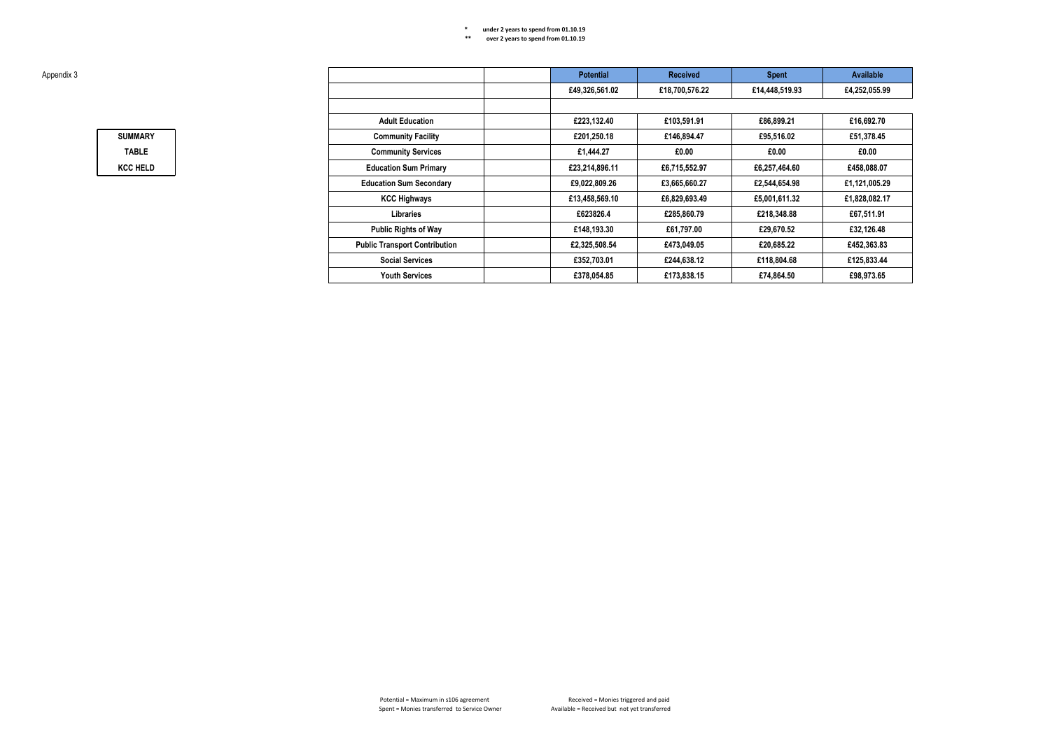| Appendix 3 |                 |                                      | <b>Potential</b> | <b>Received</b> | <b>Spent</b>   | Available     |
|------------|-----------------|--------------------------------------|------------------|-----------------|----------------|---------------|
|            |                 |                                      | £49,326,561.02   | £18,700,576.22  | £14,448,519.93 | £4,252,055.99 |
|            |                 |                                      |                  |                 |                |               |
|            |                 | <b>Adult Education</b>               | £223,132.40      | £103.591.91     | £86,899.21     | £16,692.70    |
|            | <b>SUMMARY</b>  | <b>Community Facility</b>            | £201.250.18      | £146.894.47     | £95.516.02     | £51,378.45    |
|            | <b>TABLE</b>    | <b>Community Services</b>            | £1,444.27        | £0.00           | £0.00          | £0.00         |
|            | <b>KCC HELD</b> | <b>Education Sum Primary</b>         | £23,214,896.11   | £6,715,552.97   | £6,257,464.60  | £458,088.07   |
|            |                 | <b>Education Sum Secondary</b>       | £9,022,809.26    | £3.665.660.27   | £2.544.654.98  | £1,121,005.29 |
|            |                 | <b>KCC Highways</b>                  | £13,458,569.10   | £6,829,693.49   | £5,001,611.32  | £1,828,082.17 |
|            |                 | Libraries                            | £623826.4        | £285,860.79     | £218,348.88    | £67,511.91    |
|            |                 | <b>Public Rights of Way</b>          | £148,193.30      | £61,797.00      | £29.670.52     | £32,126.48    |
|            |                 | <b>Public Transport Contribution</b> | £2,325,508.54    | £473.049.05     | £20,685,22     | £452,363.83   |
|            |                 | <b>Social Services</b>               | £352,703.01      | £244.638.12     | £118.804.68    | £125.833.44   |
|            |                 | <b>Youth Services</b>                | £378,054.85      | £173,838.15     | £74,864.50     | £98,973.65    |
|            |                 |                                      |                  |                 |                |               |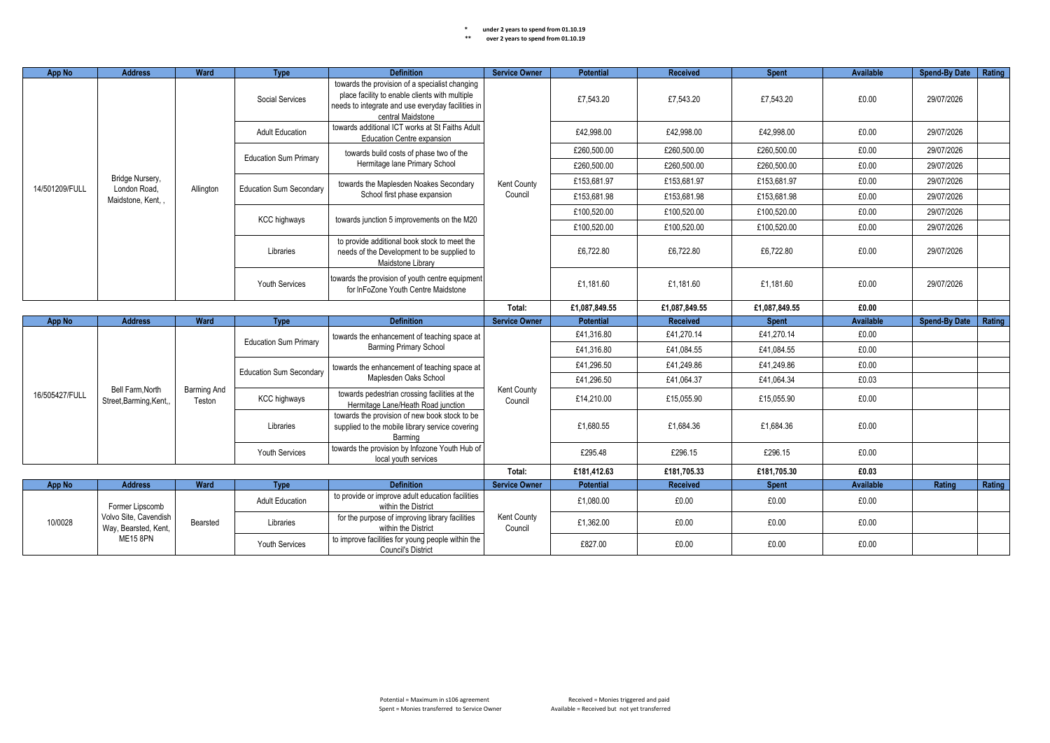| App No         | <b>Address</b>                                            | <b>Ward</b>           | <b>Type</b>                    | <b>Definition</b>                                                                                                                                                          | <b>Service Owner</b>   | <b>Potential</b> | <b>Received</b> | <b>Spent</b> | Available | Spend-By Date   Rating |        |
|----------------|-----------------------------------------------------------|-----------------------|--------------------------------|----------------------------------------------------------------------------------------------------------------------------------------------------------------------------|------------------------|------------------|-----------------|--------------|-----------|------------------------|--------|
|                |                                                           |                       | Social Services                | towards the provision of a specialist changing<br>place facility to enable clients with multiple<br>needs to integrate and use everyday facilities in<br>central Maidstone |                        | £7.543.20        | £7,543.20       | £7.543.20    | £0.00     | 29/07/2026             |        |
|                |                                                           |                       | <b>Adult Education</b>         | towards additional ICT works at St Faiths Adult<br>Education Centre expansion                                                                                              |                        | £42.998.00       | £42.998.00      | £42.998.00   | £0.00     | 29/07/2026             |        |
|                |                                                           |                       | <b>Education Sum Primary</b>   | towards build costs of phase two of the                                                                                                                                    |                        | £260,500.00      | £260,500.00     | £260,500.00  | £0.00     | 29/07/2026             |        |
|                |                                                           |                       |                                | Hermitage lane Primary School                                                                                                                                              |                        | £260,500.00      | £260,500.00     | £260,500.00  | £0.00     | 29/07/2026             |        |
| 14/501209/FULL | Bridge Nursery,<br>London Road.                           | Allington             | <b>Education Sum Secondary</b> | towards the Maplesden Noakes Secondary                                                                                                                                     | Kent County            | £153,681.97      | £153,681.97     | £153.681.97  | £0.00     | 29/07/2026             |        |
|                | Maidstone, Kent, .                                        |                       |                                | School first phase expansion                                                                                                                                               | Council                | £153,681.98      | £153,681.98     | £153,681.98  | £0.00     | 29/07/2026             |        |
|                |                                                           |                       | <b>KCC highways</b>            | towards junction 5 improvements on the M20                                                                                                                                 |                        | £100,520.00      | £100,520.00     | £100,520.00  | £0.00     | 29/07/2026             |        |
|                |                                                           |                       |                                |                                                                                                                                                                            |                        | £100.520.00      | £100.520.00     | £100.520.00  | £0.00     | 29/07/2026             |        |
|                |                                                           |                       | Libraries                      | to provide additional book stock to meet the<br>needs of the Development to be supplied to<br>Maidstone Library                                                            |                        | £6,722.80        | £6,722.80       | £6,722.80    | £0.00     | 29/07/2026             |        |
|                |                                                           |                       | <b>Youth Services</b>          | towards the provision of youth centre equipment<br>for InFoZone Youth Centre Maidstone                                                                                     |                        | £1.181.60        | £1.181.60       | £1.181.60    | £0.00     | 29/07/2026             |        |
|                |                                                           |                       |                                | Total:                                                                                                                                                                     | £1,087,849.55          | £1,087,849.55    | £1,087,849.55   | £0.00        |           |                        |        |
|                |                                                           | Ward                  | <b>Type</b>                    | <b>Definition</b>                                                                                                                                                          |                        |                  |                 |              |           |                        |        |
|                | App No<br><b>Address</b>                                  |                       |                                |                                                                                                                                                                            | <b>Service Owner</b>   | <b>Potential</b> | Received        | <b>Spent</b> | Available | <b>Spend-By Date</b>   | Rating |
|                |                                                           |                       |                                | towards the enhancement of teaching space at                                                                                                                               |                        | £41.316.80       | £41.270.14      | £41.270.14   | £0.00     |                        |        |
|                |                                                           |                       | <b>Education Sum Primary</b>   | <b>Barming Primary School</b>                                                                                                                                              |                        | £41,316.80       | £41,084.55      | £41,084.55   | £0.00     |                        |        |
|                |                                                           |                       |                                | towards the enhancement of teaching space at                                                                                                                               |                        | £41,296.50       | £41,249.86      | £41,249.86   | £0.00     |                        |        |
|                |                                                           |                       | <b>Education Sum Secondary</b> | Maplesden Oaks School                                                                                                                                                      |                        | £41,296.50       | £41,064.37      | £41,064.34   | £0.03     |                        |        |
| 16/505427/FULL | Bell Farm.North<br>Street, Barming, Kent,                 | Barming And<br>Teston | <b>KCC highways</b>            | towards pedestrian crossing facilities at the<br>Hermitage Lane/Heath Road junction                                                                                        | Kent County<br>Council | £14,210.00       | £15,055.90      | £15,055.90   | £0.00     |                        |        |
|                |                                                           |                       | Libraries                      | towards the provision of new book stock to be<br>supplied to the mobile library service covering<br>Barming                                                                |                        | £1.680.55        | £1,684.36       | £1.684.36    | £0.00     |                        |        |
|                |                                                           |                       | <b>Youth Services</b>          | towards the provision by Infozone Youth Hub of<br>local youth services                                                                                                     |                        | £295.48          | £296.15         | £296.15      | £0.00     |                        |        |
|                |                                                           |                       |                                |                                                                                                                                                                            | Total:                 | £181,412.63      | £181,705.33     | £181,705.30  | £0.03     |                        |        |
| App No         | <b>Address</b>                                            | <b>Ward</b>           | <b>Type</b>                    | <b>Definition</b>                                                                                                                                                          | <b>Service Owner</b>   | Potential        | Received        | <b>Spent</b> | Available | Rating                 | Rating |
|                | Former Lipscomb                                           |                       | <b>Adult Education</b>         | to provide or improve adult education facilities<br>within the District                                                                                                    |                        | £1,080.00        | £0.00           | £0.00        | £0.00     |                        |        |
| 10/0028        | Volvo Site, Cavendish<br>Way, Bearsted, Kent,<br>ME15 8PN | Bearsted              | Libraries                      | for the purpose of improving library facilities<br>within the District                                                                                                     | Kent County<br>Council | £1,362.00        | £0.00           | £0.00        | £0.00     |                        |        |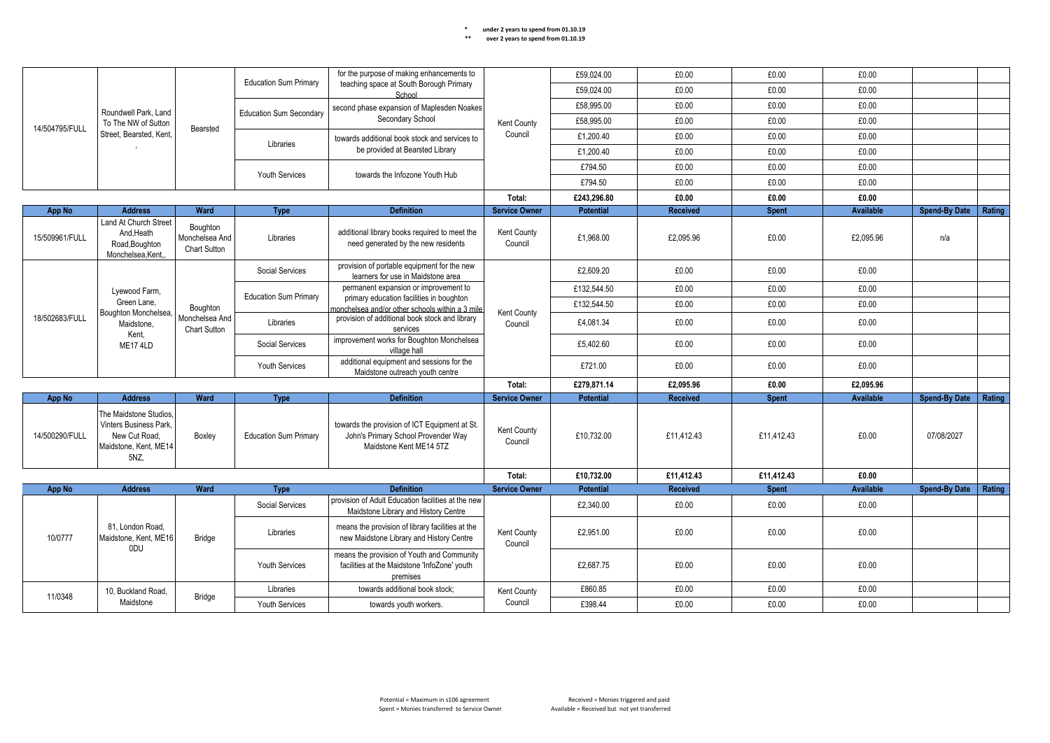|                                             |                                                                                                                                                      |                                            |                                                                                             | for the purpose of making enhancements to                                                                      |                        | £59,024.00       | £0.00           | £0.00        | £0.00     |                      |        |
|---------------------------------------------|------------------------------------------------------------------------------------------------------------------------------------------------------|--------------------------------------------|---------------------------------------------------------------------------------------------|----------------------------------------------------------------------------------------------------------------|------------------------|------------------|-----------------|--------------|-----------|----------------------|--------|
| Roundwell Park, Land<br>To The NW of Sutton |                                                                                                                                                      | <b>Education Sum Primary</b>               | teaching space at South Borough Primary<br>School                                           |                                                                                                                | £59,024.00             | £0.00            | £0.00           | £0.00        |           |                      |        |
|                                             |                                                                                                                                                      |                                            |                                                                                             | second phase expansion of Maplesden Noakes                                                                     |                        | £58.995.00       | £0.00           | £0.00        | £0.00     |                      |        |
| 14/504795/FULL                              |                                                                                                                                                      |                                            | <b>Education Sum Secondary</b>                                                              | Secondary School                                                                                               | Kent County            | £58,995.00       | £0.00           | £0.00        | £0.00     |                      |        |
|                                             | Street. Bearsted. Kent.                                                                                                                              | Bearsted                                   | Libraries                                                                                   | towards additional book stock and services to                                                                  | Council                | £1,200.40        | £0.00           | £0.00        | £0.00     |                      |        |
|                                             |                                                                                                                                                      |                                            |                                                                                             | be provided at Bearsted Library                                                                                |                        | £1,200.40        | £0.00           | £0.00        | £0.00     |                      |        |
|                                             |                                                                                                                                                      |                                            | <b>Youth Services</b>                                                                       | towards the Infozone Youth Hub                                                                                 |                        | £794.50          | £0.00           | £0.00        | £0.00     |                      |        |
|                                             |                                                                                                                                                      |                                            |                                                                                             |                                                                                                                |                        | £794.50          | £0.00           | £0.00        | £0.00     |                      |        |
|                                             |                                                                                                                                                      |                                            |                                                                                             |                                                                                                                | Total:                 | £243,296.80      | £0.00           | £0.00        | £0.00     |                      |        |
| App No                                      | <b>Address</b>                                                                                                                                       | Ward                                       | Type                                                                                        | <b>Definition</b>                                                                                              | <b>Service Owner</b>   | <b>Potential</b> | <b>Received</b> | <b>Spent</b> | Available | <b>Spend-By Date</b> | Rating |
| 15/509961/FULL                              | Land At Church Street<br>And, Heath<br>Road, Boughton<br>Monchelsea.Kent.                                                                            | Boughton<br>Monchelsea And<br>Chart Sutton | Libraries                                                                                   | additional library books required to meet the<br>need generated by the new residents                           | Kent County<br>Council | £1,968.00        | £2.095.96       | £0.00        | £2.095.96 | n/a                  |        |
|                                             |                                                                                                                                                      |                                            | Social Services                                                                             | provision of portable equipment for the new<br>learners for use in Maidstone area                              |                        | £2.609.20        | £0.00           | £0.00        | £0.00     |                      |        |
|                                             | Lyewood Farm,                                                                                                                                        |                                            | <b>Education Sum Primary</b>                                                                | permanent expansion or improvement to                                                                          |                        | £132.544.50      | £0.00           | £0.00        | £0.00     |                      |        |
|                                             | Green Lane.<br>Boughton<br>Boughton Monchelsea,<br>18/502683/FULL<br>Monchelsea And<br>Maidstone.<br><b>Chart Sutton</b><br>Kent,<br><b>ME17 4LD</b> |                                            | primary education facilities in boughton<br>monchelsea and/or other schools within a 3 mile |                                                                                                                | £132,544.50            | £0.00            | £0.00           | £0.00        |           |                      |        |
|                                             |                                                                                                                                                      |                                            | Libraries                                                                                   | provision of additional book stock and library<br>services                                                     | Kent County<br>Council | £4,081.34        | £0.00           | £0.00        | £0.00     |                      |        |
|                                             |                                                                                                                                                      |                                            | Social Services                                                                             | improvement works for Boughton Monchelsea<br>village hall                                                      |                        | £5,402.60        | £0.00           | £0.00        | £0.00     |                      |        |
|                                             |                                                                                                                                                      |                                            | Youth Services                                                                              | additional equipment and sessions for the<br>Maidstone outreach youth centre                                   |                        | £721.00          | £0.00           | £0.00        | £0.00     |                      |        |
|                                             |                                                                                                                                                      |                                            |                                                                                             |                                                                                                                | Total:                 | £279,871.14      | £2.095.96       | £0.00        | £2.095.96 |                      |        |
| App No                                      | <b>Address</b>                                                                                                                                       | Ward                                       | Type                                                                                        | <b>Definition</b>                                                                                              | <b>Service Owner</b>   | <b>Potential</b> | <b>Received</b> | <b>Spent</b> | Available | <b>Spend-By Date</b> | Rating |
| 14/500290/FULL                              | The Maidstone Studios.<br>Vinters Business Park.<br>New Cut Road.<br>Maidstone, Kent, ME14<br>5NZ,                                                   | Boxley                                     | <b>Education Sum Primary</b>                                                                | towards the provision of ICT Equipment at St<br>John's Primary School Provender Way<br>Maidstone Kent ME14 5TZ | Kent County<br>Council | £10.732.00       | £11.412.43      | £11.412.43   | £0.00     | 07/08/2027           |        |
|                                             |                                                                                                                                                      |                                            |                                                                                             |                                                                                                                | Total:                 | £10,732.00       | £11.412.43      | £11,412.43   | £0.00     |                      |        |
| <b>App No</b>                               | <b>Address</b>                                                                                                                                       | Ward                                       | Type                                                                                        | <b>Definition</b>                                                                                              | <b>Service Owner</b>   | Potential        | <b>Received</b> | <b>Spent</b> | Available | <b>Spend-By Date</b> | Rating |
|                                             |                                                                                                                                                      |                                            | Social Services                                                                             | provision of Adult Education facilities at the new<br>Maidstone Library and History Centre                     |                        | £2,340.00        | £0.00           | £0.00        | £0.00     |                      |        |
| 10/0777                                     | 81. London Road.<br>Maidstone, Kent, ME16<br>0DU                                                                                                     | Bridge                                     | Libraries                                                                                   | means the provision of library facilities at the<br>new Maidstone Library and History Centre                   | Kent County<br>Council | £2,951.00        | £0.00           | £0.00        | £0.00     |                      |        |
|                                             |                                                                                                                                                      |                                            | Youth Services                                                                              | means the provision of Youth and Community<br>facilities at the Maidstone 'InfoZone' youth<br>premises         |                        | £2,687.75        | £0.00           | £0.00        | £0.00     |                      |        |
|                                             | 10, Buckland Road                                                                                                                                    |                                            | Libraries                                                                                   | towards additional book stock;                                                                                 | Kent County            | £860.85          | £0.00           | £0.00        | £0.00     |                      |        |
| 11/0348                                     | Maidstone                                                                                                                                            | <b>Bridge</b>                              | Youth Services                                                                              | towards youth workers.                                                                                         | Council                | £398.44          | £0.00           | £0.00        | £0.00     |                      |        |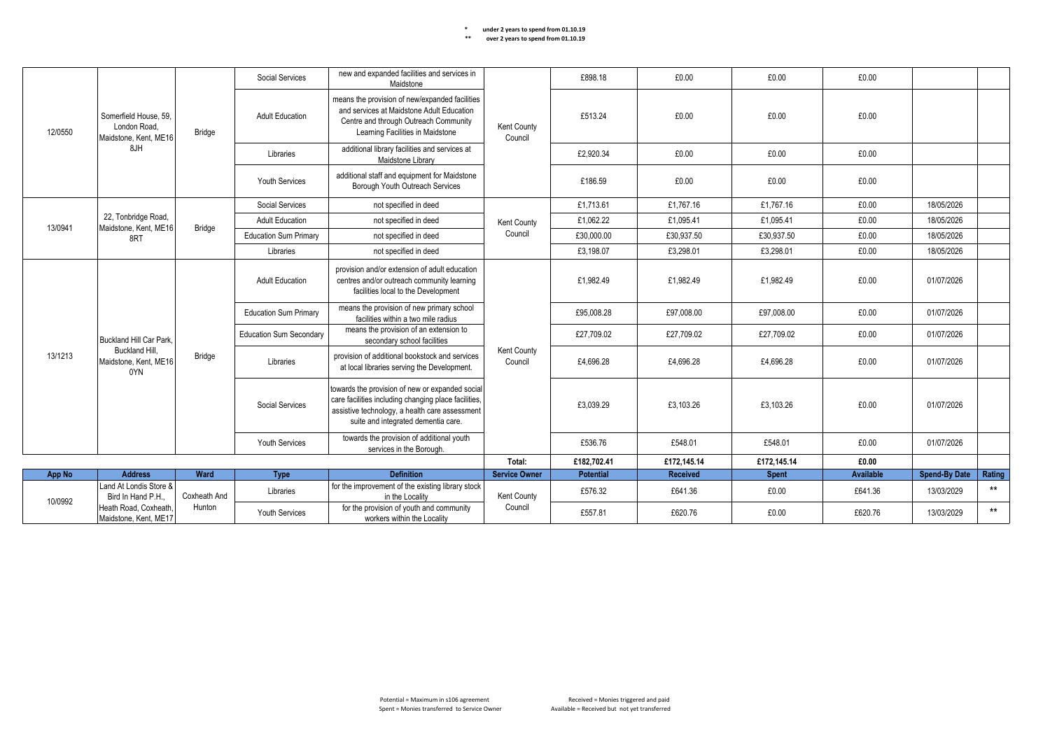|                                                          |                                                                | Social Services | new and expanded facilities and services in<br>Maidstone                |                                                                                                                                                                                                  | £898.18                | £0.00            | £0.00           | £0.00        |                  |                      |        |
|----------------------------------------------------------|----------------------------------------------------------------|-----------------|-------------------------------------------------------------------------|--------------------------------------------------------------------------------------------------------------------------------------------------------------------------------------------------|------------------------|------------------|-----------------|--------------|------------------|----------------------|--------|
| 12/0550                                                  | Somerfield House, 59,<br>London Road.<br>Maidstone, Kent, ME16 | Bridge          | <b>Adult Education</b>                                                  | means the provision of new/expanded facilities<br>and services at Maidstone Adult Education<br>Centre and through Outreach Community<br>Learning Facilities in Maidstone                         | Kent County<br>Council | £513.24          | £0.00           | £0.00        | £0.00            |                      |        |
|                                                          | 8JH                                                            |                 | Libraries                                                               | additional library facilities and services at<br>Maidstone Library                                                                                                                               |                        | £2.920.34        | £0.00           | £0.00        | £0.00            |                      |        |
|                                                          |                                                                |                 | <b>Youth Services</b>                                                   | additional staff and equipment for Maidstone<br>Borough Youth Outreach Services                                                                                                                  |                        | £186.59          | £0.00           | £0.00        | £0.00            |                      |        |
|                                                          |                                                                |                 | Social Services                                                         | not specified in deed                                                                                                                                                                            |                        | £1,713.61        | £1.767.16       | £1,767.16    | £0.00            | 18/05/2026           |        |
| 13/0941                                                  | 22, Tonbridge Road,<br>Maidstone, Kent, ME16                   | <b>Bridge</b>   | <b>Adult Education</b>                                                  | not specified in deed                                                                                                                                                                            | Kent County            | £1,062.22        | £1.095.41       | £1.095.41    | £0.00            | 18/05/2026           |        |
|                                                          | 8RT                                                            |                 | <b>Education Sum Primary</b>                                            | not specified in deed                                                                                                                                                                            | Council                | £30,000.00       | £30,937.50      | £30,937.50   | £0.00            | 18/05/2026           |        |
|                                                          |                                                                |                 | Libraries                                                               | not specified in deed                                                                                                                                                                            |                        | £3,198.07        | £3.298.01       | £3,298.01    | £0.00            | 18/05/2026           |        |
|                                                          |                                                                |                 | <b>Adult Education</b>                                                  | provision and/or extension of adult education<br>centres and/or outreach community learning<br>facilities local to the Development                                                               |                        | £1.982.49        | £1.982.49       | £1.982.49    | £0.00            | 01/07/2026           |        |
|                                                          |                                                                |                 | <b>Education Sum Primary</b>                                            | means the provision of new primary school<br>facilities within a two mile radius                                                                                                                 |                        | £95,008.28       | £97,008.00      | £97,008.00   | £0.00            | 01/07/2026           |        |
|                                                          | Buckland Hill Car Park.                                        |                 | <b>Education Sum Secondary</b>                                          | means the provision of an extension to<br>secondary school facilities                                                                                                                            | Kent County<br>Council | £27.709.02       | £27,709.02      | £27,709.02   | £0.00            | 01/07/2026           |        |
| 13/1213                                                  | Buckland Hill.<br>Maidstone, Kent, ME16<br>0YN                 | <b>Bridge</b>   | Libraries                                                               | provision of additional bookstock and services<br>at local libraries serving the Development.                                                                                                    |                        | £4,696.28        | £4,696.28       | £4,696.28    | £0.00            | 01/07/2026           |        |
|                                                          |                                                                |                 | Social Services                                                         | towards the provision of new or expanded social<br>care facilities including changing place facilities,<br>assistive technology, a health care assessment<br>suite and integrated dementia care. |                        | £3.039.29        | £3.103.26       | £3.103.26    | £0.00            | 01/07/2026           |        |
|                                                          |                                                                |                 | <b>Youth Services</b>                                                   | towards the provision of additional youth<br>services in the Borough.                                                                                                                            |                        | £536.76          | £548.01         | £548.01      | £0.00            | 01/07/2026           |        |
|                                                          |                                                                |                 |                                                                         |                                                                                                                                                                                                  | Total:                 | £182,702.41      | £172,145.14     | £172,145.14  | £0.00            |                      |        |
| App No                                                   | <b>Address</b>                                                 | Ward            | <b>Type</b>                                                             | <b>Definition</b>                                                                                                                                                                                | <b>Service Owner</b>   | <b>Potential</b> | <b>Received</b> | <b>Spent</b> | <b>Available</b> | <b>Spend-By Date</b> | Rating |
|                                                          | Land At Londis Store &<br>Bird In Hand P.H                     | Coxheath And    | Libraries                                                               | for the improvement of the existing library stock<br>in the Locality                                                                                                                             | Kent County            | £576.32          | £641.36         | £0.00        | £641.36          | 13/03/2029           | $***$  |
| 10/0992<br>Heath Road, Coxheath<br>Maidstone, Kent, ME17 | Hunton                                                         | Youth Services  | for the provision of youth and community<br>workers within the Locality | Council                                                                                                                                                                                          | £557.81                | £620.76          | £0.00           | £620.76      | 13/03/2029       | $***$                |        |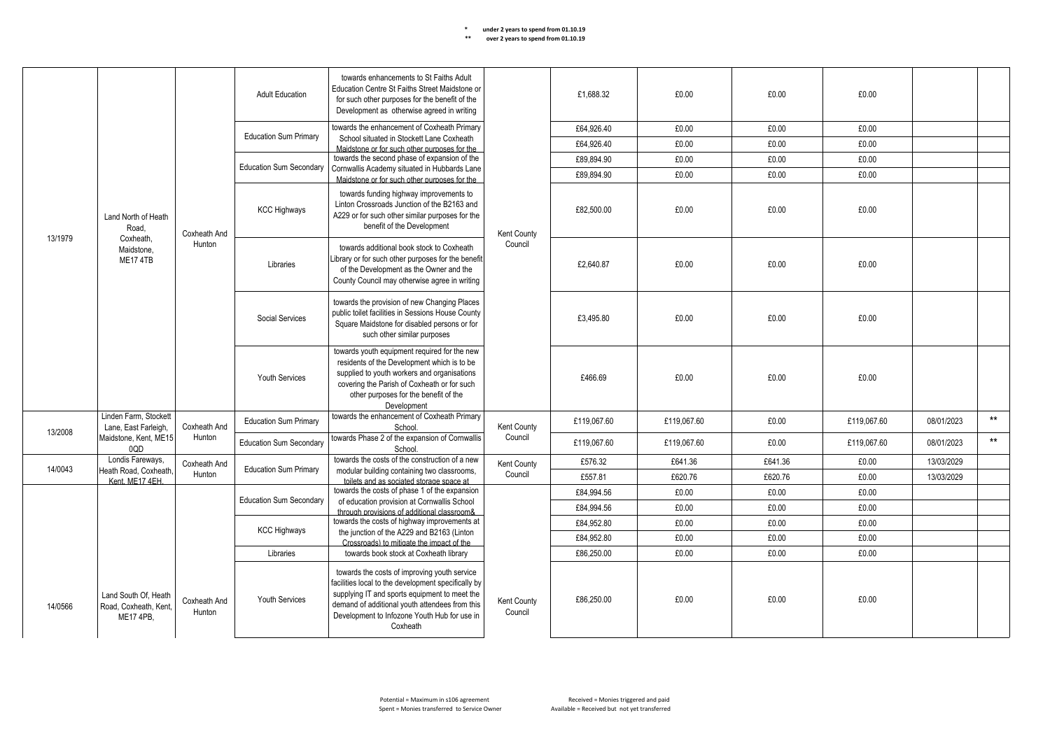|         | <b>Adult Education</b><br><b>Education Sum Primary</b>     | towards enhancements to St Faiths Adult<br>Education Centre St Faiths Street Maidstone or<br>£1.688.32<br>for such other purposes for the benefit of the<br>Development as otherwise agreed in writing<br>towards the enhancement of Coxheath Primary |                                                                                                                                                                                                     |                                                                                                                                                                                                                                                                    | £0.00                  | £0.00       | £0.00       |         |             |            |       |
|---------|------------------------------------------------------------|-------------------------------------------------------------------------------------------------------------------------------------------------------------------------------------------------------------------------------------------------------|-----------------------------------------------------------------------------------------------------------------------------------------------------------------------------------------------------|--------------------------------------------------------------------------------------------------------------------------------------------------------------------------------------------------------------------------------------------------------------------|------------------------|-------------|-------------|---------|-------------|------------|-------|
|         |                                                            |                                                                                                                                                                                                                                                       |                                                                                                                                                                                                     |                                                                                                                                                                                                                                                                    |                        | £64.926.40  | £0.00       | £0.00   | £0.00       |            |       |
|         |                                                            |                                                                                                                                                                                                                                                       |                                                                                                                                                                                                     | School situated in Stockett Lane Coxheath<br>Maidstone or for such other purposes for the                                                                                                                                                                          |                        | £64,926.40  | £0.00       | £0.00   | £0.00       |            |       |
|         |                                                            |                                                                                                                                                                                                                                                       |                                                                                                                                                                                                     | towards the second phase of expansion of the                                                                                                                                                                                                                       |                        | £89,894.90  | £0.00       | £0.00   | £0.00       |            |       |
|         |                                                            |                                                                                                                                                                                                                                                       | <b>Education Sum Secondary</b>                                                                                                                                                                      | Cornwallis Academy situated in Hubbards Lane<br>Maidstone or for such other purposes for the                                                                                                                                                                       |                        | £89.894.90  | £0.00       | £0.00   | £0.00       |            |       |
|         | Land North of Heath<br>Road.                               | Coxheath And                                                                                                                                                                                                                                          | <b>KCC Highways</b>                                                                                                                                                                                 | towards funding highway improvements to<br>Linton Crossroads Junction of the B2163 and<br>A229 or for such other similar purposes for the<br>benefit of the Development                                                                                            | Kent County            | £82.500.00  | £0.00       | £0.00   | £0.00       |            |       |
| 13/1979 | Coxheath.<br>Maidstone.<br><b>ME17 4TB</b>                 | Hunton                                                                                                                                                                                                                                                | Libraries                                                                                                                                                                                           | towards additional book stock to Coxheath<br>Library or for such other purposes for the benefit<br>of the Development as the Owner and the<br>County Council may otherwise agree in writing                                                                        | Council                | £2.640.87   | £0.00       | £0.00   | £0.00       |            |       |
|         |                                                            |                                                                                                                                                                                                                                                       | towards the provision of new Changing Places<br>public toilet facilities in Sessions House County<br>Social Services<br>Square Maidstone for disabled persons or for<br>such other similar purposes |                                                                                                                                                                                                                                                                    |                        | £3.495.80   | £0.00       | £0.00   | £0.00       |            |       |
|         |                                                            |                                                                                                                                                                                                                                                       | <b>Youth Services</b>                                                                                                                                                                               | towards youth equipment required for the new<br>residents of the Development which is to be<br>supplied to youth workers and organisations<br>covering the Parish of Coxheath or for such<br>other purposes for the benefit of the<br>Development                  |                        | £466.69     | £0.00       | £0.00   | £0.00       |            |       |
| 13/2008 | Linden Farm. Stockett<br>Lane, East Farleigh,              | Coxheath And                                                                                                                                                                                                                                          | <b>Education Sum Primary</b>                                                                                                                                                                        | towards the enhancement of Coxheath Primary<br>School.                                                                                                                                                                                                             | Kent County            | £119,067.60 | £119,067.60 | £0.00   | £119,067.60 | 08/01/2023 | $***$ |
|         | Maidstone, Kent, ME15<br>0QD                               | Hunton                                                                                                                                                                                                                                                | <b>Education Sum Secondary</b>                                                                                                                                                                      | towards Phase 2 of the expansion of Cornwallis<br>School                                                                                                                                                                                                           | Council                | £119.067.60 | £119.067.60 | £0.00   | £119.067.60 | 08/01/2023 | $**$  |
| 14/0043 | Londis Fareways,                                           | Coxheath And                                                                                                                                                                                                                                          | <b>Education Sum Primary</b>                                                                                                                                                                        | towards the costs of the construction of a new                                                                                                                                                                                                                     | Kent County            | £576.32     | £641.36     | £641.36 | £0.00       | 13/03/2029 |       |
|         | Heath Road, Coxheath,<br>Kent MF17 4FH                     | Hunton                                                                                                                                                                                                                                                |                                                                                                                                                                                                     | modular building containing two classrooms,<br>toilets and as sociated storage space at                                                                                                                                                                            | Council                | £557.81     | £620.76     | £620.76 | £0.00       | 13/03/2029 |       |
|         |                                                            |                                                                                                                                                                                                                                                       | <b>Education Sum Secondary</b>                                                                                                                                                                      | towards the costs of phase 1 of the expansion                                                                                                                                                                                                                      |                        | £84.994.56  | £0.00       | £0.00   | £0.00       |            |       |
|         |                                                            |                                                                                                                                                                                                                                                       |                                                                                                                                                                                                     | of education provision at Cornwallis School<br>through provisions of additional classroom&                                                                                                                                                                         |                        | £84,994.56  | £0.00       | £0.00   | £0.00       |            |       |
|         |                                                            |                                                                                                                                                                                                                                                       | <b>KCC Highways</b>                                                                                                                                                                                 | towards the costs of highway improvements at<br>the junction of the A229 and B2163 (Linton                                                                                                                                                                         |                        | £84.952.80  | £0.00       | £0.00   | £0.00       |            |       |
|         |                                                            |                                                                                                                                                                                                                                                       |                                                                                                                                                                                                     | Crossroads) to mitigate the impact of the                                                                                                                                                                                                                          |                        | £84.952.80  | £0.00       | £0.00   | £0.00       |            |       |
|         |                                                            |                                                                                                                                                                                                                                                       | Libraries                                                                                                                                                                                           | towards book stock at Coxheath library                                                                                                                                                                                                                             |                        | £86,250.00  | £0.00       | £0.00   | £0.00       |            |       |
| 14/0566 | Land South Of. Heath<br>Road, Coxheath, Kent.<br>ME17 4PB. | Coxheath And<br>Hunton                                                                                                                                                                                                                                | Youth Services                                                                                                                                                                                      | towards the costs of improving youth service<br>facilities local to the development specifically by<br>supplying IT and sports equipment to meet the<br>demand of additional youth attendees from this<br>Development to Infozone Youth Hub for use in<br>Coxheath | Kent County<br>Council | £86,250.00  | £0.00       | £0.00   | £0.00       |            |       |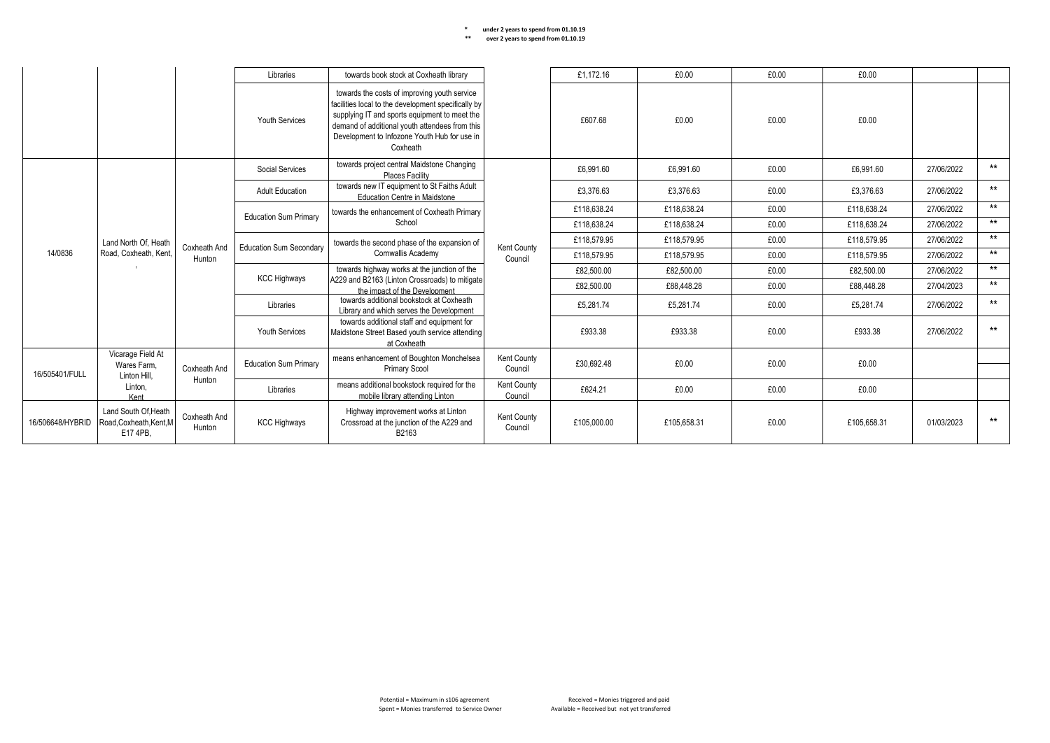## **\* under 2 years to spend from 01.10.19** Kent County **\*\* over 2 years to spend from 01.10.19** Council

|                                                                    |                                                          |                              | Libraries                                                                                                   | towards book stock at Coxheath library                                                                                                                                                                                                                             |                        | £1,172.16   | £0.00       | £0.00   | £0.00       |            |       |
|--------------------------------------------------------------------|----------------------------------------------------------|------------------------------|-------------------------------------------------------------------------------------------------------------|--------------------------------------------------------------------------------------------------------------------------------------------------------------------------------------------------------------------------------------------------------------------|------------------------|-------------|-------------|---------|-------------|------------|-------|
|                                                                    |                                                          |                              | <b>Youth Services</b>                                                                                       | towards the costs of improving youth service<br>facilities local to the development specifically by<br>supplying IT and sports equipment to meet the<br>demand of additional youth attendees from this<br>Development to Infozone Youth Hub for use in<br>Coxheath |                        | £607.68     | £0.00       | £0.00   | £0.00       |            |       |
|                                                                    |                                                          |                              | Social Services                                                                                             | towards project central Maidstone Changing<br>Places Facility                                                                                                                                                                                                      |                        | £6.991.60   | £6.991.60   | £0.00   | £6.991.60   | 27/06/2022 | $***$ |
|                                                                    |                                                          |                              | <b>Adult Education</b>                                                                                      | towards new IT equipment to St Faiths Adult<br><b>Education Centre in Maidstone</b>                                                                                                                                                                                |                        | £3,376.63   | £3,376.63   | £0.00   | £3,376.63   | 27/06/2022 | $***$ |
|                                                                    |                                                          |                              | <b>Education Sum Primary</b>                                                                                | towards the enhancement of Coxheath Primary                                                                                                                                                                                                                        |                        | £118.638.24 | £118.638.24 | £0.00   | £118.638.24 | 27/06/2022 | $***$ |
|                                                                    | Land North Of, Heath<br>14/0836<br>Road, Coxheath, Kent, |                              |                                                                                                             | School                                                                                                                                                                                                                                                             |                        | £118,638.24 | £118,638.24 | £0.00   | £118,638.24 | 27/06/2022 | $***$ |
|                                                                    |                                                          |                              |                                                                                                             | towards the second phase of the expansion of                                                                                                                                                                                                                       |                        | £118,579.95 | £118,579.95 | £0.00   | £118,579.95 | 27/06/2022 | $***$ |
|                                                                    |                                                          | Coxheath And<br>Hunton       | <b>Education Sum Secondary</b>                                                                              | Cornwallis Academy                                                                                                                                                                                                                                                 | Kent County<br>Council | £118,579.95 | £118,579.95 | £0.00   | £118,579.95 | 27/06/2022 | $***$ |
|                                                                    |                                                          |                              |                                                                                                             | towards highway works at the junction of the<br>A229 and B2163 (Linton Crossroads) to mitigate<br>the impact of the Development                                                                                                                                    |                        | £82,500.00  | £82,500.00  | £0.00   | £82,500.00  | 27/06/2022 | $***$ |
|                                                                    |                                                          |                              | <b>KCC Highways</b>                                                                                         |                                                                                                                                                                                                                                                                    |                        | £82.500.00  | £88,448.28  | £0.00   | £88,448.28  | 27/04/2023 | $***$ |
|                                                                    |                                                          |                              | Libraries                                                                                                   | towards additional bookstock at Coxheath<br>Library and which serves the Development                                                                                                                                                                               |                        | £5.281.74   | £5.281.74   | £0.00   | £5.281.74   | 27/06/2022 | $***$ |
| Vicarage Field At<br>Wares Farm.<br>16/505401/FULL<br>Linton Hill, |                                                          | <b>Youth Services</b>        | towards additional staff and equipment for<br>Maidstone Street Based youth service attending<br>at Coxheath |                                                                                                                                                                                                                                                                    | £933.38                | £933.38     | £0.00       | £933.38 | 27/06/2022  | $***$      |       |
|                                                                    | Coxheath And                                             | <b>Education Sum Primary</b> | means enhancement of Boughton Monchelsea<br><b>Primary Scool</b>                                            | Kent County<br>Council                                                                                                                                                                                                                                             | £30,692.48             | £0.00       | £0.00       | £0.00   |             |            |       |
|                                                                    | Linton,<br>Kent                                          | Hunton                       | Libraries                                                                                                   | means additional bookstock required for the<br>mobile library attending Linton                                                                                                                                                                                     | Kent County<br>Council | £624.21     | £0.00       | £0.00   | £0.00       |            |       |
| 16/506648/HYBRID                                                   | Land South Of, Heath<br>Road.Coxheath.Kent.M<br>E17 4PB. | Coxheath And<br>Hunton       | <b>KCC Highways</b>                                                                                         | Highway improvement works at Linton<br>Crossroad at the junction of the A229 and<br>B2163                                                                                                                                                                          | Kent County<br>Council | £105,000.00 | £105.658.31 | £0.00   | £105.658.31 | 01/03/2023 | $***$ |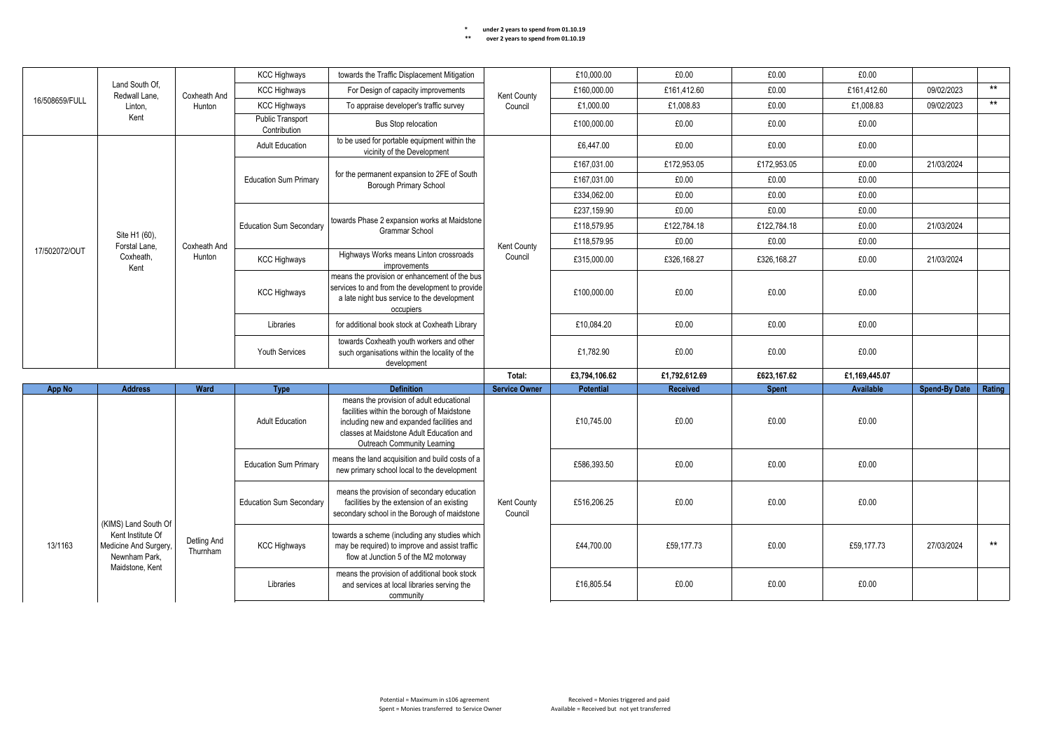| Land South Of.<br>Redwall Lane.                                                                                   |                                | <b>KCC Highways</b> | towards the Traffic Displacement Mitigation                                                                                              |                                                                                                                                                                                                                | £10.000.00             | £0.00            | £0.00           | £0.00        |                  |                      |        |
|-------------------------------------------------------------------------------------------------------------------|--------------------------------|---------------------|------------------------------------------------------------------------------------------------------------------------------------------|----------------------------------------------------------------------------------------------------------------------------------------------------------------------------------------------------------------|------------------------|------------------|-----------------|--------------|------------------|----------------------|--------|
|                                                                                                                   |                                | Coxheath And        | <b>KCC Highways</b>                                                                                                                      | For Design of capacity improvements                                                                                                                                                                            | Kent County            | £160,000.00      | £161,412.60     | £0.00        | £161,412.60      | 09/02/2023           | $***$  |
| 16/508659/FULL                                                                                                    | Linton.                        | Hunton              | <b>KCC Highways</b>                                                                                                                      | To appraise developer's traffic survey                                                                                                                                                                         | Council                | £1,000.00        | £1,008.83       | £0.00        | £1,008.83        | 09/02/2023           | $***$  |
|                                                                                                                   | Kent                           |                     | Public Transport<br>Contribution                                                                                                         | <b>Bus Stop relocation</b>                                                                                                                                                                                     |                        | £100,000.00      | £0.00           | £0.00        | £0.00            |                      |        |
|                                                                                                                   |                                |                     | <b>Adult Education</b>                                                                                                                   | to be used for portable equipment within the<br>vicinity of the Development                                                                                                                                    |                        | £6,447.00        | £0.00           | £0.00        | £0.00            |                      |        |
|                                                                                                                   |                                |                     |                                                                                                                                          |                                                                                                                                                                                                                |                        | £167.031.00      | £172.953.05     | £172.953.05  | £0.00            | 21/03/2024           |        |
|                                                                                                                   |                                |                     | <b>Education Sum Primary</b>                                                                                                             | for the permanent expansion to 2FE of South<br>Borough Primary School                                                                                                                                          |                        | £167,031.00      | £0.00           | £0.00        | £0.00            |                      |        |
|                                                                                                                   |                                |                     |                                                                                                                                          |                                                                                                                                                                                                                |                        | £334.062.00      | £0.00           | £0.00        | £0.00            |                      |        |
|                                                                                                                   |                                |                     |                                                                                                                                          |                                                                                                                                                                                                                |                        | £237,159.90      | £0.00           | £0.00        | £0.00            |                      |        |
|                                                                                                                   |                                |                     | <b>Education Sum Secondary</b>                                                                                                           | towards Phase 2 expansion works at Maidstone<br>Grammar School                                                                                                                                                 |                        | £118,579.95      | £122,784.18     | £122,784.18  | £0.00            | 21/03/2024           |        |
|                                                                                                                   | Site H1 (60),<br>Forstal Lane, | Coxheath And        |                                                                                                                                          |                                                                                                                                                                                                                | Kent County            | £118,579.95      | £0.00           | £0.00        | £0.00            |                      |        |
| 17/502072/OUT                                                                                                     | Coxheath,<br>Kent              | Hunton              | <b>KCC Highways</b>                                                                                                                      | Highways Works means Linton crossroads<br>improvements                                                                                                                                                         | Council                | £315,000.00      | £326,168.27     | £326,168.27  | £0.00            | 21/03/2024           |        |
|                                                                                                                   |                                |                     | <b>KCC Highways</b>                                                                                                                      | means the provision or enhancement of the bus<br>services to and from the development to provide<br>a late night bus service to the development<br>occupiers                                                   |                        | £100,000.00      | £0.00           | £0.00        | £0.00            |                      |        |
|                                                                                                                   |                                |                     | Libraries                                                                                                                                | for additional book stock at Coxheath Library                                                                                                                                                                  |                        | £10,084.20       | £0.00           | £0.00        | £0.00            |                      |        |
|                                                                                                                   |                                |                     | <b>Youth Services</b>                                                                                                                    | towards Coxheath youth workers and other<br>such organisations within the locality of the<br>development                                                                                                       |                        | £1,782.90        | £0.00           | £0.00        | £0.00            |                      |        |
|                                                                                                                   |                                |                     |                                                                                                                                          |                                                                                                                                                                                                                | Total:                 | £3,794,106.62    | £1,792,612.69   | £623,167.62  | £1,169,445.07    |                      |        |
| App No                                                                                                            | <b>Address</b>                 | Ward                | <b>Type</b>                                                                                                                              | <b>Definition</b>                                                                                                                                                                                              | <b>Service Owner</b>   | <b>Potential</b> | <b>Received</b> | <b>Spent</b> | <b>Available</b> | <b>Spend-By Date</b> | Rating |
|                                                                                                                   |                                |                     | <b>Adult Education</b>                                                                                                                   | means the provision of adult educational<br>facilities within the borough of Maidstone<br>including new and expanded facilities and<br>classes at Maidstone Adult Education and<br>Outreach Community Learning |                        | £10,745.00       | £0.00           | £0.00        | £0.00            |                      |        |
|                                                                                                                   |                                |                     | <b>Education Sum Primary</b>                                                                                                             | means the land acquisition and build costs of a<br>new primary school local to the development                                                                                                                 |                        | £586,393.50      | £0.00           | £0.00        | £0.00            |                      |        |
|                                                                                                                   |                                |                     | <b>Education Sum Secondary</b>                                                                                                           | means the provision of secondary education<br>facilities by the extension of an existing<br>secondary school in the Borough of maidstone                                                                       | Kent County<br>Council | £516.206.25      | £0.00           | £0.00        | £0.00            |                      |        |
| (KIMS) Land South Of<br>Kent Institute Of<br>13/1163<br>Medicine And Surgery,<br>Newnham Park.<br>Maidstone, Kent | Detling And<br>Thurnham        | <b>KCC Highways</b> | towards a scheme (including any studies which<br>may be required) to improve and assist traffic<br>flow at Junction 5 of the M2 motorway |                                                                                                                                                                                                                | £44.700.00             | £59.177.73       | £0.00           | £59.177.73   | 27/03/2024       | $***$                |        |
|                                                                                                                   |                                |                     | Libraries                                                                                                                                | means the provision of additional book stock<br>and services at local libraries serving the<br>community                                                                                                       |                        | £16,805.54       | £0.00           | £0.00        | £0.00            |                      |        |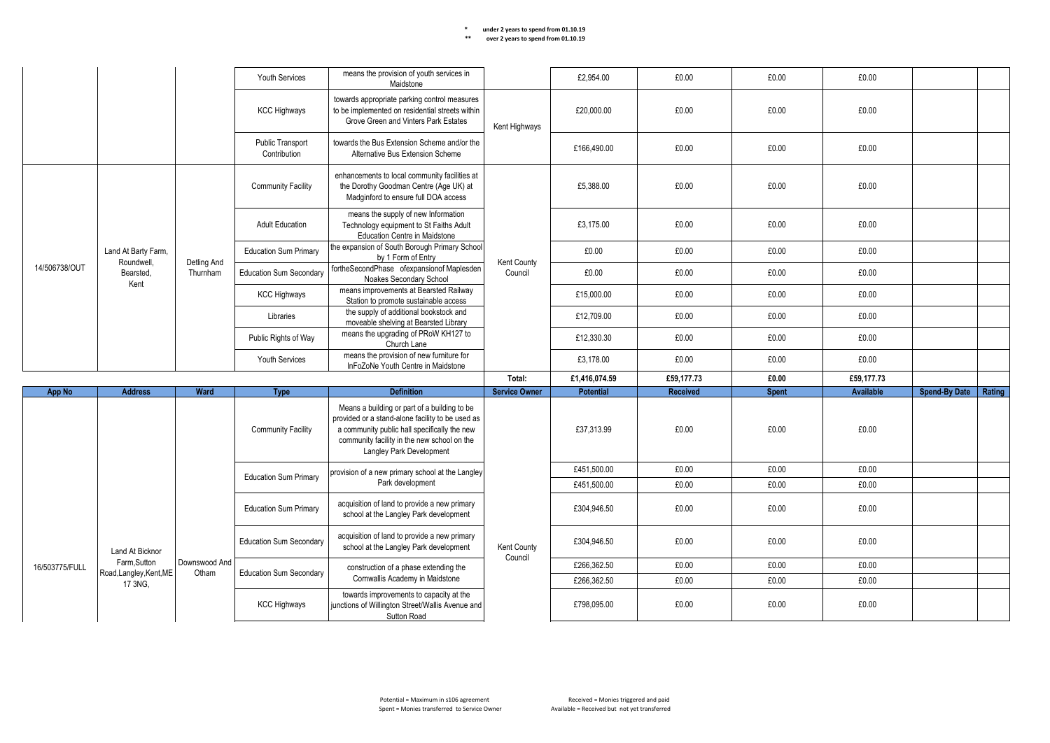|                 |                                         | <b>Youth Services</b>          | means the provision of youth services in<br>Maidstone                                  |                                                                                                                                                                                                                             | £2.954.00              | £0.00            | £0.00      | £0.00        |            |                      |               |
|-----------------|-----------------------------------------|--------------------------------|----------------------------------------------------------------------------------------|-----------------------------------------------------------------------------------------------------------------------------------------------------------------------------------------------------------------------------|------------------------|------------------|------------|--------------|------------|----------------------|---------------|
|                 |                                         |                                | <b>KCC Highways</b>                                                                    | towards appropriate parking control measures<br>to be implemented on residential streets within<br>Grove Green and Vinters Park Estates                                                                                     | Kent Highways          | £20,000.00       | £0.00      | £0.00        | £0.00      |                      |               |
|                 |                                         |                                | Public Transport<br>Contribution                                                       | towards the Bus Extension Scheme and/or the<br>Alternative Bus Extension Scheme                                                                                                                                             |                        | £166,490.00      | £0.00      | £0.00        | £0.00      |                      |               |
|                 |                                         |                                | <b>Community Facility</b>                                                              | enhancements to local community facilities at<br>the Dorothy Goodman Centre (Age UK) at<br>Madginford to ensure full DOA access                                                                                             |                        | £5,388.00        | £0.00      | £0.00        | £0.00      |                      |               |
|                 |                                         |                                | <b>Adult Education</b>                                                                 | means the supply of new Information<br>Technology equipment to St Faiths Adult<br>Education Centre in Maidstone                                                                                                             |                        | £3.175.00        | £0.00      | £0.00        | £0.00      |                      |               |
|                 | Land At Barty Farm,                     |                                | <b>Education Sum Primary</b>                                                           | the expansion of South Borough Primary School<br>by 1 Form of Entry                                                                                                                                                         |                        | £0.00            | £0.00      | £0.00        | £0.00      |                      |               |
| 14/506738/OUT   | Roundwell,<br>Bearsted.<br>Kent         | Detling And<br>Thurnham        | <b>Education Sum Secondary</b>                                                         | fortheSecondPhase ofexpansionof Maplesden<br>Noakes Secondary School                                                                                                                                                        | Kent County<br>Council | £0.00            | £0.00      | £0.00        | £0.00      |                      |               |
|                 |                                         |                                | <b>KCC Highways</b>                                                                    | means improvements at Bearsted Railway<br>Station to promote sustainable access                                                                                                                                             |                        | £15,000.00       | £0.00      | £0.00        | £0.00      |                      |               |
|                 |                                         |                                | Libraries                                                                              | the supply of additional bookstock and<br>moveable shelving at Bearsted Library                                                                                                                                             |                        | £12,709.00       | £0.00      | £0.00        | £0.00      |                      |               |
|                 |                                         |                                | Public Rights of Way                                                                   | means the upgrading of PRoW KH127 to<br>Church Lane                                                                                                                                                                         |                        | £12,330.30       | £0.00      | £0.00        | £0.00      |                      |               |
|                 |                                         |                                | <b>Youth Services</b>                                                                  | means the provision of new furniture for<br>InFoZoNe Youth Centre in Maidstone                                                                                                                                              |                        | £3,178.00        | £0.00      | £0.00        | £0.00      |                      |               |
|                 |                                         |                                |                                                                                        |                                                                                                                                                                                                                             | Total:                 | £1,416,074.59    | £59,177.73 | £0.00        | £59,177.73 |                      |               |
| App No          | <b>Address</b>                          | Ward                           | <b>Type</b>                                                                            | <b>Definition</b>                                                                                                                                                                                                           | <b>Service Owner</b>   | <b>Potential</b> | Received   | <b>Spent</b> | Available  | <b>Spend-By Date</b> | <b>Rating</b> |
|                 |                                         |                                | <b>Community Facility</b>                                                              | Means a building or part of a building to be<br>provided or a stand-alone facility to be used as<br>a community public hall specifically the new<br>community facility in the new school on the<br>Langley Park Development |                        | £37,313.99       | £0.00      | £0.00        | £0.00      |                      |               |
|                 |                                         |                                |                                                                                        | provision of a new primary school at the Langley                                                                                                                                                                            |                        | £451,500.00      | £0.00      | £0.00        | £0.00      |                      |               |
|                 |                                         |                                | <b>Education Sum Primary</b>                                                           | Park development                                                                                                                                                                                                            |                        | £451.500.00      | £0.00      | £0.00        | £0.00      |                      |               |
|                 |                                         |                                | <b>Education Sum Primary</b>                                                           | acquisition of land to provide a new primary<br>school at the Langley Park development                                                                                                                                      |                        | £304,946.50      | £0.00      | £0.00        | £0.00      |                      |               |
| Land At Bicknor |                                         | <b>Education Sum Secondary</b> | acquisition of land to provide a new primary<br>school at the Langley Park development | <b>Kent County</b><br>Council                                                                                                                                                                                               | £304,946.50            | £0.00            | £0.00      | £0.00        |            |                      |               |
| 16/503775/FULL  | Farm, Sutton<br>Road, Langley, Kent, ME | Downswood And<br>Otham         | <b>Education Sum Secondary</b>                                                         | construction of a phase extending the                                                                                                                                                                                       |                        | £266,362.50      | £0.00      | £0.00        | £0.00      |                      |               |
|                 | 17 3NG,                                 |                                |                                                                                        | Cornwallis Academy in Maidstone                                                                                                                                                                                             |                        | £266,362.50      | £0.00      | £0.00        | £0.00      |                      |               |
|                 |                                         |                                | <b>KCC Highways</b>                                                                    | towards improvements to capacity at the<br>junctions of Willington Street/Wallis Avenue and<br>Sutton Road                                                                                                                  |                        | £798,095.00      | £0.00      | £0.00        | £0.00      |                      |               |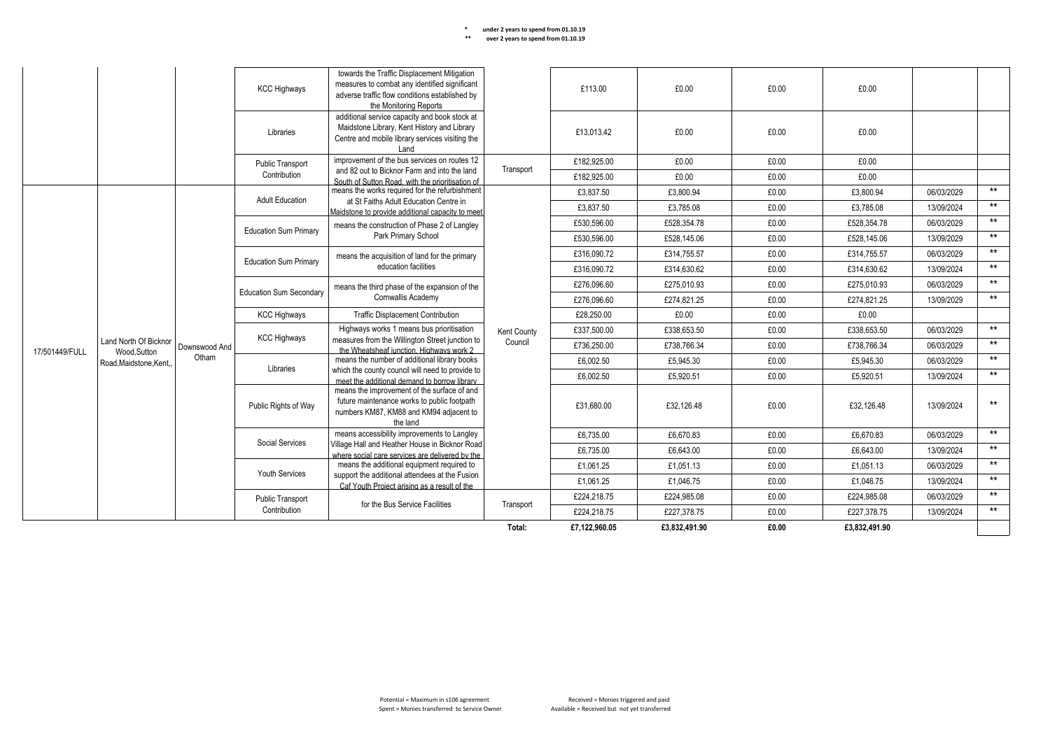#### **KCC Highways** towards the Traffic Displacement Mitigation measures to combat any identified significant adverse traffic flow conditions established by the Monitoring Reports £113.00 £0.00 £0.00 £0.00 Libraries additional service capacity and book stock at Maidstone Library, Kent History and Library Centre and mobile library services visiting the Land £13,013.42 £0.00 £0.00 £0.00 Public Transport **Contribution** improvement of the bus services on routes 12 and 82 out to Bicknor Farm and into the land South of Sutton Road, with the prioritisation of means the works required for the refurbishment at St Faiths Adult Education Centre in Maidstone to provide additional capacity to meet Education Sum Primary | means the construction of Phase 2 of Langley Park Primary School consultation with the appropriate Bus Service Education Sum Primary Fundans the acquisition of land for the primary **Transport** £182,925.00 £0.00 £0.00 £0.00 £182,925.00 £0.00 £0.00 £0.00 17/501449/FULL Land North Of Bicknor Wood, Sutton Road,Maidstone,Kent, Downswood And Otham Adult Education Kent County Council £3,837.50 £3,800.94 £0.00 £3,800.94 06/03/2029 \*\* £3,837.50 £3,785.08 £0.00 £3,785.08 13/09/2024 \*\* £530,596.00 £528,354.78 £0.00 £528,354.78 06/03/2029 \*\* £530,596.00 £528,145.06 £0.00 £528,145.06 13/09/2029 \*\* education facilities £316,090.72 £314,755.57 £0.00 £314,755.57 06/03/2029 \*\* £316,090.72 £314,630.62 £0.00 £314,630.62 13/09/2024 \*\* Education Sum Secondary  $\parallel$  means the third phase of the expansion of the Cornwallis Academy £276,096.60 £275,010.93 £0.00 £275,010.93 06/03/2029 \*\* £276,096.60 £274,821.25 £0.00 £274,821.25 13/09/2029 \*\* KCC Highways Traffic Displacement Contribution £28,250.00 £0.00 £0.00 £0.00 **KCC Highways** Highways works 1 means bus prioritisation measures from the Willington Street junction to the Wheatsheaf junction. Highways work 2 means the number of additional library books which the county council will need to provide to £337,500.00 £338,653.50 £0.00 £338,653.50 06/03/2029 \*\* £736,250.00 £738,766.34 £0.00 £738,766.34 06/03/2029 \*\* Libraries meet the additional demand to borrow library means the improvement of the surface of and future maintenance works to public footpath numbers KM87, KM88 and KM94 adjacent to countries and the land £6,002.50 £5,945.30 £0.00 £5,945.30 06/03/2029 \*\* £6,002.50 £5,920.51 £0.00 £5,920.51 13/09/2024 \*\* Public Rights of Way £31,680.00 £32,126.48 £0.00 £32,126.48 13/09/2024 \*\* Social Services means accessibility improvements to Langley Village Hall and Heather House in Bicknor Road where social care services are delivered by the means the additional equipment required to £6,735.00 £6,670.83 £0.00 £6,670.83 06/03/2029 \*\* £6,735.00 £6,643.00 £0.00 £6,643.00 13/09/2024 \*\* Youth Services support the additional attendees at the Fusion Caf Youth Project arising as a result of the ublic Transport **of the Bus Service Facilities** Transport **Transport** £1,061.25 £1,051.13 £0.00 £1,051.13 06/03/2029 \*\* £1,061.25 £1,046.75 £0.00 £1,046.75 13/09/2024 \*\* Public Transport £224,218.75 £224,985.08 £0.00 £224,985.08 06/03/2029 \*\* £224,218.75 £227,378.75 £0.00 £227,378.75 13/09/2024 \*\* **Total: £7,122,960.05 £3,832,491.90 £0.00 £3,832,491.90**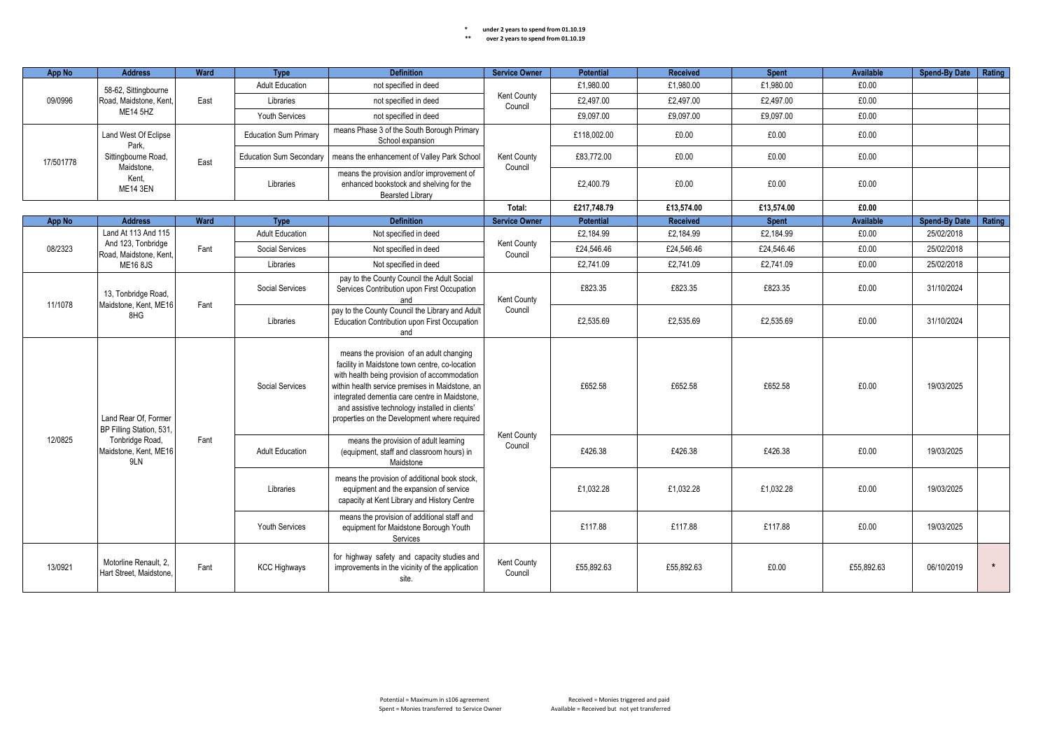| App No                                  | <b>Address</b>                                   | Ward      | Type                                                                                                   | <b>Definition</b>                                                                                                                                                                                                                                                                                                                                | <b>Service Owner</b>                                                                                                                   | <b>Potential</b> | <b>Received</b> | <b>Spent</b> | Available  | <b>Spend-By Date</b> | Rating     |  |
|-----------------------------------------|--------------------------------------------------|-----------|--------------------------------------------------------------------------------------------------------|--------------------------------------------------------------------------------------------------------------------------------------------------------------------------------------------------------------------------------------------------------------------------------------------------------------------------------------------------|----------------------------------------------------------------------------------------------------------------------------------------|------------------|-----------------|--------------|------------|----------------------|------------|--|
|                                         | 58-62, Sittingbourne                             |           | <b>Adult Education</b>                                                                                 | not specified in deed                                                                                                                                                                                                                                                                                                                            |                                                                                                                                        | £1,980.00        | £1,980.00       | £1,980.00    | £0.00      |                      |            |  |
| 09/0996                                 | Road, Maidstone, Kent,                           | East      | Libraries                                                                                              | not specified in deed                                                                                                                                                                                                                                                                                                                            | Kent County<br>Council                                                                                                                 | £2,497.00        | £2,497.00       | £2,497.00    | £0.00      |                      |            |  |
|                                         | <b>ME14 5HZ</b>                                  |           | <b>Youth Services</b>                                                                                  | not specified in deed                                                                                                                                                                                                                                                                                                                            |                                                                                                                                        | £9,097.00        | £9,097.00       | £9,097.00    | £0.00      |                      |            |  |
|                                         | Land West Of Eclipse<br>Park,                    |           | <b>Education Sum Primary</b>                                                                           | means Phase 3 of the South Borough Primary<br>School expansion                                                                                                                                                                                                                                                                                   |                                                                                                                                        | £118,002.00      | £0.00           | £0.00        | £0.00      |                      |            |  |
| 17/501778                               | Sittingbourne Road,<br>Maidstone.                | East      | <b>Education Sum Secondary</b>                                                                         | means the enhancement of Valley Park School                                                                                                                                                                                                                                                                                                      | Kent County<br>Council                                                                                                                 | £83,772.00       | £0.00           | £0.00        | £0.00      |                      |            |  |
|                                         | Kent.<br><b>ME14 3EN</b>                         |           | Libraries                                                                                              | means the provision and/or improvement of<br>enhanced bookstock and shelving for the<br><b>Bearsted Library</b>                                                                                                                                                                                                                                  |                                                                                                                                        | £2,400.79        | £0.00           | £0.00        | £0.00      |                      |            |  |
|                                         |                                                  |           |                                                                                                        |                                                                                                                                                                                                                                                                                                                                                  | Total:                                                                                                                                 | £217,748.79      | £13.574.00      | £13,574.00   | £0.00      |                      |            |  |
| App No                                  | <b>Address</b>                                   | Ward      | <b>Type</b>                                                                                            | <b>Definition</b>                                                                                                                                                                                                                                                                                                                                | <b>Service Owner</b>                                                                                                                   | <b>Potential</b> | <b>Received</b> | <b>Spent</b> | Available  | <b>Spend-By Date</b> | Rating     |  |
|                                         | Land At 113 And 115                              |           | <b>Adult Education</b>                                                                                 | Not specified in deed                                                                                                                                                                                                                                                                                                                            |                                                                                                                                        | £2.184.99        | £2.184.99       | £2.184.99    | £0.00      | 25/02/2018           |            |  |
| 08/2323                                 | And 123, Tonbridge<br>Road, Maidstone, Kent,     | Fant      | Social Services                                                                                        | Not specified in deed                                                                                                                                                                                                                                                                                                                            | Kent County<br>Council                                                                                                                 | £24,546.46       | £24,546.46      | £24,546.46   | £0.00      | 25/02/2018           |            |  |
|                                         | <b>ME16 8JS</b>                                  |           | Libraries                                                                                              | Not specified in deed                                                                                                                                                                                                                                                                                                                            |                                                                                                                                        | £2,741.09        | £2,741.09       | £2,741.09    | £0.00      | 25/02/2018           |            |  |
|                                         | 13, Tonbridge Road,                              |           | Social Services                                                                                        | pay to the County Council the Adult Social<br>Services Contribution upon First Occupation<br>and                                                                                                                                                                                                                                                 | Kent County                                                                                                                            | £823.35          | £823.35         | £823.35      | £0.00      | 31/10/2024           |            |  |
| 11/1078<br>Maidstone, Kent, ME16<br>8HG | Fant                                             | Libraries | pay to the County Council the Library and Adult<br>Education Contribution upon First Occupation<br>and | Council                                                                                                                                                                                                                                                                                                                                          | £2,535.69                                                                                                                              | £2,535.69        | £2,535.69       | £0.00        | 31/10/2024 |                      |            |  |
|                                         | Land Rear Of. Former<br>BP Filling Station, 531, |           | Social Services                                                                                        | means the provision of an adult changing<br>facility in Maidstone town centre, co-location<br>with health being provision of accommodation<br>within health service premises in Maidstone, an<br>integrated dementia care centre in Maidstone,<br>and assistive technology installed in clients'<br>properties on the Development where required |                                                                                                                                        | £652.58          | £652.58         | £652.58      | £0.00      | 19/03/2025           |            |  |
| 12/0825                                 | Tonbridge Road,<br>Maidstone, Kent, ME16<br>9LN  | Fant      | <b>Adult Education</b>                                                                                 | means the provision of adult learning<br>(equipment, staff and classroom hours) in<br>Maidstone                                                                                                                                                                                                                                                  | Kent County<br>Council                                                                                                                 | £426.38          | £426.38         | £426.38      | £0.00      | 19/03/2025           |            |  |
|                                         |                                                  |           |                                                                                                        | Libraries                                                                                                                                                                                                                                                                                                                                        | means the provision of additional book stock,<br>equipment and the expansion of service<br>capacity at Kent Library and History Centre |                  | £1.032.28       | £1.032.28    | £1.032.28  | £0.00                | 19/03/2025 |  |
|                                         |                                                  |           | <b>Youth Services</b>                                                                                  | means the provision of additional staff and<br>equipment for Maidstone Borough Youth<br>Services                                                                                                                                                                                                                                                 |                                                                                                                                        | £117.88          | £117.88         | £117.88      | £0.00      | 19/03/2025           |            |  |
| 13/0921                                 | Motorline Renault, 2.<br>Hart Street. Maidstone. | Fant      | <b>KCC Highways</b>                                                                                    | for highway safety and capacity studies and<br>improvements in the vicinity of the application<br>site.                                                                                                                                                                                                                                          | Kent County<br>Council                                                                                                                 | £55.892.63       | £55.892.63      | £0.00        | £55.892.63 | 06/10/2019           | $\star$    |  |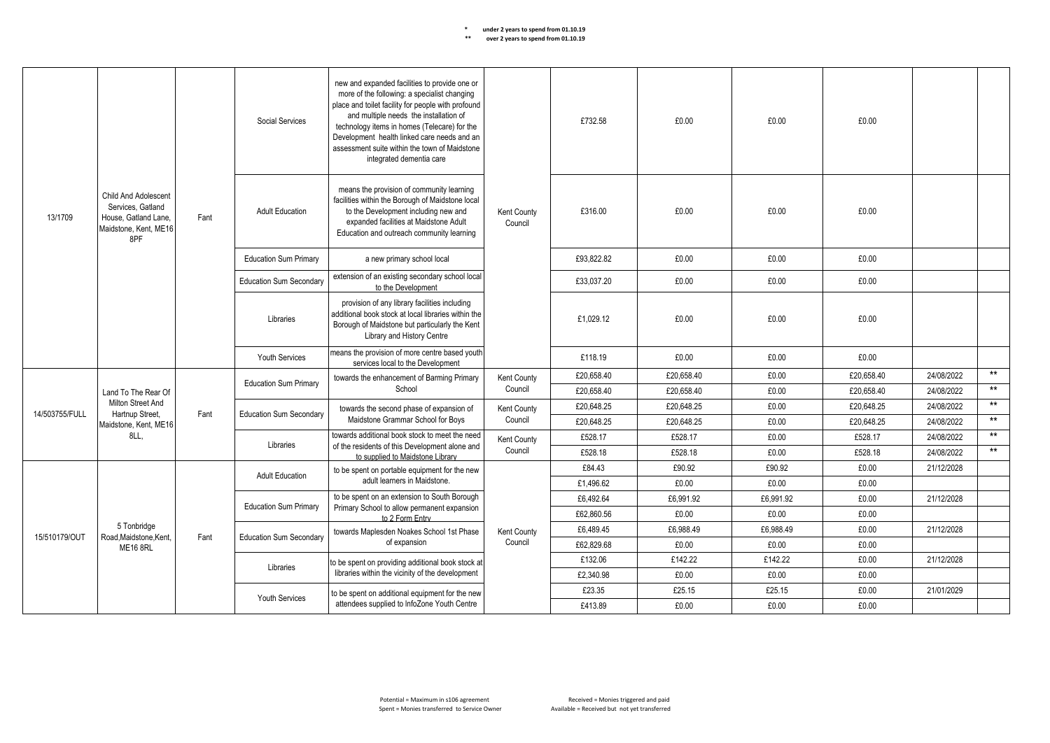|                                         |                                                                                                   |           | Social Services                                                                                                                                                                      | new and expanded facilities to provide one or<br>more of the following: a specialist changing<br>place and toilet facility for people with profound<br>and multiple needs the installation of<br>technology items in homes (Telecare) for the<br>Development health linked care needs and an<br>assessment suite within the town of Maidstone<br>integrated dementia care |                        | £732.58    | £0.00      | £0.00     | £0.00      |            |       |
|-----------------------------------------|---------------------------------------------------------------------------------------------------|-----------|--------------------------------------------------------------------------------------------------------------------------------------------------------------------------------------|---------------------------------------------------------------------------------------------------------------------------------------------------------------------------------------------------------------------------------------------------------------------------------------------------------------------------------------------------------------------------|------------------------|------------|------------|-----------|------------|------------|-------|
| 13/1709                                 | Child And Adolescent<br>Services, Gatland<br>House, Gatland Lane,<br>Maidstone, Kent, ME16<br>8PF | Fant      | <b>Adult Education</b>                                                                                                                                                               | means the provision of community learning<br>facilities within the Borough of Maidstone local<br>to the Development including new and<br>expanded facilities at Maidstone Adult<br>Education and outreach community learning                                                                                                                                              | Kent County<br>Council | £316.00    | £0.00      | £0.00     | £0.00      |            |       |
|                                         |                                                                                                   |           | <b>Education Sum Primary</b>                                                                                                                                                         | a new primary school local                                                                                                                                                                                                                                                                                                                                                |                        | £93.822.82 | £0.00      | £0.00     | £0.00      |            |       |
|                                         |                                                                                                   |           | <b>Education Sum Secondary</b>                                                                                                                                                       | extension of an existing secondary school local<br>to the Development                                                                                                                                                                                                                                                                                                     |                        | £33,037.20 | £0.00      | £0.00     | £0.00      |            |       |
|                                         |                                                                                                   | Libraries | provision of any library facilities including<br>additional book stock at local libraries within the<br>Borough of Maidstone but particularly the Kent<br>Library and History Centre |                                                                                                                                                                                                                                                                                                                                                                           | £1.029.12              | £0.00      | £0.00      | £0.00     |            |            |       |
|                                         |                                                                                                   |           | Youth Services                                                                                                                                                                       | means the provision of more centre based youth<br>services local to the Development                                                                                                                                                                                                                                                                                       |                        | £118.19    | £0.00      | £0.00     | £0.00      |            |       |
|                                         |                                                                                                   |           |                                                                                                                                                                                      | towards the enhancement of Barming Primary                                                                                                                                                                                                                                                                                                                                | Kent County            | £20.658.40 | £20.658.40 | £0.00     | £20.658.40 | 24/08/2022 | $***$ |
|                                         | Land To The Rear Of                                                                               |           | <b>Education Sum Primary</b>                                                                                                                                                         | School                                                                                                                                                                                                                                                                                                                                                                    | Council                | £20,658.40 | £20.658.40 | £0.00     | £20.658.40 | 24/08/2022 | $***$ |
| 14/503755/FULL                          | Milton Street And<br>Hartnup Street,                                                              | Fant      | <b>Education Sum Secondary</b>                                                                                                                                                       | towards the second phase of expansion of                                                                                                                                                                                                                                                                                                                                  | <b>Kent County</b>     | £20,648.25 | £20,648.25 | £0.00     | £20,648.25 | 24/08/2022 | $***$ |
|                                         | Maidstone, Kent, ME16                                                                             |           |                                                                                                                                                                                      | Maidstone Grammar School for Boys                                                                                                                                                                                                                                                                                                                                         | Council                | £20.648.25 | £20.648.25 | £0.00     | £20.648.25 | 24/08/2022 | $***$ |
|                                         | 8LL.                                                                                              |           | Libraries                                                                                                                                                                            | towards additional book stock to meet the need                                                                                                                                                                                                                                                                                                                            | Kent County            | £528.17    | £528.17    | £0.00     | £528.17    | 24/08/2022 | $***$ |
|                                         |                                                                                                   |           |                                                                                                                                                                                      | of the residents of this Development alone and<br>to supplied to Maidstone Library                                                                                                                                                                                                                                                                                        | Council                | £528.18    | £528.18    | £0.00     | £528.18    | 24/08/2022 | $***$ |
|                                         |                                                                                                   |           | <b>Adult Education</b>                                                                                                                                                               | to be spent on portable equipment for the new                                                                                                                                                                                                                                                                                                                             |                        | £84.43     | £90.92     | £90.92    | £0.00      | 21/12/2028 |       |
|                                         |                                                                                                   |           |                                                                                                                                                                                      | adult learners in Maidstone.                                                                                                                                                                                                                                                                                                                                              |                        | £1,496.62  | £0.00      | £0.00     | £0.00      |            |       |
|                                         |                                                                                                   |           | <b>Education Sum Primary</b>                                                                                                                                                         | to be spent on an extension to South Borough<br>Primary School to allow permanent expansion                                                                                                                                                                                                                                                                               |                        | £6.492.64  | £6.991.92  | £6.991.92 | £0.00      | 21/12/2028 |       |
|                                         |                                                                                                   |           |                                                                                                                                                                                      | to 2 Form Entry                                                                                                                                                                                                                                                                                                                                                           |                        | £62,860.56 | £0.00      | £0.00     | £0.00      |            |       |
| 15/510179/OUT                           | 5 Tonbridge                                                                                       | Fant      | <b>Education Sum Secondary</b>                                                                                                                                                       | towards Maplesden Noakes School 1st Phase                                                                                                                                                                                                                                                                                                                                 | Kent County            | £6.489.45  | £6.988.49  | £6.988.49 | £0.00      | 21/12/2028 |       |
| Road.Maidstone.Kent.<br><b>ME16 8RL</b> |                                                                                                   |           | of expansion                                                                                                                                                                         | Council                                                                                                                                                                                                                                                                                                                                                                   | £62,829.68             | £0.00      | £0.00      | £0.00     |            |            |       |
|                                         |                                                                                                   |           | Libraries                                                                                                                                                                            | to be spent on providing additional book stock at                                                                                                                                                                                                                                                                                                                         |                        | £132.06    | £142.22    | £142.22   | £0.00      | 21/12/2028 |       |
|                                         |                                                                                                   |           |                                                                                                                                                                                      | libraries within the vicinity of the development                                                                                                                                                                                                                                                                                                                          |                        | £2.340.98  | £0.00      | £0.00     | £0.00      |            |       |
|                                         |                                                                                                   |           | Youth Services                                                                                                                                                                       | to be spent on additional equipment for the new                                                                                                                                                                                                                                                                                                                           |                        | £23.35     | £25.15     | £25.15    | £0.00      | 21/01/2029 |       |
|                                         |                                                                                                   |           |                                                                                                                                                                                      | attendees supplied to InfoZone Youth Centre                                                                                                                                                                                                                                                                                                                               |                        | £413.89    | £0.00      | £0.00     | £0.00      |            |       |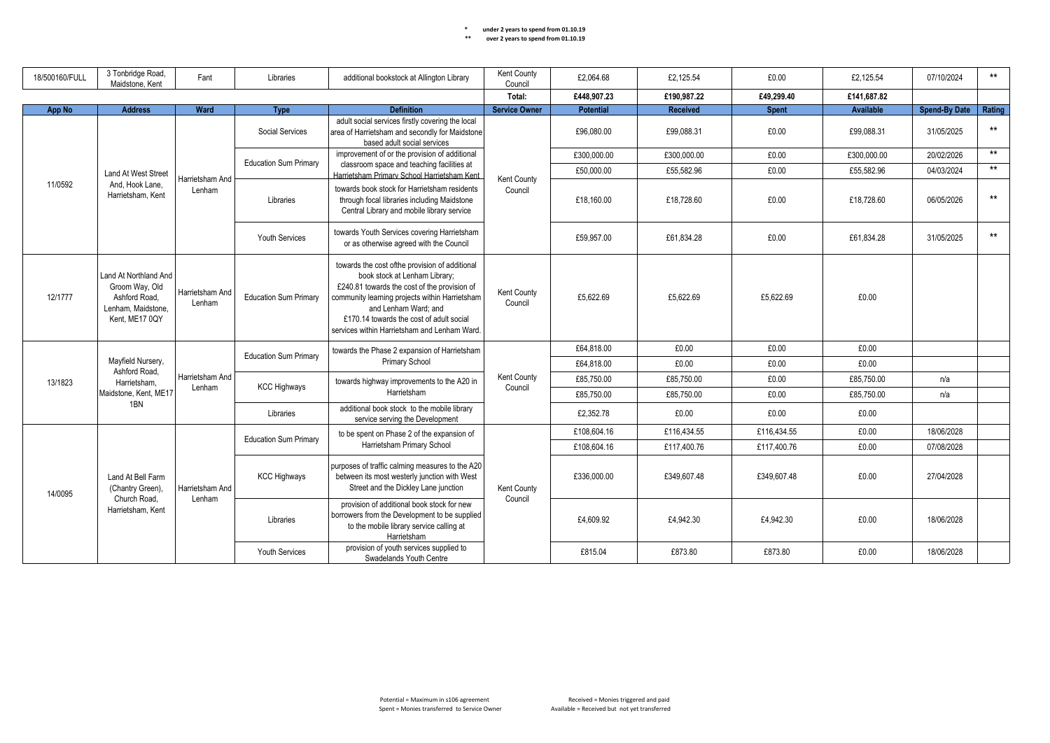| 18/500160/FULL                                                   | 3 Tonbridge Road,<br>Maidstone, Kent                                                             | Fant                      | Libraries                                                                                                                               | additional bookstock at Allington Library                                                                                                                                                                                                                                                             | Kent County<br>Council | £2,064.68   | £2,125.54   | £0.00        | £2,125.54   | 07/10/2024           | $***$  |
|------------------------------------------------------------------|--------------------------------------------------------------------------------------------------|---------------------------|-----------------------------------------------------------------------------------------------------------------------------------------|-------------------------------------------------------------------------------------------------------------------------------------------------------------------------------------------------------------------------------------------------------------------------------------------------------|------------------------|-------------|-------------|--------------|-------------|----------------------|--------|
|                                                                  |                                                                                                  |                           |                                                                                                                                         |                                                                                                                                                                                                                                                                                                       | Total:                 | £448,907.23 | £190.987.22 | £49,299.40   | £141.687.82 |                      |        |
| App No                                                           | <b>Address</b>                                                                                   | Ward                      | <b>Type</b>                                                                                                                             | <b>Definition</b>                                                                                                                                                                                                                                                                                     | <b>Service Owner</b>   | Potential   | Received    | <b>Spent</b> | Available   | <b>Spend-By Date</b> | Rating |
|                                                                  |                                                                                                  |                           | Social Services                                                                                                                         | adult social services firstly covering the local<br>area of Harrietsham and secondly for Maidstone<br>based adult social services                                                                                                                                                                     |                        | £96.080.00  | £99.088.31  | £0.00        | £99.088.31  | 31/05/2025           | $***$  |
|                                                                  |                                                                                                  |                           |                                                                                                                                         | improvement of or the provision of additional                                                                                                                                                                                                                                                         |                        | £300,000.00 | £300,000.00 | £0.00        | £300,000.00 | 20/02/2026           | $***$  |
|                                                                  | Land At West Street                                                                              |                           | <b>Education Sum Primary</b>                                                                                                            | classroom space and teaching facilities at<br>Harrietsham Primary School Harrietsham Kent                                                                                                                                                                                                             |                        | £50,000.00  | £55,582.96  | £0.00        | £55,582.96  | 04/03/2024           | $***$  |
| 11/0592                                                          | And, Hook Lane,<br>Harrietsham, Kent                                                             | Harrietsham And<br>Lenham | Libraries                                                                                                                               | towards book stock for Harrietsham residents<br>through focal libraries including Maidstone<br>Central Library and mobile library service                                                                                                                                                             | Kent County<br>Council | £18.160.00  | £18,728.60  | £0.00        | £18,728.60  | 06/05/2026           | $***$  |
|                                                                  |                                                                                                  |                           | <b>Youth Services</b>                                                                                                                   | towards Youth Services covering Harrietsham<br>or as otherwise agreed with the Council                                                                                                                                                                                                                |                        | £59.957.00  | £61.834.28  | £0.00        | £61.834.28  | 31/05/2025           | $***$  |
| 12/1777                                                          | Land At Northland And<br>Groom Way, Old<br>Ashford Road,<br>Lenham, Maidstone,<br>Kent. ME17 0QY | Harrietsham And<br>Lenham | <b>Education Sum Primary</b>                                                                                                            | towards the cost ofthe provision of additional<br>book stock at Lenham Library;<br>£240.81 towards the cost of the provision of<br>community learning projects within Harrietsham<br>and Lenham Ward; and<br>£170.14 towards the cost of adult social<br>services within Harrietsham and Lenham Ward. | Kent County<br>Council | £5,622.69   | £5,622.69   | £5,622.69    | £0.00       |                      |        |
|                                                                  |                                                                                                  |                           | <b>Education Sum Primary</b>                                                                                                            | towards the Phase 2 expansion of Harrietsham                                                                                                                                                                                                                                                          |                        | £64,818.00  | £0.00       | £0.00        | £0.00       |                      |        |
|                                                                  | Mayfield Nursery,<br>Ashford Road,                                                               |                           |                                                                                                                                         | <b>Primary School</b>                                                                                                                                                                                                                                                                                 |                        | £64,818.00  | £0.00       | £0.00        | £0.00       |                      |        |
| 13/1823                                                          | Harrietsham.                                                                                     | Harrietsham And           |                                                                                                                                         | towards highway improvements to the A20 in                                                                                                                                                                                                                                                            | Kent County            | £85.750.00  | £85.750.00  | £0.00        | £85.750.00  | n/a                  |        |
|                                                                  | Maidstone, Kent, ME17                                                                            | Lenham                    | <b>KCC Highways</b>                                                                                                                     | Harrietsham                                                                                                                                                                                                                                                                                           | Council                | £85,750.00  | £85,750.00  | £0.00        | £85,750.00  | n/a                  |        |
|                                                                  | 1BN                                                                                              |                           | Libraries                                                                                                                               | additional book stock to the mobile library<br>service serving the Development                                                                                                                                                                                                                        |                        | £2,352.78   | £0.00       | £0.00        | £0.00       |                      |        |
|                                                                  |                                                                                                  |                           | <b>Education Sum Primary</b>                                                                                                            | to be spent on Phase 2 of the expansion of                                                                                                                                                                                                                                                            |                        | £108,604.16 | £116,434.55 | £116,434.55  | £0.00       | 18/06/2028           |        |
|                                                                  |                                                                                                  |                           |                                                                                                                                         | Harrietsham Primary School                                                                                                                                                                                                                                                                            |                        | £108,604.16 | £117.400.76 | £117,400.76  | £0.00       | 07/08/2028           |        |
| Land At Bell Farm<br>(Chantry Green),<br>14/0095<br>Church Road. | Harrietsham And                                                                                  | <b>KCC Highways</b>       | purposes of traffic calming measures to the A20<br>between its most westerly junction with West<br>Street and the Dickley Lane junction | Kent County                                                                                                                                                                                                                                                                                           | £336,000.00            | £349,607.48 | £349.607.48 | £0.00        | 27/04/2028  |                      |        |
|                                                                  | Harrietsham, Kent                                                                                | Lenham                    | Libraries                                                                                                                               | provision of additional book stock for new<br>borrowers from the Development to be supplied<br>to the mobile library service calling at<br>Harrietsham                                                                                                                                                | Council                | £4,609.92   | £4,942.30   | £4,942.30    | £0.00       | 18/06/2028           |        |
|                                                                  |                                                                                                  |                           | Youth Services                                                                                                                          | provision of youth services supplied to<br>Swadelands Youth Centre                                                                                                                                                                                                                                    |                        | £815.04     | £873.80     | £873.80      | £0.00       | 18/06/2028           |        |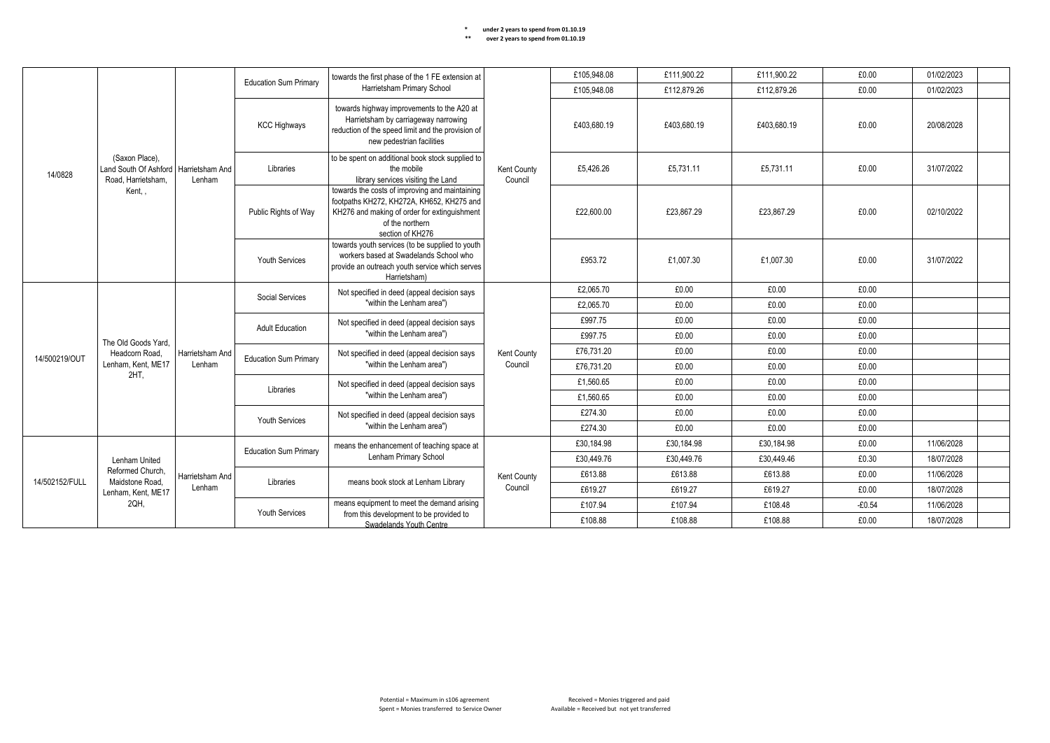|                |                                                                                 |                       | <b>Education Sum Primary</b>              | towards the first phase of the 1 FE extension at                                                                                                                                   |                        | £105.948.08    | £111,900.22                                                                                                                                                 | £111,900.22 | £0.00      | 01/02/2023 |           |       |            |  |
|----------------|---------------------------------------------------------------------------------|-----------------------|-------------------------------------------|------------------------------------------------------------------------------------------------------------------------------------------------------------------------------------|------------------------|----------------|-------------------------------------------------------------------------------------------------------------------------------------------------------------|-------------|------------|------------|-----------|-------|------------|--|
|                |                                                                                 |                       |                                           | Harrietsham Primary School                                                                                                                                                         |                        | £105,948.08    | £112,879.26                                                                                                                                                 | £112,879.26 | £0.00      | 01/02/2023 |           |       |            |  |
|                |                                                                                 |                       | <b>KCC Highways</b>                       | towards highway improvements to the A20 at<br>Harrietsham by carriageway narrowing<br>reduction of the speed limit and the provision of<br>new pedestrian facilities               |                        | £403.680.19    | £403.680.19                                                                                                                                                 | £403.680.19 | £0.00      | 20/08/2028 |           |       |            |  |
| 14/0828        | (Saxon Place),<br>Land South Of Ashford   Harrietsham And<br>Road, Harrietsham, | Lenham                | Libraries                                 | to be spent on additional book stock supplied to<br>the mobile<br>library services visiting the Land                                                                               | Kent County<br>Council | £5,426.26      | £5,731.11                                                                                                                                                   | £5,731.11   | £0.00      | 31/07/2022 |           |       |            |  |
|                | Kent.                                                                           |                       | Public Rights of Way                      | towards the costs of improving and maintaining<br>footpaths KH272, KH272A, KH652, KH275 and<br>KH276 and making of order for extinguishment<br>of the northern<br>section of KH276 |                        | £22.600.00     | £23.867.29                                                                                                                                                  | £23.867.29  | £0.00      | 02/10/2022 |           |       |            |  |
|                |                                                                                 |                       |                                           |                                                                                                                                                                                    |                        | Youth Services | towards youth services (to be supplied to youth<br>workers based at Swadelands School who<br>provide an outreach youth service which serves<br>Harrietsham) |             | £953.72    | £1,007.30  | £1.007.30 | £0.00 | 31/07/2022 |  |
|                |                                                                                 |                       | Social Services<br><b>Adult Education</b> | Not specified in deed (appeal decision says                                                                                                                                        |                        | £2,065.70      | £0.00                                                                                                                                                       | £0.00       | £0.00      |            |           |       |            |  |
|                |                                                                                 |                       |                                           | "within the Lenham area")                                                                                                                                                          |                        | £2,065.70      | £0.00                                                                                                                                                       | £0.00       | £0.00      |            |           |       |            |  |
|                |                                                                                 |                       |                                           | Not specified in deed (appeal decision says<br>"within the Lenham area")                                                                                                           |                        | £997.75        | £0.00                                                                                                                                                       | £0.00       | £0.00      |            |           |       |            |  |
|                | The Old Goods Yard.                                                             |                       |                                           |                                                                                                                                                                                    |                        | £997.75        | £0.00                                                                                                                                                       | £0.00       | £0.00      |            |           |       |            |  |
| 14/500219/OUT  | Headcorn Road,                                                                  | Harrietsham And       | <b>Education Sum Primary</b>              | Not specified in deed (appeal decision says                                                                                                                                        | Kent County            | £76,731.20     | £0.00                                                                                                                                                       | £0.00       | £0.00      |            |           |       |            |  |
|                | Lenham, Kent, ME17<br>2HT,                                                      | Lenham                |                                           | "within the Lenham area")                                                                                                                                                          | Council                | £76,731.20     | £0.00                                                                                                                                                       | £0.00       | £0.00      |            |           |       |            |  |
|                |                                                                                 |                       | Libraries                                 | Not specified in deed (appeal decision says                                                                                                                                        |                        | £1.560.65      | £0.00                                                                                                                                                       | £0.00       | £0.00      |            |           |       |            |  |
|                |                                                                                 |                       |                                           | "within the Lenham area")                                                                                                                                                          |                        | £1,560.65      | £0.00                                                                                                                                                       | £0.00       | £0.00      |            |           |       |            |  |
|                |                                                                                 |                       | Youth Services                            | Not specified in deed (appeal decision says                                                                                                                                        |                        | £274.30        | £0.00                                                                                                                                                       | £0.00       | £0.00      |            |           |       |            |  |
|                |                                                                                 |                       |                                           | "within the Lenham area")                                                                                                                                                          |                        | £274.30        | £0.00                                                                                                                                                       | £0.00       | £0.00      |            |           |       |            |  |
|                |                                                                                 |                       | <b>Education Sum Primary</b>              | means the enhancement of teaching space at                                                                                                                                         |                        | £30,184.98     | £30,184.98                                                                                                                                                  | £30,184.98  | £0.00      | 11/06/2028 |           |       |            |  |
|                | Lenham United                                                                   |                       |                                           | Lenham Primary School                                                                                                                                                              |                        | £30,449.76     | £30,449.76                                                                                                                                                  | £30,449.46  | £0.30      | 18/07/2028 |           |       |            |  |
| 14/502152/FULL | Reformed Church.<br>Maidstone Road.                                             | Harrietsham And       | Libraries                                 | means book stock at Lenham Library                                                                                                                                                 | Kent County            | £613.88        | £613.88                                                                                                                                                     | £613.88     | £0.00      | 11/06/2028 |           |       |            |  |
|                | Lenham, Kent, ME17                                                              | Lenham                |                                           |                                                                                                                                                                                    | Council                | £619.27        | £619.27                                                                                                                                                     | £619.27     | £0.00      | 18/07/2028 |           |       |            |  |
|                | 2QH,                                                                            |                       |                                           | means equipment to meet the demand arising<br>from this development to be provided to                                                                                              |                        | £107.94        | £107.94                                                                                                                                                     | £108.48     | $-£0.54$   | 11/06/2028 |           |       |            |  |
|                |                                                                                 | <b>Youth Services</b> | Swadelands Youth Centre                   |                                                                                                                                                                                    | £108.88                | £108.88        | £108.88                                                                                                                                                     | £0.00       | 18/07/2028 |            |           |       |            |  |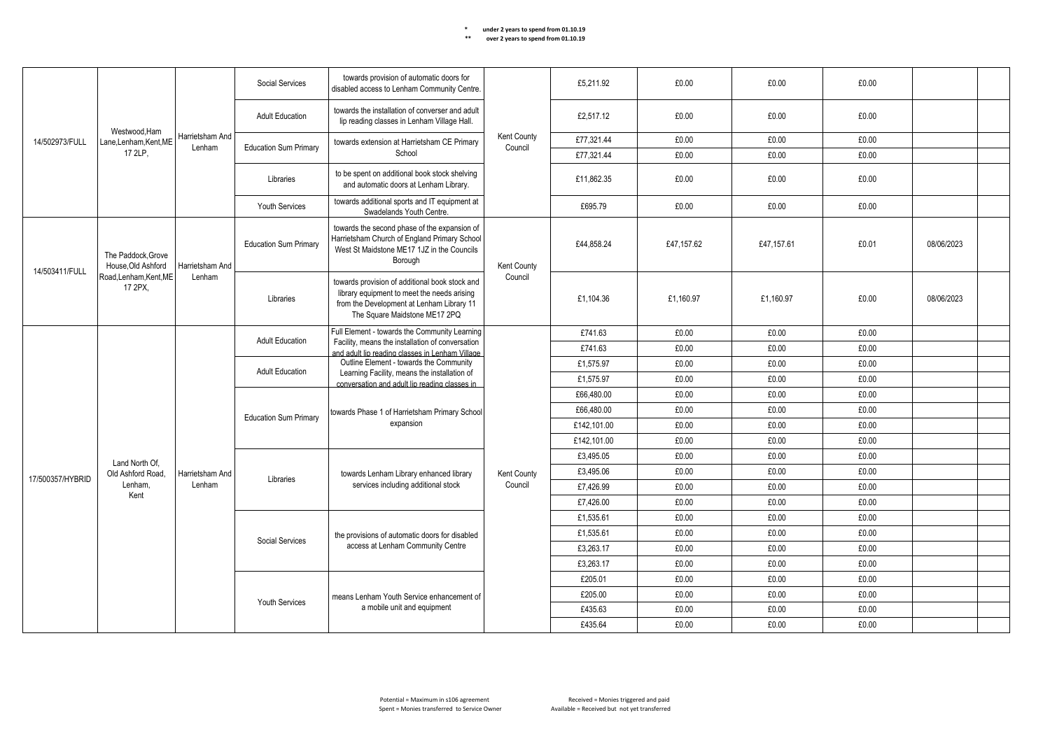|                  |                                         |                           | Social Services              | towards provision of automatic doors for<br>disabled access to Lenham Community Centre.                                                                                                |                        | £5,211.92   | £0.00      | £0.00      | £0.00      |            |  |
|------------------|-----------------------------------------|---------------------------|------------------------------|----------------------------------------------------------------------------------------------------------------------------------------------------------------------------------------|------------------------|-------------|------------|------------|------------|------------|--|
|                  | Westwood.Ham                            |                           | <b>Adult Education</b>       | towards the installation of converser and adult<br>lip reading classes in Lenham Village Hall.                                                                                         |                        | £2,517.12   | £0.00      | £0.00      | £0.00      |            |  |
| 14/502973/FULL   | Lane.Lenham.Kent.ME                     | Harrietsham And<br>Lenham | <b>Education Sum Primary</b> | towards extension at Harrietsham CE Primary                                                                                                                                            | Kent County<br>Council | £77,321.44  | £0.00      | £0.00      | £0.00      |            |  |
|                  | 17 2LP,                                 |                           |                              | School                                                                                                                                                                                 |                        | £77.321.44  | £0.00      | £0.00      | £0.00      |            |  |
|                  |                                         |                           | Libraries                    | to be spent on additional book stock shelving<br>and automatic doors at Lenham Library.                                                                                                |                        | £11.862.35  | £0.00      | £0.00      | £0.00      |            |  |
|                  |                                         |                           | Youth Services               | towards additional sports and IT equipment at<br>Swadelands Youth Centre.                                                                                                              |                        | £695.79     | £0.00      | £0.00      | £0.00      |            |  |
| 14/503411/FULL   | The Paddock.Grove<br>House, Old Ashford | Harrietsham And           | <b>Education Sum Primary</b> | towards the second phase of the expansion of<br>Harrietsham Church of England Primary School<br>West St Maidstone ME17 1JZ in the Councils<br>Borough                                  | Kent County            | £44,858.24  | £47,157.62 | £47,157.61 | £0.01      | 08/06/2023 |  |
|                  | Road, Lenham, Kent, ME<br>17 2PX,       | Lenham                    | Libraries                    | Council<br>towards provision of additional book stock and<br>library equipment to meet the needs arising<br>from the Development at Lenham Library 11<br>The Square Maidstone ME17 2PQ | £1.104.36              | £1.160.97   | £1.160.97  | £0.00      | 08/06/2023 |            |  |
|                  |                                         |                           |                              | Full Element - towards the Community Learning                                                                                                                                          |                        | £741.63     | £0.00      | £0.00      | £0.00      |            |  |
|                  |                                         |                           | <b>Adult Education</b>       | Facility, means the installation of conversation<br>and adult lip reading classes in Lenham Village                                                                                    |                        | £741.63     | £0.00      | £0.00      | £0.00      |            |  |
|                  |                                         |                           | <b>Adult Education</b>       | Outline Element - towards the Community                                                                                                                                                |                        | £1,575.97   | £0.00      | £0.00      | £0.00      |            |  |
|                  |                                         |                           |                              | Learning Facility, means the installation of<br>conversation and adult lip reading classes in                                                                                          |                        | £1,575.97   | £0.00      | £0.00      | £0.00      |            |  |
|                  |                                         |                           |                              |                                                                                                                                                                                        |                        | £66,480.00  | £0.00      | £0.00      | £0.00      |            |  |
|                  |                                         |                           | <b>Education Sum Primary</b> | towards Phase 1 of Harrietsham Primary School                                                                                                                                          |                        | £66,480.00  | £0.00      | £0.00      | £0.00      |            |  |
|                  |                                         |                           |                              | expansion                                                                                                                                                                              |                        | £142.101.00 | £0.00      | £0.00      | £0.00      |            |  |
|                  |                                         |                           |                              |                                                                                                                                                                                        |                        | £142,101.00 | £0.00      | £0.00      | £0.00      |            |  |
|                  | Land North Of.                          |                           |                              |                                                                                                                                                                                        |                        | £3,495.05   | £0.00      | £0.00      | £0.00      |            |  |
| 17/500357/HYBRID | Old Ashford Road.                       | Harrietsham And           | Libraries                    | towards Lenham Library enhanced library                                                                                                                                                | Kent County            | £3,495.06   | £0.00      | £0.00      | £0.00      |            |  |
|                  | Lenham.                                 | Lenham                    |                              | services including additional stock                                                                                                                                                    | Council                | £7,426.99   | £0.00      | £0.00      | £0.00      |            |  |
|                  | Kent                                    |                           |                              |                                                                                                                                                                                        |                        | £7,426.00   | £0.00      | £0.00      | £0.00      |            |  |
|                  |                                         |                           |                              |                                                                                                                                                                                        |                        | £1,535.61   | £0.00      | £0.00      | £0.00      |            |  |
|                  |                                         |                           | Social Services              | the provisions of automatic doors for disabled                                                                                                                                         |                        | £1,535.61   | £0.00      | £0.00      | £0.00      |            |  |
|                  |                                         |                           |                              | access at Lenham Community Centre                                                                                                                                                      |                        | £3.263.17   | £0.00      | £0.00      | £0.00      |            |  |
|                  |                                         |                           |                              |                                                                                                                                                                                        |                        | £3,263.17   | £0.00      | £0.00      | £0.00      |            |  |
|                  |                                         |                           |                              |                                                                                                                                                                                        |                        | £205.01     | £0.00      | £0.00      | £0.00      |            |  |
|                  |                                         |                           |                              | means Lenham Youth Service enhancement of                                                                                                                                              |                        | £205.00     | £0.00      | £0.00      | £0.00      |            |  |
|                  |                                         |                           | Youth Services               | a mobile unit and equipment                                                                                                                                                            |                        | £435.63     | £0.00      | £0.00      | £0.00      |            |  |
|                  |                                         |                           |                              |                                                                                                                                                                                        |                        | £435.64     | £0.00      | £0.00      | £0.00      |            |  |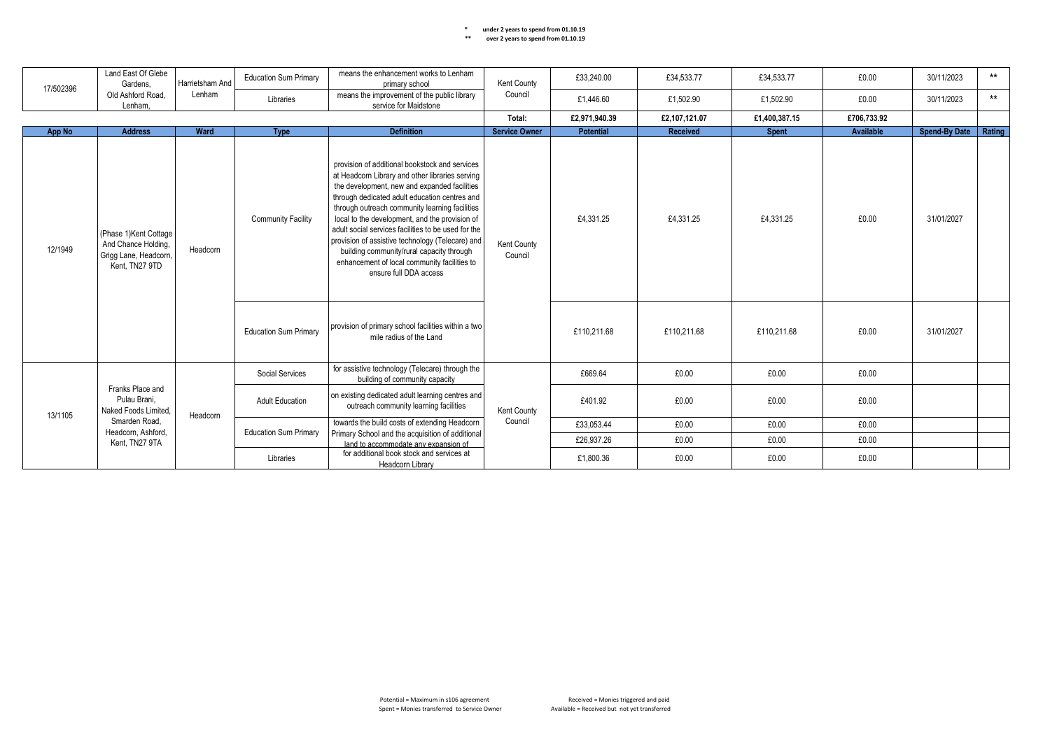| Land East Of Glebe<br>Gardens.<br>17/502396<br>Old Ashford Road. | Harrietsham And                                                                          | <b>Education Sum Primary</b> | means the enhancement works to Lenham<br>primary school       | Kent County                                                                                                                                                                                                                                                                                                                                                                                                                                                                                                                              | £33,240.00             | £34,533.77       | £34,533.77    | £0.00         | 30/11/2023  | $***$                |        |
|------------------------------------------------------------------|------------------------------------------------------------------------------------------|------------------------------|---------------------------------------------------------------|------------------------------------------------------------------------------------------------------------------------------------------------------------------------------------------------------------------------------------------------------------------------------------------------------------------------------------------------------------------------------------------------------------------------------------------------------------------------------------------------------------------------------------------|------------------------|------------------|---------------|---------------|-------------|----------------------|--------|
|                                                                  | Lenham.                                                                                  | Lenham                       | Libraries                                                     | means the improvement of the public library<br>service for Maidstone                                                                                                                                                                                                                                                                                                                                                                                                                                                                     | Council                | £1,446.60        | £1,502.90     | £1,502.90     | £0.00       | 30/11/2023           | $***$  |
|                                                                  |                                                                                          |                              |                                                               |                                                                                                                                                                                                                                                                                                                                                                                                                                                                                                                                          | Total:                 | £2,971,940.39    | £2,107,121.07 | £1,400,387.15 | £706,733.92 |                      |        |
| App No                                                           | <b>Address</b>                                                                           | Ward                         | <b>Type</b>                                                   | <b>Definition</b>                                                                                                                                                                                                                                                                                                                                                                                                                                                                                                                        | <b>Service Owner</b>   | <b>Potential</b> | Received      | <b>Spent</b>  | Available   | <b>Spend-By Date</b> | Rating |
| 12/1949                                                          | (Phase 1) Kent Cottage<br>And Chance Holding,<br>Grigg Lane, Headcorn,<br>Kent, TN27 9TD | Headcorn                     | <b>Community Facility</b>                                     | provision of additional bookstock and services<br>at Headcorn Library and other libraries serving<br>the development, new and expanded facilities<br>through dedicated adult education centres and<br>through outreach community learning facilities<br>local to the development, and the provision of<br>adult social services facilities to be used for the<br>provision of assistive technology (Telecare) and<br>building community/rural capacity through<br>enhancement of local community facilities to<br>ensure full DDA access | Kent County<br>Council | £4,331.25        | £4,331.25     | £4,331.25     | £0.00       | 31/01/2027           |        |
|                                                                  |                                                                                          |                              | <b>Education Sum Primary</b>                                  | provision of primary school facilities within a two<br>mile radius of the Land                                                                                                                                                                                                                                                                                                                                                                                                                                                           |                        | £110,211.68      | £110,211.68   | £110,211.68   | £0.00       | 31/01/2027           |        |
|                                                                  |                                                                                          |                              | Social Services                                               | for assistive technology (Telecare) through the<br>building of community capacity                                                                                                                                                                                                                                                                                                                                                                                                                                                        |                        | £669.64          | £0.00         | £0.00         | £0.00       |                      |        |
| 13/1105                                                          | Franks Place and<br>Pulau Brani.<br>Naked Foods Limited,                                 | Headcorn                     | <b>Adult Education</b>                                        | on existing dedicated adult learning centres and<br>outreach community learning facilities                                                                                                                                                                                                                                                                                                                                                                                                                                               | Kent County            | £401.92          | £0.00         | £0.00         | £0.00       |                      |        |
|                                                                  | Smarden Road.<br>Headcorn, Ashford,                                                      |                              | <b>Education Sum Primary</b>                                  | towards the build costs of extending Headcorn                                                                                                                                                                                                                                                                                                                                                                                                                                                                                            | Council                | £33,053.44       | £0.00         | £0.00         | £0.00       |                      |        |
|                                                                  | Kent, TN27 9TA                                                                           |                              |                                                               | Primary School and the acquisition of additional<br>land to accommodate any expansion of                                                                                                                                                                                                                                                                                                                                                                                                                                                 |                        | £26,937.26       | £0.00         | £0.00         | £0.00       |                      |        |
|                                                                  |                                                                                          | Libraries                    | for additional book stock and services at<br>Headcorn Library |                                                                                                                                                                                                                                                                                                                                                                                                                                                                                                                                          | £1,800.36              | £0.00            | £0.00         | £0.00         |             |                      |        |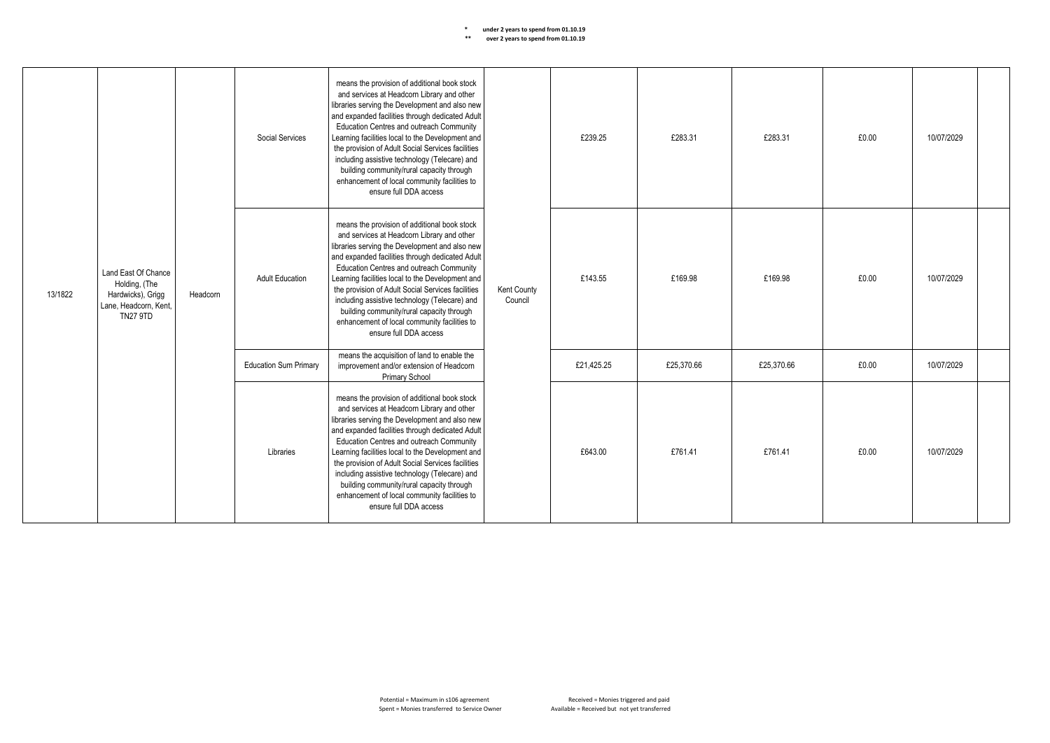|         |                                                                                                       |          | Social Services              | means the provision of additional book stock<br>and services at Headcorn Library and other<br>libraries serving the Development and also new<br>and expanded facilities through dedicated Adult<br>Education Centres and outreach Community<br>Learning facilities local to the Development and<br>the provision of Adult Social Services facilities<br>including assistive technology (Telecare) and<br>building community/rural capacity through<br>enhancement of local community facilities to<br>ensure full DDA access |                        | £239.25    | £283.31    | £283.31    | £0.00 | 10/07/2029 |  |
|---------|-------------------------------------------------------------------------------------------------------|----------|------------------------------|------------------------------------------------------------------------------------------------------------------------------------------------------------------------------------------------------------------------------------------------------------------------------------------------------------------------------------------------------------------------------------------------------------------------------------------------------------------------------------------------------------------------------|------------------------|------------|------------|------------|-------|------------|--|
| 13/1822 | Land East Of Chance<br>Holding, (The<br>Hardwicks), Grigg<br>Lane, Headcorn, Kent,<br><b>TN27 9TD</b> | Headcorn | <b>Adult Education</b>       | means the provision of additional book stock<br>and services at Headcorn Library and other<br>libraries serving the Development and also new<br>and expanded facilities through dedicated Adult<br>Education Centres and outreach Community<br>Learning facilities local to the Development and<br>the provision of Adult Social Services facilities<br>including assistive technology (Telecare) and<br>building community/rural capacity through<br>enhancement of local community facilities to<br>ensure full DDA access | Kent County<br>Council | £143.55    | £169.98    | £169.98    | £0.00 | 10/07/2029 |  |
|         |                                                                                                       |          | <b>Education Sum Primary</b> | means the acquisition of land to enable the<br>improvement and/or extension of Headcorn<br>Primary School                                                                                                                                                                                                                                                                                                                                                                                                                    |                        | £21,425.25 | £25,370.66 | £25,370.66 | £0.00 | 10/07/2029 |  |
|         |                                                                                                       |          | Libraries                    | means the provision of additional book stock<br>and services at Headcorn Library and other<br>libraries serving the Development and also new<br>and expanded facilities through dedicated Adult<br>Education Centres and outreach Community<br>Learning facilities local to the Development and<br>the provision of Adult Social Services facilities<br>including assistive technology (Telecare) and<br>building community/rural capacity through<br>enhancement of local community facilities to<br>ensure full DDA access |                        | £643.00    | £761.41    | £761.41    | £0.00 | 10/07/2029 |  |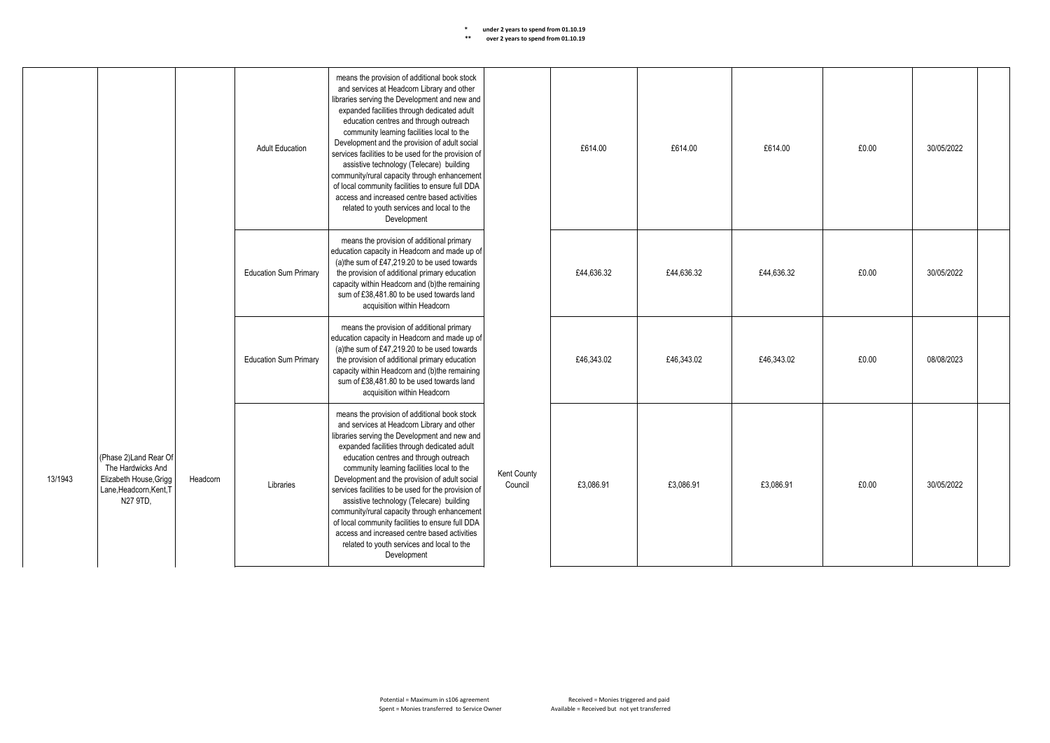|         |                                                                                                             |          | <b>Adult Education</b>       | means the provision of additional book stock<br>and services at Headcorn Library and other<br>libraries serving the Development and new and<br>expanded facilities through dedicated adult<br>education centres and through outreach<br>community learning facilities local to the<br>Development and the provision of adult social<br>services facilities to be used for the provision of<br>assistive technology (Telecare) building<br>community/rural capacity through enhancement<br>of local community facilities to ensure full DDA<br>access and increased centre based activities<br>related to youth services and local to the<br>Development |                        | £614.00    | £614.00    | £614.00    | £0.00 | 30/05/2022 |  |
|---------|-------------------------------------------------------------------------------------------------------------|----------|------------------------------|---------------------------------------------------------------------------------------------------------------------------------------------------------------------------------------------------------------------------------------------------------------------------------------------------------------------------------------------------------------------------------------------------------------------------------------------------------------------------------------------------------------------------------------------------------------------------------------------------------------------------------------------------------|------------------------|------------|------------|------------|-------|------------|--|
|         |                                                                                                             |          | <b>Education Sum Primary</b> | means the provision of additional primary<br>education capacity in Headcorn and made up of<br>(a) the sum of £47,219.20 to be used towards<br>the provision of additional primary education<br>capacity within Headcorn and (b)the remaining<br>sum of £38,481,80 to be used towards land<br>acquisition within Headcorn                                                                                                                                                                                                                                                                                                                                |                        | £44,636.32 | £44,636.32 | £44.636.32 | £0.00 | 30/05/2022 |  |
|         |                                                                                                             |          | <b>Education Sum Primary</b> | means the provision of additional primary<br>education capacity in Headcorn and made up of<br>(a) the sum of £47,219.20 to be used towards<br>the provision of additional primary education<br>capacity within Headcorn and (b)the remaining<br>sum of £38,481.80 to be used towards land<br>acquisition within Headcorn                                                                                                                                                                                                                                                                                                                                |                        | £46.343.02 | £46.343.02 | £46.343.02 | £0.00 | 08/08/2023 |  |
| 13/1943 | (Phase 2)Land Rear Of<br>The Hardwicks And<br>Elizabeth House, Grigg<br>Lane, Headcorn, Kent, T<br>N27 9TD, | Headcorn | Libraries                    | means the provision of additional book stock<br>and services at Headcorn Library and other<br>libraries serving the Development and new and<br>expanded facilities through dedicated adult<br>education centres and through outreach<br>community learning facilities local to the<br>Development and the provision of adult social<br>services facilities to be used for the provision of<br>assistive technology (Telecare) building<br>community/rural capacity through enhancement<br>of local community facilities to ensure full DDA<br>access and increased centre based activities<br>related to youth services and local to the<br>Development | Kent County<br>Council | £3.086.91  | £3.086.91  | £3.086.91  | £0.00 | 30/05/2022 |  |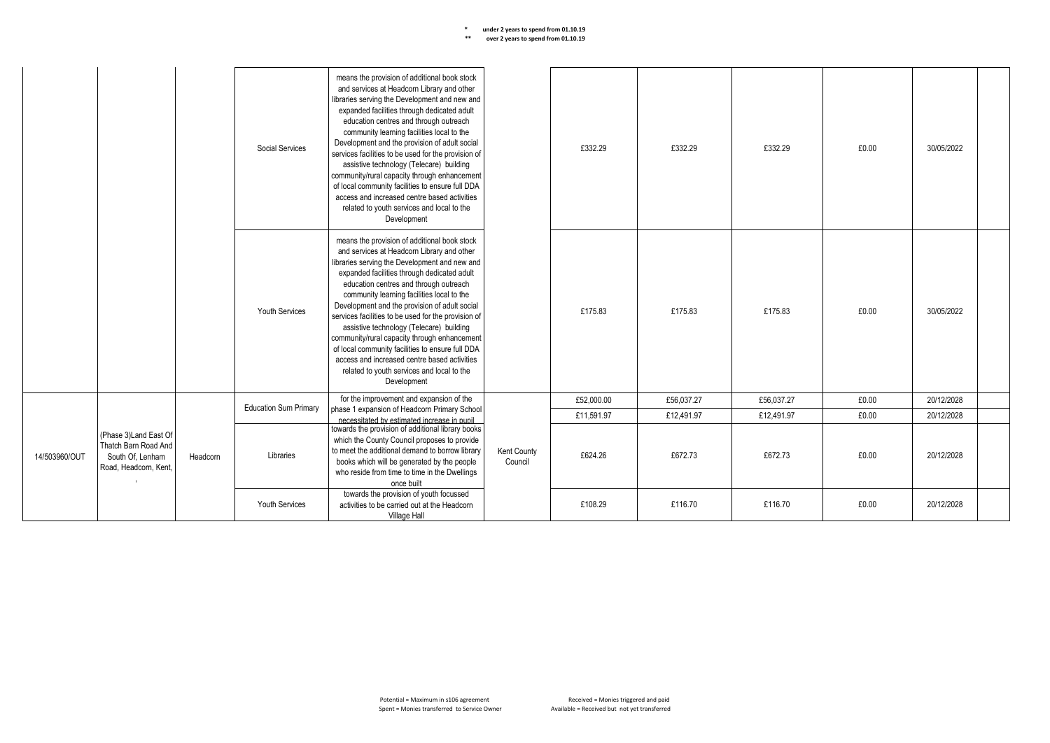|                                                                                                              |          |           | Social Services                                                                                                                                                                                                                                                    | means the provision of additional book stock<br>and services at Headcorn Library and other<br>libraries serving the Development and new and<br>expanded facilities through dedicated adult<br>education centres and through outreach<br>community learning facilities local to the<br>Development and the provision of adult social<br>services facilities to be used for the provision of<br>assistive technology (Telecare) building<br>community/rural capacity through enhancement<br>of local community facilities to ensure full DDA<br>access and increased centre based activities<br>related to youth services and local to the<br>Development |         | £332.29    | £332.29    | £332.29    | £0.00      | 30/05/2022 |  |
|--------------------------------------------------------------------------------------------------------------|----------|-----------|--------------------------------------------------------------------------------------------------------------------------------------------------------------------------------------------------------------------------------------------------------------------|---------------------------------------------------------------------------------------------------------------------------------------------------------------------------------------------------------------------------------------------------------------------------------------------------------------------------------------------------------------------------------------------------------------------------------------------------------------------------------------------------------------------------------------------------------------------------------------------------------------------------------------------------------|---------|------------|------------|------------|------------|------------|--|
|                                                                                                              |          |           | <b>Youth Services</b>                                                                                                                                                                                                                                              | means the provision of additional book stock<br>and services at Headcorn Library and other<br>libraries serving the Development and new and<br>expanded facilities through dedicated adult<br>education centres and through outreach<br>community learning facilities local to the<br>Development and the provision of adult social<br>services facilities to be used for the provision of<br>assistive technology (Telecare) building<br>community/rural capacity through enhancement<br>of local community facilities to ensure full DDA<br>access and increased centre based activities<br>related to youth services and local to the<br>Development |         | £175.83    | £175.83    | £175.83    | £0.00      | 30/05/2022 |  |
|                                                                                                              |          |           | <b>Education Sum Primary</b>                                                                                                                                                                                                                                       | for the improvement and expansion of the<br>phase 1 expansion of Headcorn Primary School                                                                                                                                                                                                                                                                                                                                                                                                                                                                                                                                                                |         | £52,000.00 | £56,037.27 | £56,037.27 | £0.00      | 20/12/2028 |  |
|                                                                                                              |          |           |                                                                                                                                                                                                                                                                    | necessitated by estimated increase in pupil                                                                                                                                                                                                                                                                                                                                                                                                                                                                                                                                                                                                             |         | £11,591.97 | £12,491.97 | £12,491.97 | £0.00      | 20/12/2028 |  |
| (Phase 3) Land East Of<br>Thatch Barn Road And<br>14/503960/OUT<br>South Of, Lenham<br>Road, Headcorn, Kent, | Headcorn | Libraries | towards the provision of additional library books<br>which the County Council proposes to provide<br>to meet the additional demand to borrow library<br>books which will be generated by the people<br>who reside from time to time in the Dwellings<br>once built | Kent County<br>Council                                                                                                                                                                                                                                                                                                                                                                                                                                                                                                                                                                                                                                  | £624.26 | £672.73    | £672.73    | £0.00      | 20/12/2028 |            |  |
|                                                                                                              |          |           | <b>Youth Services</b>                                                                                                                                                                                                                                              | towards the provision of youth focussed<br>activities to be carried out at the Headcorn<br>Village Hall                                                                                                                                                                                                                                                                                                                                                                                                                                                                                                                                                 |         | £108.29    | £116.70    | £116.70    | £0.00      | 20/12/2028 |  |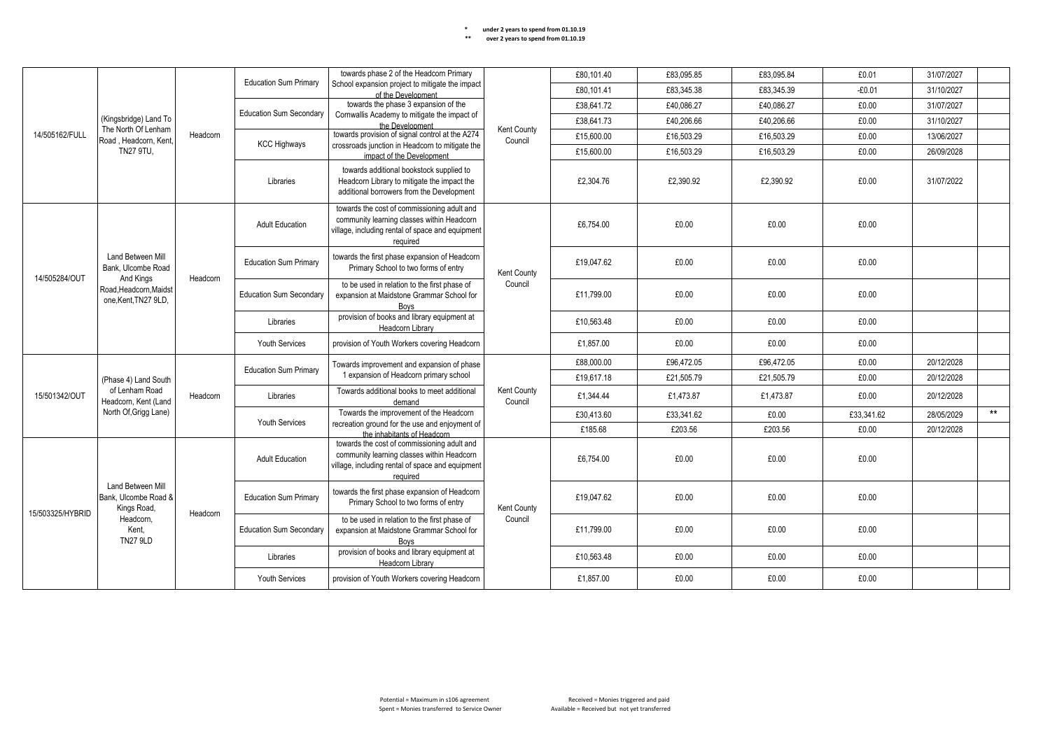| ** | over 2 years to spend from 01.10.19 |
|----|-------------------------------------|
|    |                                     |

|                                                                                                                              |                                                             |                                | towards phase 2 of the Headcorn Primary                                                           |                                                                                                                                                           | £80,101.40                    | £83,095.85 | £83,095.84 | £0.01      | 31/07/2027 |            |       |
|------------------------------------------------------------------------------------------------------------------------------|-------------------------------------------------------------|--------------------------------|---------------------------------------------------------------------------------------------------|-----------------------------------------------------------------------------------------------------------------------------------------------------------|-------------------------------|------------|------------|------------|------------|------------|-------|
|                                                                                                                              |                                                             |                                | <b>Education Sum Primary</b>                                                                      | School expansion project to mitigate the impact<br>of the Development                                                                                     |                               | £80.101.41 | £83.345.38 | £83.345.39 | $-£0.01$   | 31/10/2027 |       |
|                                                                                                                              |                                                             |                                |                                                                                                   | towards the phase 3 expansion of the                                                                                                                      |                               | £38,641.72 | £40,086.27 | £40,086.27 | £0.00      | 31/07/2027 |       |
|                                                                                                                              | (Kingsbridge) Land To                                       |                                | <b>Education Sum Secondary</b>                                                                    | Cornwallis Academy to mitigate the impact of<br>the Development                                                                                           |                               | £38,641.73 | £40,206.66 | £40,206.66 | £0.00      | 31/10/2027 |       |
| 14/505162/FULL                                                                                                               | The North Of Lenham<br>Road, Headcorn, Kent                 | Headcorn                       |                                                                                                   | towards provision of signal control at the A274                                                                                                           | Kent County<br>Council        | £15,600.00 | £16,503.29 | £16,503.29 | £0.00      | 13/06/2027 |       |
|                                                                                                                              | <b>TN27 9TU,</b>                                            |                                | <b>KCC Highways</b>                                                                               | crossroads junction in Headcorn to mitigate the<br>impact of the Development                                                                              |                               | £15,600.00 | £16,503.29 | £16,503.29 | £0.00      | 26/09/2028 |       |
|                                                                                                                              |                                                             |                                | Libraries                                                                                         | towards additional bookstock supplied to<br>Headcorn Library to mitigate the impact the<br>additional borrowers from the Development                      |                               | £2,304.76  | £2,390.92  | £2,390.92  | £0.00      | 31/07/2022 |       |
|                                                                                                                              |                                                             |                                | <b>Adult Education</b>                                                                            | towards the cost of commissioning adult and<br>community learning classes within Headcorn<br>village, including rental of space and equipment<br>required |                               | £6,754.00  | £0.00      | £0.00      | £0.00      |            |       |
|                                                                                                                              | <b>Land Between Mill</b><br>Bank. Ulcombe Road              | Headcorn                       | <b>Education Sum Primary</b>                                                                      | towards the first phase expansion of Headcorn<br>Primary School to two forms of entry                                                                     | Kent County                   | £19,047.62 | £0.00      | £0.00      | £0.00      |            |       |
| 14/505284/OUT                                                                                                                | And Kings<br>Road, Headcorn, Maidst<br>one, Kent, TN27 9LD, |                                | <b>Education Sum Secondary</b>                                                                    | to be used in relation to the first phase of<br>expansion at Maidstone Grammar School for<br>Boys                                                         | Council                       | £11,799.00 | £0.00      | £0.00      | £0.00      |            |       |
|                                                                                                                              |                                                             | Libraries                      | provision of books and library equipment at<br>Headcorn Library                                   |                                                                                                                                                           | £10,563.48                    | £0.00      | £0.00      | £0.00      |            |            |       |
|                                                                                                                              |                                                             |                                | <b>Youth Services</b>                                                                             | provision of Youth Workers covering Headcorn                                                                                                              |                               | £1,857.00  | £0.00      | £0.00      | £0.00      |            |       |
|                                                                                                                              |                                                             |                                | <b>Education Sum Primary</b>                                                                      | Towards improvement and expansion of phase<br>1 expansion of Headcorn primary school                                                                      |                               | £88,000.00 | £96.472.05 | £96,472.05 | £0.00      | 20/12/2028 |       |
|                                                                                                                              | (Phase 4) Land South                                        |                                |                                                                                                   |                                                                                                                                                           |                               | £19,617.18 | £21,505.79 | £21,505.79 | £0.00      | 20/12/2028 |       |
| 15/501342/OUT                                                                                                                | of Lenham Road<br>Headcorn, Kent (Land                      | Headcorn                       | Libraries                                                                                         | Towards additional books to meet additional<br>demand                                                                                                     | <b>Kent County</b><br>Council | £1,344.44  | £1,473.87  | £1,473.87  | £0.00      | 20/12/2028 |       |
|                                                                                                                              | North Of, Grigg Lane)                                       |                                | Youth Services                                                                                    | Towards the improvement of the Headcorn<br>recreation ground for the use and enjoyment of                                                                 |                               | £30,413.60 | £33,341.62 | £0.00      | £33,341.62 | 28/05/2029 | $***$ |
|                                                                                                                              |                                                             |                                |                                                                                                   | the inhabitants of Headcorn                                                                                                                               |                               | £185.68    | £203.56    | £203.56    | £0.00      | 20/12/2028 |       |
|                                                                                                                              |                                                             |                                | <b>Adult Education</b>                                                                            | towards the cost of commissioning adult and<br>community learning classes within Headcorn<br>village, including rental of space and equipment<br>required |                               | £6,754.00  | £0.00      | £0.00      | £0.00      |            |       |
| <b>Land Between Mill</b><br>Bank, Ulcombe Road &<br>Kings Road,<br>15/503325/HYBRID<br>Headcorn,<br>Kent,<br><b>TN27 9LD</b> |                                                             | <b>Education Sum Primary</b>   | towards the first phase expansion of Headcorn<br>Primary School to two forms of entry             | Kent County                                                                                                                                               | £19.047.62                    | £0.00      | £0.00      | £0.00      |            |            |       |
|                                                                                                                              | Headcorn                                                    | <b>Education Sum Secondary</b> | to be used in relation to the first phase of<br>expansion at Maidstone Grammar School for<br>Boys | Council                                                                                                                                                   | £11,799.00                    | £0.00      | £0.00      | £0.00      |            |            |       |
|                                                                                                                              |                                                             |                                | Libraries                                                                                         | provision of books and library equipment at<br>Headcorn Library                                                                                           |                               | £10,563.48 | £0.00      | £0.00      | £0.00      |            |       |
|                                                                                                                              |                                                             | Youth Services                 | provision of Youth Workers covering Headcorn                                                      |                                                                                                                                                           | £1,857.00                     | £0.00      | £0.00      | £0.00      |            |            |       |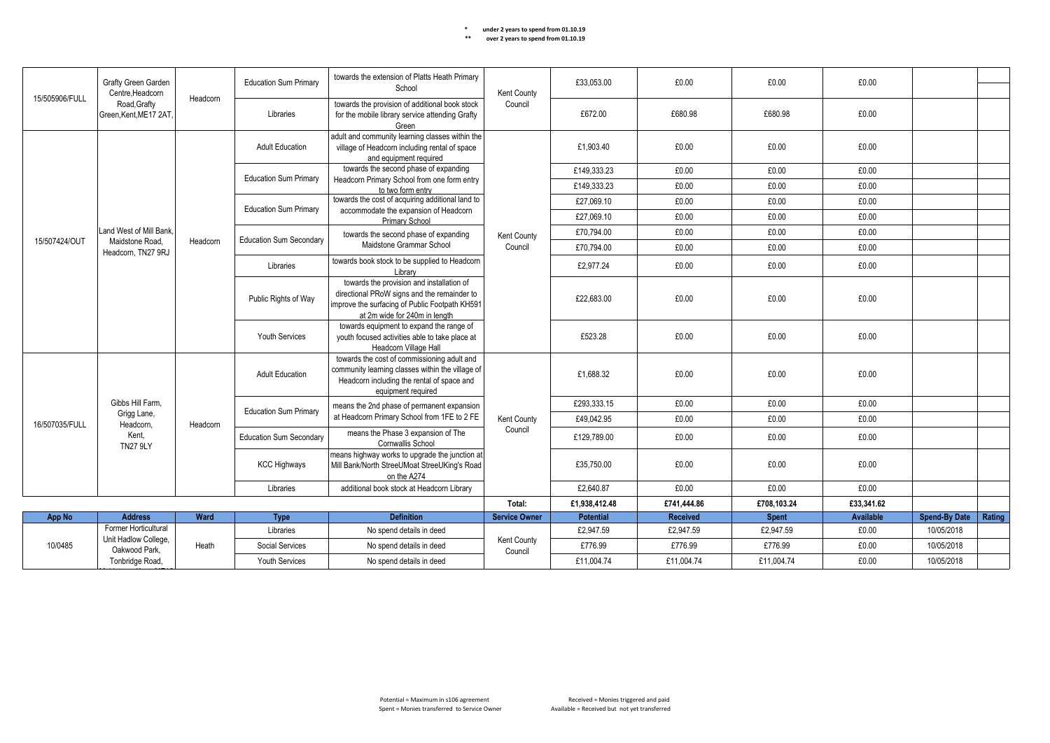| ** | over 2 years to spend from 01.10.19 |
|----|-------------------------------------|
|----|-------------------------------------|

|                | Grafty Green Garden<br>Centre.Headcorn<br>15/505906/FULL<br>Road, Grafty |          | <b>Education Sum Primary</b>   | towards the extension of Platts Heath Primary<br>School                                                                                                                     | Kent County          | £33,053,00       | £0.00           | £0.00        | £0.00      |                      |        |
|----------------|--------------------------------------------------------------------------|----------|--------------------------------|-----------------------------------------------------------------------------------------------------------------------------------------------------------------------------|----------------------|------------------|-----------------|--------------|------------|----------------------|--------|
|                | Green, Kent, ME17 2AT,                                                   | Headcorn | Libraries                      | towards the provision of additional book stock<br>for the mobile library service attending Grafty<br>Green                                                                  | Council              | £672.00          | £680.98         | £680.98      | £0.00      |                      |        |
|                |                                                                          |          | <b>Adult Education</b>         | adult and community learning classes within the<br>village of Headcorn including rental of space<br>and equipment required                                                  |                      | £1.903.40        | £0.00           | £0.00        | £0.00      |                      |        |
|                |                                                                          |          | <b>Education Sum Primary</b>   | towards the second phase of expanding                                                                                                                                       |                      | £149,333.23      | £0.00           | £0.00        | £0.00      |                      |        |
|                |                                                                          |          |                                | Headcorn Primary School from one form entry<br>to two form entry                                                                                                            |                      | £149,333.23      | £0.00           | £0.00        | £0.00      |                      |        |
|                |                                                                          |          | <b>Education Sum Primary</b>   | towards the cost of acquiring additional land to                                                                                                                            |                      | £27,069.10       | £0.00           | £0.00        | £0.00      |                      |        |
|                |                                                                          |          |                                | accommodate the expansion of Headcorn<br>Primary School                                                                                                                     |                      | £27,069.10       | £0.00           | £0.00        | £0.00      |                      |        |
|                | Land West of Mill Bank.                                                  |          | <b>Education Sum Secondary</b> | towards the second phase of expanding                                                                                                                                       | Kent County          | £70,794.00       | £0.00           | £0.00        | £0.00      |                      |        |
| 15/507424/OUT  | Maidstone Road.<br>Headcorn, TN27 9RJ                                    | Headcorn |                                | Maidstone Grammar School                                                                                                                                                    | Council              | £70,794.00       | £0.00           | £0.00        | £0.00      |                      |        |
|                |                                                                          |          | Libraries                      | towards book stock to be supplied to Headcorn<br>Library                                                                                                                    |                      | £2,977.24        | £0.00           | £0.00        | £0.00      |                      |        |
|                |                                                                          |          | Public Rights of Way           | towards the provision and installation of<br>directional PRoW signs and the remainder to<br>improve the surfacing of Public Footpath KH591<br>at 2m wide for 240m in length |                      | £22,683.00       | £0.00           | £0.00        | £0.00      |                      |        |
|                |                                                                          |          | <b>Youth Services</b>          | towards equipment to expand the range of<br>youth focused activities able to take place at<br>Headcorn Village Hall                                                         |                      | £523.28          | £0.00           | £0.00        | £0.00      |                      |        |
|                |                                                                          |          | <b>Adult Education</b>         | towards the cost of commissioning adult and<br>community learning classes within the village of<br>Headcorn including the rental of space and<br>equipment required         |                      | £1.688.32        | £0.00           | £0.00        | £0.00      |                      |        |
|                | Gibbs Hill Farm.                                                         |          | <b>Education Sum Primary</b>   | means the 2nd phase of permanent expansion                                                                                                                                  |                      | £293,333.15      | £0.00           | £0.00        | £0.00      |                      |        |
| 16/507035/FULL | Grigg Lane,<br>Headcorn.                                                 | Headcorn |                                | at Headcorn Primary School from 1FE to 2 FE                                                                                                                                 | Kent County          | £49.042.95       | £0.00           | £0.00        | £0.00      |                      |        |
|                | Kent.                                                                    |          | <b>Education Sum Secondary</b> | means the Phase 3 expansion of The<br><b>Cornwallis School</b>                                                                                                              | Council              | £129,789.00      | £0.00           | £0.00        | £0.00      |                      |        |
|                | <b>TN27 9LY</b>                                                          |          | <b>KCC Highways</b>            | means highway works to upgrade the junction at<br>Mill Bank/North StreeUMoat StreeUKing's Road<br>on the A274                                                               |                      | £35,750.00       | £0.00           | £0.00        | £0.00      |                      |        |
|                |                                                                          |          | Libraries                      | additional book stock at Headcorn Library                                                                                                                                   |                      | £2,640.87        | £0.00           | £0.00        | £0.00      |                      |        |
|                |                                                                          |          |                                |                                                                                                                                                                             | Total:               | £1,938,412.48    | £741,444.86     | £708,103.24  | £33,341.62 |                      |        |
| App No         | <b>Address</b>                                                           | Ward     | Type                           | <b>Definition</b>                                                                                                                                                           | <b>Service Owner</b> | <b>Potential</b> | <b>Received</b> | <b>Spent</b> | Available  | <b>Spend-By Date</b> | Rating |
|                | Former Horticultural<br>Unit Hadlow College,                             |          | Libraries                      | No spend details in deed                                                                                                                                                    | <b>Kent County</b>   | £2,947.59        | £2,947.59       | £2,947.59    | £0.00      | 10/05/2018           |        |
| 10/0485        | Oakwood Park.                                                            | Heath    | Social Services                | No spend details in deed                                                                                                                                                    | Council              | £776.99          | £776.99         | £776.99      | £0.00      | 10/05/2018           |        |
|                | Tonbridge Road,                                                          |          | <b>Youth Services</b>          | No spend details in deed                                                                                                                                                    |                      | £11.004.74       | £11.004.74      | £11.004.74   | £0.00      | 10/05/2018           |        |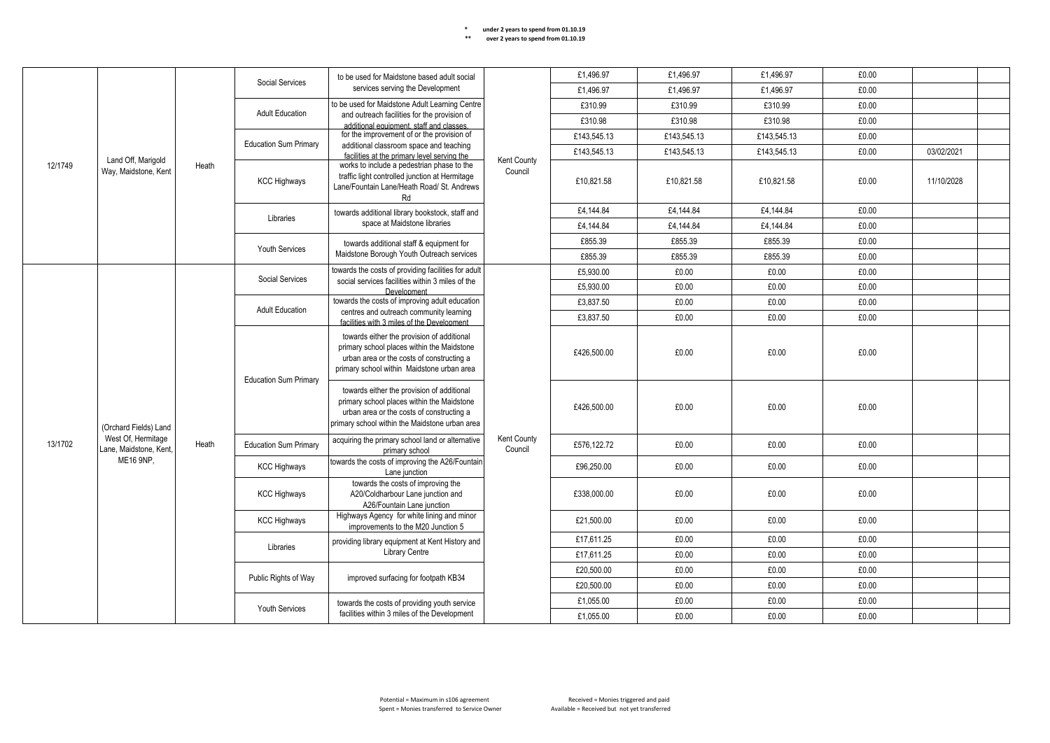|         |                                              |       | to be used for Maidstone based adult social<br>Social Services                                                        |                                                                                                                                                                                         | £1.496.97                     | £1.496.97   | £1.496.97   | £0.00       |       |            |  |
|---------|----------------------------------------------|-------|-----------------------------------------------------------------------------------------------------------------------|-----------------------------------------------------------------------------------------------------------------------------------------------------------------------------------------|-------------------------------|-------------|-------------|-------------|-------|------------|--|
|         |                                              |       |                                                                                                                       | services serving the Development                                                                                                                                                        |                               | £1,496.97   | £1,496.97   | £1,496.97   | £0.00 |            |  |
|         |                                              |       |                                                                                                                       | to be used for Maidstone Adult Learning Centre                                                                                                                                          |                               | £310.99     | £310.99     | £310.99     | £0.00 |            |  |
|         |                                              |       | <b>Adult Education</b>                                                                                                | and outreach facilities for the provision of<br>additional equipment, staff and classes.                                                                                                |                               | £310.98     | £310.98     | £310.98     | £0.00 |            |  |
|         |                                              |       |                                                                                                                       | for the improvement of or the provision of                                                                                                                                              |                               | £143,545.13 | £143,545.13 | £143,545.13 | £0.00 |            |  |
|         |                                              |       | <b>Education Sum Primary</b>                                                                                          | additional classroom space and teaching<br>facilities at the primary level serving the                                                                                                  |                               | £143,545.13 | £143,545.13 | £143,545.13 | £0.00 | 03/02/2021 |  |
| 12/1749 | Land Off, Marigold<br>Way, Maidstone, Kent   | Heath | <b>KCC Highways</b>                                                                                                   | works to include a pedestrian phase to the<br>traffic light controlled junction at Hermitage<br>Lane/Fountain Lane/Heath Road/ St. Andrews<br>Rd                                        | Kent County<br>Council        | £10,821.58  | £10,821.58  | £10,821.58  | £0.00 | 11/10/2028 |  |
|         |                                              |       | Libraries                                                                                                             | towards additional library bookstock, staff and                                                                                                                                         |                               | £4,144.84   | £4,144.84   | £4,144.84   | £0.00 |            |  |
|         |                                              |       |                                                                                                                       | space at Maidstone libraries                                                                                                                                                            |                               | £4,144.84   | £4,144.84   | £4,144.84   | £0.00 |            |  |
|         |                                              |       | <b>Youth Services</b>                                                                                                 | towards additional staff & equipment for                                                                                                                                                |                               | £855.39     | £855.39     | £855.39     | £0.00 |            |  |
|         |                                              |       |                                                                                                                       | Maidstone Borough Youth Outreach services                                                                                                                                               |                               | £855.39     | £855.39     | £855.39     | £0.00 |            |  |
|         |                                              |       | Social Services                                                                                                       | towards the costs of providing facilities for adult                                                                                                                                     |                               | £5,930.00   | £0.00       | £0.00       | £0.00 |            |  |
|         |                                              |       |                                                                                                                       | social services facilities within 3 miles of the<br>Development                                                                                                                         |                               | £5,930.00   | £0.00       | £0.00       | £0.00 |            |  |
|         |                                              |       | <b>Adult Education</b>                                                                                                | towards the costs of improving adult education<br>centres and outreach community learning                                                                                               |                               | £3,837.50   | £0.00       | £0.00       | £0.00 |            |  |
|         |                                              |       |                                                                                                                       | facilities with 3 miles of the Development                                                                                                                                              |                               | £3,837.50   | £0.00       | £0.00       | £0.00 |            |  |
|         |                                              |       | <b>Education Sum Primary</b>                                                                                          | towards either the provision of additional<br>primary school places within the Maidstone<br>urban area or the costs of constructing a<br>primary school within Maidstone urban area     |                               | £426.500.00 | £0.00       | £0.00       | £0.00 |            |  |
|         | (Orchard Fields) Land                        |       |                                                                                                                       | towards either the provision of additional<br>primary school places within the Maidstone<br>urban area or the costs of constructing a<br>primary school within the Maidstone urban area |                               | £426,500.00 | £0.00       | £0.00       | £0.00 |            |  |
| 13/1702 | West Of, Hermitage<br>Lane, Maidstone, Kent, | Heath | <b>Education Sum Primary</b>                                                                                          | acquiring the primary school land or alternative<br>primary school                                                                                                                      | <b>Kent County</b><br>Council | £576.122.72 | £0.00       | £0.00       | £0.00 |            |  |
|         | ME16 9NP,                                    |       | <b>KCC Highways</b>                                                                                                   | towards the costs of improving the A26/Fountain<br>Lane junction                                                                                                                        |                               | £96,250.00  | £0.00       | £0.00       | £0.00 |            |  |
|         |                                              |       | <b>KCC Highways</b>                                                                                                   | towards the costs of improving the<br>A20/Coldharbour Lane junction and<br>A26/Fountain Lane junction                                                                                   |                               | £338,000.00 | £0.00       | £0.00       | £0.00 |            |  |
|         |                                              |       | <b>KCC Highways</b>                                                                                                   | Highways Agency for white lining and minor<br>improvements to the M20 Junction 5                                                                                                        |                               | £21,500.00  | £0.00       | £0.00       | £0.00 |            |  |
|         |                                              |       | Libraries                                                                                                             | providing library equipment at Kent History and                                                                                                                                         |                               | £17,611.25  | £0.00       | £0.00       | £0.00 |            |  |
|         |                                              |       |                                                                                                                       | Library Centre                                                                                                                                                                          |                               | £17,611.25  | £0.00       | £0.00       | £0.00 |            |  |
|         |                                              |       | Public Rights of Way                                                                                                  | improved surfacing for footpath KB34                                                                                                                                                    |                               | £20,500.00  | £0.00       | £0.00       | £0.00 |            |  |
|         |                                              |       |                                                                                                                       |                                                                                                                                                                                         |                               | £20,500.00  | £0.00       | £0.00       | £0.00 |            |  |
|         |                                              |       | towards the costs of providing youth service<br><b>Youth Services</b><br>facilities within 3 miles of the Development |                                                                                                                                                                                         | £1,055.00                     | £0.00       | £0.00       | £0.00       |       |            |  |
|         |                                              |       |                                                                                                                       |                                                                                                                                                                                         |                               | £1,055.00   | £0.00       | £0.00       | £0.00 |            |  |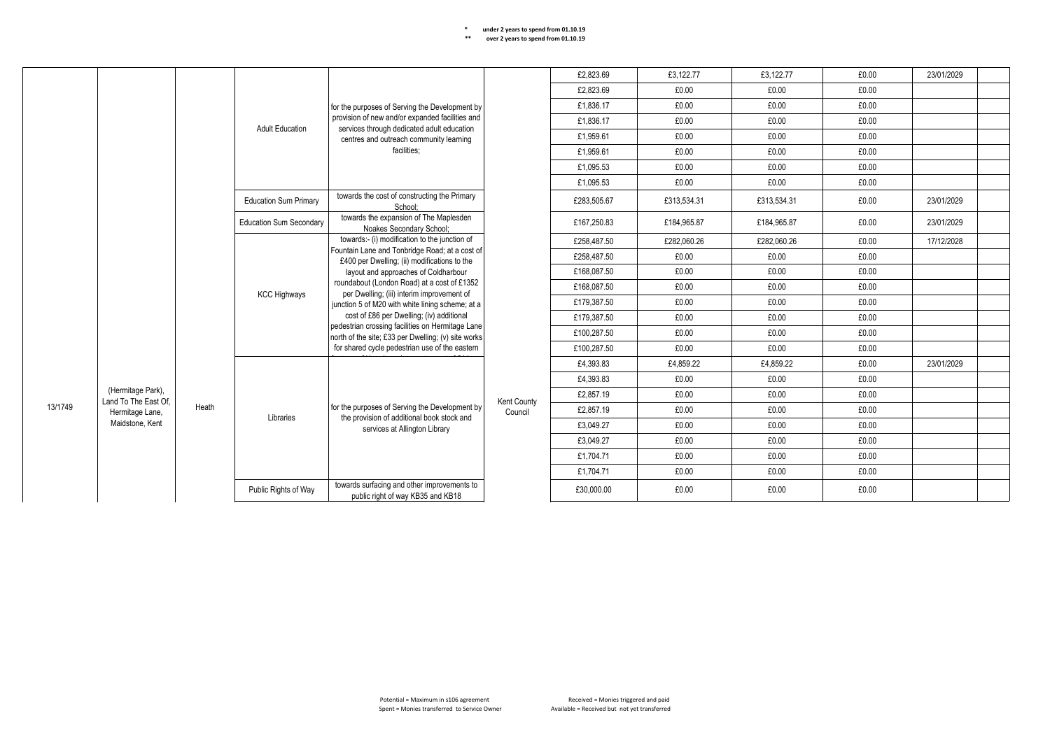|         |                                           |       |                                |                                                                                                                                                                                                                                                                                                                                                                                                                                                                                                  |             | £2.823.69   | £3.122.77   | £3.122.77   | £0.00 | 23/01/2029 |  |
|---------|-------------------------------------------|-------|--------------------------------|--------------------------------------------------------------------------------------------------------------------------------------------------------------------------------------------------------------------------------------------------------------------------------------------------------------------------------------------------------------------------------------------------------------------------------------------------------------------------------------------------|-------------|-------------|-------------|-------------|-------|------------|--|
|         |                                           |       |                                |                                                                                                                                                                                                                                                                                                                                                                                                                                                                                                  |             | £2,823.69   | £0.00       | £0.00       | £0.00 |            |  |
|         |                                           |       |                                | for the purposes of Serving the Development by                                                                                                                                                                                                                                                                                                                                                                                                                                                   |             | £1.836.17   | £0.00       | £0.00       | £0.00 |            |  |
|         |                                           |       | <b>Adult Education</b>         | provision of new and/or expanded facilities and                                                                                                                                                                                                                                                                                                                                                                                                                                                  |             | £1.836.17   | £0.00       | £0.00       | £0.00 |            |  |
|         |                                           |       |                                | services through dedicated adult education<br>centres and outreach community learning                                                                                                                                                                                                                                                                                                                                                                                                            |             | £1,959.61   | £0.00       | £0.00       | £0.00 |            |  |
|         |                                           |       |                                | facilities:                                                                                                                                                                                                                                                                                                                                                                                                                                                                                      |             | £1.959.61   | £0.00       | £0.00       | £0.00 |            |  |
|         |                                           |       |                                |                                                                                                                                                                                                                                                                                                                                                                                                                                                                                                  |             | £1,095.53   | £0.00       | £0.00       | £0.00 |            |  |
|         |                                           |       |                                |                                                                                                                                                                                                                                                                                                                                                                                                                                                                                                  |             | £1,095.53   | £0.00       | £0.00       | £0.00 |            |  |
|         |                                           |       | <b>Education Sum Primary</b>   | towards the cost of constructing the Primary<br>School:                                                                                                                                                                                                                                                                                                                                                                                                                                          |             | £283,505.67 | £313,534.31 | £313,534.31 | £0.00 | 23/01/2029 |  |
|         |                                           |       | <b>Education Sum Secondary</b> | towards the expansion of The Maplesden<br>Noakes Secondary School;                                                                                                                                                                                                                                                                                                                                                                                                                               |             | £167,250.83 | £184.965.87 | £184.965.87 | £0.00 | 23/01/2029 |  |
|         |                                           |       |                                | towards:- (i) modification to the junction of<br>Fountain Lane and Tonbridge Road; at a cost of<br>£400 per Dwelling; (ii) modifications to the<br>layout and approaches of Coldharbour<br>roundabout (London Road) at a cost of £1352<br>per Dwelling; (iii) interim improvement of<br>junction 5 of M20 with white lining scheme; at a<br>cost of £86 per Dwelling; (iv) additional<br>pedestrian crossing facilities on Hermitage Lane<br>north of the site; £33 per Dwelling; (v) site works |             | £258,487.50 | £282,060.26 | £282.060.26 | £0.00 | 17/12/2028 |  |
|         |                                           |       |                                |                                                                                                                                                                                                                                                                                                                                                                                                                                                                                                  |             | £258,487.50 | £0.00       | £0.00       | £0.00 |            |  |
|         |                                           |       |                                |                                                                                                                                                                                                                                                                                                                                                                                                                                                                                                  |             | £168,087.50 | £0.00       | £0.00       | £0.00 |            |  |
|         |                                           |       | <b>KCC Highways</b>            |                                                                                                                                                                                                                                                                                                                                                                                                                                                                                                  |             | £168,087.50 | £0.00       | £0.00       | £0.00 |            |  |
|         |                                           |       |                                |                                                                                                                                                                                                                                                                                                                                                                                                                                                                                                  |             | £179.387.50 | £0.00       | £0.00       | £0.00 |            |  |
|         |                                           |       |                                |                                                                                                                                                                                                                                                                                                                                                                                                                                                                                                  |             | £179,387.50 | £0.00       | £0.00       | £0.00 |            |  |
|         |                                           |       |                                |                                                                                                                                                                                                                                                                                                                                                                                                                                                                                                  |             | £100,287.50 | £0.00       | £0.00       | £0.00 |            |  |
|         |                                           |       |                                | for shared cycle pedestrian use of the eastern                                                                                                                                                                                                                                                                                                                                                                                                                                                   |             | £100,287.50 | £0.00       | £0.00       | £0.00 |            |  |
|         |                                           |       |                                |                                                                                                                                                                                                                                                                                                                                                                                                                                                                                                  |             | £4,393.83   | £4,859.22   | £4,859.22   | £0.00 | 23/01/2029 |  |
|         |                                           |       |                                |                                                                                                                                                                                                                                                                                                                                                                                                                                                                                                  |             | £4,393.83   | £0.00       | £0.00       | £0.00 |            |  |
|         | (Hermitage Park),<br>Land To The East Of. |       |                                |                                                                                                                                                                                                                                                                                                                                                                                                                                                                                                  | Kent County | £2,857.19   | £0.00       | £0.00       | £0.00 |            |  |
| 13/1749 | Hermitage Lane,                           | Heath | Libraries                      | for the purposes of Serving the Development by<br>the provision of additional book stock and                                                                                                                                                                                                                                                                                                                                                                                                     | Council     | £2.857.19   | £0.00       | £0.00       | £0.00 |            |  |
|         | Maidstone, Kent                           |       |                                | services at Allington Library                                                                                                                                                                                                                                                                                                                                                                                                                                                                    |             | £3,049.27   | £0.00       | £0.00       | £0.00 |            |  |
|         |                                           |       |                                |                                                                                                                                                                                                                                                                                                                                                                                                                                                                                                  |             | £3.049.27   | £0.00       | £0.00       | £0.00 |            |  |
|         |                                           |       |                                |                                                                                                                                                                                                                                                                                                                                                                                                                                                                                                  |             | £1,704.71   | £0.00       | £0.00       | £0.00 |            |  |
|         |                                           |       |                                |                                                                                                                                                                                                                                                                                                                                                                                                                                                                                                  |             | £1.704.71   | £0.00       | £0.00       | £0.00 |            |  |
|         |                                           |       | Public Rights of Way           | towards surfacing and other improvements to<br>public right of way KB35 and KB18                                                                                                                                                                                                                                                                                                                                                                                                                 |             | £30,000.00  | £0.00       | £0.00       | £0.00 |            |  |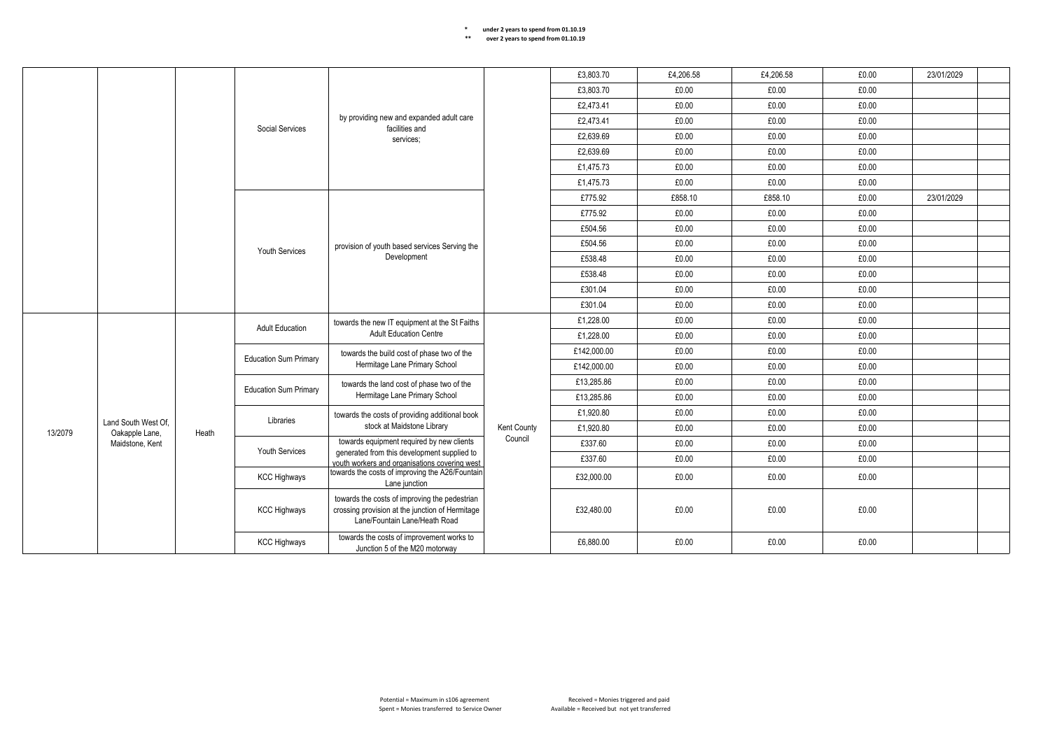|         |                                       |                     |                                                                                                                                   |                                                                                                              |             | £3.803.70   | £4.206.58 | £4,206.58 | £0.00 | 23/01/2029 |  |
|---------|---------------------------------------|---------------------|-----------------------------------------------------------------------------------------------------------------------------------|--------------------------------------------------------------------------------------------------------------|-------------|-------------|-----------|-----------|-------|------------|--|
|         |                                       |                     |                                                                                                                                   |                                                                                                              |             | £3,803.70   | £0.00     | £0.00     | £0.00 |            |  |
|         |                                       |                     |                                                                                                                                   |                                                                                                              |             | £2,473.41   | £0.00     | £0.00     | £0.00 |            |  |
|         |                                       |                     | Social Services                                                                                                                   | by providing new and expanded adult care<br>facilities and                                                   |             | £2,473.41   | £0.00     | £0.00     | £0.00 |            |  |
|         |                                       |                     |                                                                                                                                   | services;                                                                                                    |             | £2,639.69   | £0.00     | £0.00     | £0.00 |            |  |
|         |                                       |                     |                                                                                                                                   |                                                                                                              |             | £2,639.69   | £0.00     | £0.00     | £0.00 |            |  |
|         |                                       |                     |                                                                                                                                   |                                                                                                              |             | £1,475.73   | £0.00     | £0.00     | £0.00 |            |  |
|         |                                       |                     |                                                                                                                                   |                                                                                                              |             | £1,475.73   | £0.00     | £0.00     | £0.00 |            |  |
|         |                                       |                     |                                                                                                                                   |                                                                                                              |             | £775.92     | £858.10   | £858.10   | £0.00 | 23/01/2029 |  |
|         |                                       |                     |                                                                                                                                   |                                                                                                              |             | £775.92     | £0.00     | £0.00     | £0.00 |            |  |
|         |                                       |                     |                                                                                                                                   |                                                                                                              |             | £504.56     | £0.00     | £0.00     | £0.00 |            |  |
|         |                                       |                     |                                                                                                                                   | provision of youth based services Serving the                                                                |             | £504.56     | £0.00     | £0.00     | £0.00 |            |  |
|         |                                       |                     | <b>Youth Services</b>                                                                                                             | Development                                                                                                  |             | £538.48     | £0.00     | £0.00     | £0.00 |            |  |
|         |                                       |                     |                                                                                                                                   |                                                                                                              |             | £538.48     | £0.00     | £0.00     | £0.00 |            |  |
|         |                                       |                     |                                                                                                                                   |                                                                                                              |             | £301.04     | £0.00     | £0.00     | £0.00 |            |  |
|         |                                       |                     |                                                                                                                                   |                                                                                                              |             | £301.04     | £0.00     | £0.00     | £0.00 |            |  |
|         |                                       |                     |                                                                                                                                   | towards the new IT equipment at the St Faiths                                                                |             | £1,228.00   | £0.00     | £0.00     | £0.00 |            |  |
|         |                                       |                     | <b>Adult Education</b><br><b>Education Sum Primary</b>                                                                            | <b>Adult Education Centre</b><br>towards the build cost of phase two of the<br>Hermitage Lane Primary School |             | £1,228.00   | £0.00     | £0.00     | £0.00 |            |  |
|         |                                       |                     |                                                                                                                                   |                                                                                                              |             | £142,000.00 | £0.00     | £0.00     | £0.00 |            |  |
|         |                                       |                     |                                                                                                                                   |                                                                                                              |             | £142,000.00 | £0.00     | £0.00     | £0.00 |            |  |
|         |                                       |                     | <b>Education Sum Primary</b>                                                                                                      | towards the land cost of phase two of the                                                                    |             | £13,285.86  | £0.00     | £0.00     | £0.00 |            |  |
|         |                                       |                     |                                                                                                                                   | Hermitage Lane Primary School                                                                                |             | £13,285.86  | £0.00     | £0.00     | £0.00 |            |  |
|         |                                       |                     | Libraries                                                                                                                         | towards the costs of providing additional book                                                               |             | £1,920.80   | £0.00     | £0.00     | £0.00 |            |  |
| 13/2079 | Land South West Of.<br>Oakapple Lane, | Heath               |                                                                                                                                   | stock at Maidstone Library                                                                                   | Kent County | £1,920.80   | £0.00     | £0.00     | £0.00 |            |  |
|         | Maidstone, Kent                       |                     |                                                                                                                                   | towards equipment required by new clients                                                                    | Council     | £337.60     | £0.00     | £0.00     | £0.00 |            |  |
|         |                                       |                     | <b>Youth Services</b>                                                                                                             | generated from this development supplied to<br>vouth workers and organisations covering west                 |             | £337.60     | £0.00     | £0.00     | £0.00 |            |  |
|         |                                       |                     | <b>KCC Highways</b>                                                                                                               | towards the costs of improving the A26/Fountain<br>Lane junction                                             |             | £32,000.00  | £0.00     | £0.00     | £0.00 |            |  |
|         |                                       | <b>KCC Highways</b> | towards the costs of improving the pedestrian<br>crossing provision at the junction of Hermitage<br>Lane/Fountain Lane/Heath Road |                                                                                                              | £32,480.00  | £0.00       | £0.00     | £0.00     |       |            |  |
|         |                                       |                     | <b>KCC Highways</b>                                                                                                               | towards the costs of improvement works to<br>Junction 5 of the M20 motorway                                  |             | £6,880.00   | £0.00     | £0.00     | £0.00 |            |  |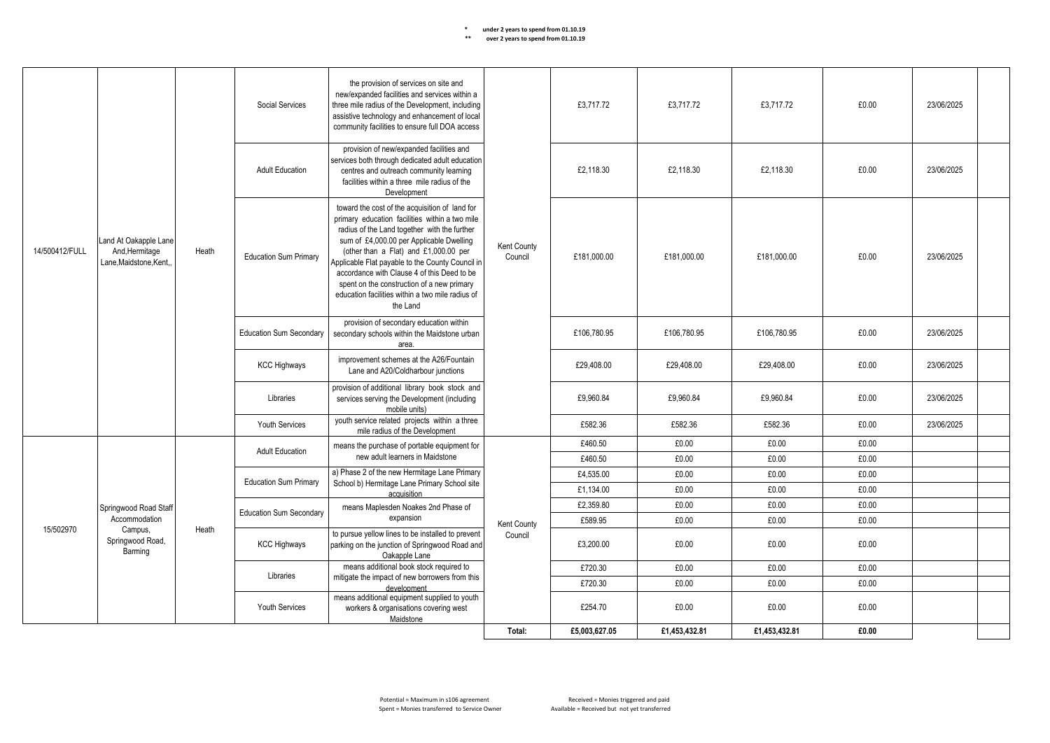|                |                                                                    |                                                                                      | Social Services                                                                                  | the provision of services on site and<br>new/expanded facilities and services within a<br>three mile radius of the Development, including<br>assistive technology and enhancement of local<br>community facilities to ensure full DOA access                                                                                                                                                                                                           |                               | £3.717.72     | £3,717.72     | £3.717.72     | £0.00      | 23/06/2025 |  |
|----------------|--------------------------------------------------------------------|--------------------------------------------------------------------------------------|--------------------------------------------------------------------------------------------------|--------------------------------------------------------------------------------------------------------------------------------------------------------------------------------------------------------------------------------------------------------------------------------------------------------------------------------------------------------------------------------------------------------------------------------------------------------|-------------------------------|---------------|---------------|---------------|------------|------------|--|
|                |                                                                    |                                                                                      | <b>Adult Education</b>                                                                           | provision of new/expanded facilities and<br>services both through dedicated adult education<br>centres and outreach community learning<br>facilities within a three mile radius of the<br>Development                                                                                                                                                                                                                                                  |                               | £2.118.30     | £2,118.30     | £2.118.30     | £0.00      | 23/06/2025 |  |
| 14/500412/FULL | Land At Oakapple Lane<br>And, Hermitage<br>Lane, Maidstone, Kent., | Heath                                                                                | <b>Education Sum Primary</b>                                                                     | toward the cost of the acquisition of land for<br>primary education facilities within a two mile<br>radius of the Land together with the further<br>sum of £4,000.00 per Applicable Dwelling<br>(other than a Flat) and £1,000.00 per<br>Applicable Flat payable to the County Council in<br>accordance with Clause 4 of this Deed to be<br>spent on the construction of a new primary<br>education facilities within a two mile radius of<br>the Land | Kent County<br>Council        | £181.000.00   | £181.000.00   | £181.000.00   | £0.00      | 23/06/2025 |  |
|                |                                                                    | <b>Education Sum Secondary</b><br><b>KCC Highways</b><br>Libraries<br>Youth Services | provision of secondary education within<br>secondary schools within the Maidstone urban<br>area. |                                                                                                                                                                                                                                                                                                                                                                                                                                                        | £106.780.95                   | £106,780.95   | £106,780.95   | £0.00         | 23/06/2025 |            |  |
|                |                                                                    |                                                                                      |                                                                                                  | improvement schemes at the A26/Fountain<br>Lane and A20/Coldharbour junctions                                                                                                                                                                                                                                                                                                                                                                          |                               | £29.408.00    | £29.408.00    | £29.408.00    | £0.00      | 23/06/2025 |  |
|                |                                                                    |                                                                                      |                                                                                                  | provision of additional library book stock and<br>services serving the Development (including<br>mobile units)                                                                                                                                                                                                                                                                                                                                         |                               | £9.960.84     | £9.960.84     | £9.960.84     | £0.00      | 23/06/2025 |  |
|                |                                                                    |                                                                                      |                                                                                                  | youth service related projects within a three<br>mile radius of the Development                                                                                                                                                                                                                                                                                                                                                                        |                               | £582.36       | £582.36       | £582.36       | £0.00      | 23/06/2025 |  |
|                |                                                                    |                                                                                      | <b>Adult Education</b>                                                                           | means the purchase of portable equipment for                                                                                                                                                                                                                                                                                                                                                                                                           |                               | £460.50       | £0.00         | £0.00         | £0.00      |            |  |
|                |                                                                    |                                                                                      |                                                                                                  | new adult learners in Maidstone                                                                                                                                                                                                                                                                                                                                                                                                                        |                               | £460.50       | £0.00         | £0.00         | £0.00      |            |  |
|                |                                                                    |                                                                                      |                                                                                                  | a) Phase 2 of the new Hermitage Lane Primary                                                                                                                                                                                                                                                                                                                                                                                                           |                               | £4,535.00     | £0.00         | £0.00         | £0.00      |            |  |
|                |                                                                    |                                                                                      | <b>Education Sum Primary</b>                                                                     | School b) Hermitage Lane Primary School site<br>acquisition                                                                                                                                                                                                                                                                                                                                                                                            |                               | £1,134.00     | £0.00         | £0.00         | £0.00      |            |  |
|                | Springwood Road Staff                                              |                                                                                      |                                                                                                  | means Maplesden Noakes 2nd Phase of                                                                                                                                                                                                                                                                                                                                                                                                                    |                               | £2,359.80     | £0.00         | £0.00         | £0.00      |            |  |
|                | Accommodation                                                      |                                                                                      | <b>Education Sum Secondary</b>                                                                   | expansion                                                                                                                                                                                                                                                                                                                                                                                                                                              |                               | £589.95       | £0.00         | £0.00         | £0.00      |            |  |
| 15/502970      | Campus,<br>Springwood Road,<br>Barming                             | Heath                                                                                | <b>KCC Highways</b>                                                                              | to pursue yellow lines to be installed to prevent<br>parking on the junction of Springwood Road and<br>Oakapple Lane                                                                                                                                                                                                                                                                                                                                   | <b>Kent County</b><br>Council | £3,200.00     | £0.00         | £0.00         | £0.00      |            |  |
|                |                                                                    |                                                                                      | Libraries                                                                                        | means additional book stock required to                                                                                                                                                                                                                                                                                                                                                                                                                |                               | £720.30       | £0.00         | £0.00         | £0.00      |            |  |
|                |                                                                    |                                                                                      |                                                                                                  | mitigate the impact of new borrowers from this<br>development                                                                                                                                                                                                                                                                                                                                                                                          |                               | £720.30       | £0.00         | £0.00         | £0.00      |            |  |
|                |                                                                    |                                                                                      | Youth Services                                                                                   | means additional equipment supplied to youth<br>workers & organisations covering west<br>Maidstone                                                                                                                                                                                                                                                                                                                                                     |                               | £254.70       | £0.00         | £0.00         | £0.00      |            |  |
|                |                                                                    |                                                                                      |                                                                                                  |                                                                                                                                                                                                                                                                                                                                                                                                                                                        | Total:                        | £5,003,627.05 | £1,453,432.81 | £1,453,432.81 | £0.00      |            |  |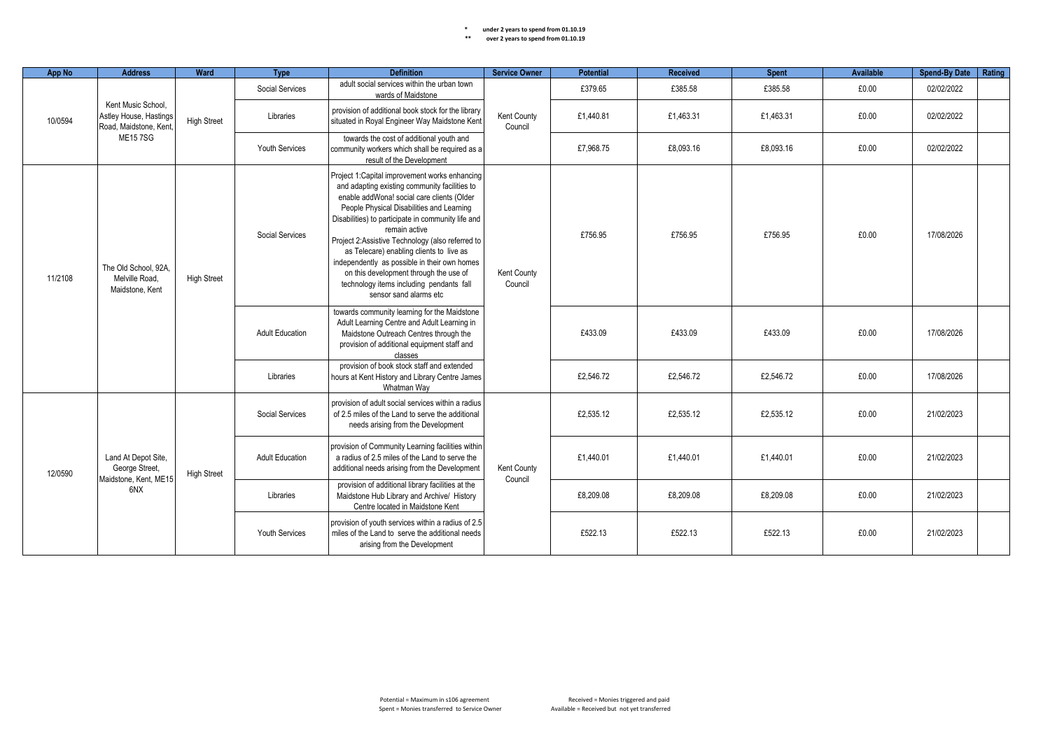| <b>App No</b>                           | <b>Address</b>                                                                                      | Ward               | <b>Type</b>                                                                                                                                                     | <b>Definition</b>                                                                                                                                                                                                                                                                                                                                                                                                                                                                                                                 | <b>Service Owner</b>   | <b>Potential</b> | Received  | <b>Spent</b> | Available | Spend-By Date   Rating |  |
|-----------------------------------------|-----------------------------------------------------------------------------------------------------|--------------------|-----------------------------------------------------------------------------------------------------------------------------------------------------------------|-----------------------------------------------------------------------------------------------------------------------------------------------------------------------------------------------------------------------------------------------------------------------------------------------------------------------------------------------------------------------------------------------------------------------------------------------------------------------------------------------------------------------------------|------------------------|------------------|-----------|--------------|-----------|------------------------|--|
|                                         | Kent Music School.<br>Astley House, Hastings<br>10/0594<br>Road, Maidstone, Kent,<br><b>ME157SG</b> |                    | Social Services                                                                                                                                                 | adult social services within the urban town<br>wards of Maidstone                                                                                                                                                                                                                                                                                                                                                                                                                                                                 |                        | £379.65          | £385.58   | £385.58      | £0.00     | 02/02/2022             |  |
|                                         |                                                                                                     | <b>High Street</b> | Libraries                                                                                                                                                       | provision of additional book stock for the library<br>situated in Royal Engineer Way Maidstone Kent                                                                                                                                                                                                                                                                                                                                                                                                                               | Kent County<br>Council | £1,440.81        | £1.463.31 | £1.463.31    | £0.00     | 02/02/2022             |  |
|                                         |                                                                                                     |                    | <b>Youth Services</b>                                                                                                                                           | towards the cost of additional youth and<br>community workers which shall be required as a<br>result of the Development                                                                                                                                                                                                                                                                                                                                                                                                           |                        | £7,968.75        | £8,093.16 | £8,093.16    | £0.00     | 02/02/2022             |  |
| 11/2108                                 | The Old School, 92A.<br>Melville Road,<br>Maidstone, Kent                                           | <b>High Street</b> | Social Services                                                                                                                                                 | Project 1: Capital improvement works enhancing<br>and adapting existing community facilities to<br>enable addWona! social care clients (Older<br>People Physical Disabilities and Learning<br>Disabilities) to participate in community life and<br>remain active<br>Project 2:Assistive Technology (also referred to<br>as Telecare) enabling clients to live as<br>independently as possible in their own homes<br>on this development through the use of<br>technology items including pendants fall<br>sensor sand alarms etc | Kent County<br>Council | £756.95          | £756.95   | £756.95      | £0.00     | 17/08/2026             |  |
|                                         |                                                                                                     |                    | <b>Adult Education</b>                                                                                                                                          | towards community learning for the Maidstone<br>Adult Learning Centre and Adult Learning in<br>Maidstone Outreach Centres through the<br>provision of additional equipment staff and<br>classes                                                                                                                                                                                                                                                                                                                                   |                        | £433.09          | £433.09   | £433.09      | £0.00     | 17/08/2026             |  |
|                                         |                                                                                                     |                    | Libraries                                                                                                                                                       | provision of book stock staff and extended<br>hours at Kent History and Library Centre James<br>Whatman Wav                                                                                                                                                                                                                                                                                                                                                                                                                       |                        | £2.546.72        | £2,546.72 | £2.546.72    | £0.00     | 17/08/2026             |  |
|                                         |                                                                                                     | <b>High Street</b> | provision of adult social services within a radius<br>Social Services<br>of 2.5 miles of the Land to serve the additional<br>needs arising from the Development | £2,535.12                                                                                                                                                                                                                                                                                                                                                                                                                                                                                                                         | £2,535.12              | £2,535.12        | £0.00     | 21/02/2023   |           |                        |  |
| 12/0590<br>Maidstone, Kent, ME15<br>6NX | Land At Depot Site.<br>George Street,                                                               |                    | <b>Adult Education</b>                                                                                                                                          | provision of Community Learning facilities within<br>a radius of 2.5 miles of the Land to serve the<br>additional needs arising from the Development                                                                                                                                                                                                                                                                                                                                                                              | Kent County<br>Council | £1,440.01        | £1,440.01 | £1,440.01    | £0.00     | 21/02/2023             |  |
|                                         |                                                                                                     |                    | Libraries                                                                                                                                                       | provision of additional library facilities at the<br>Maidstone Hub Library and Archive/ History<br>Centre located in Maidstone Kent                                                                                                                                                                                                                                                                                                                                                                                               |                        | £8,209.08        | £8,209.08 | £8,209.08    | £0.00     | 21/02/2023             |  |
|                                         |                                                                                                     |                    | Youth Services                                                                                                                                                  | provision of youth services within a radius of 2.5<br>miles of the Land to serve the additional needs<br>arising from the Development                                                                                                                                                                                                                                                                                                                                                                                             |                        | £522.13          | £522.13   | £522.13      | £0.00     | 21/02/2023             |  |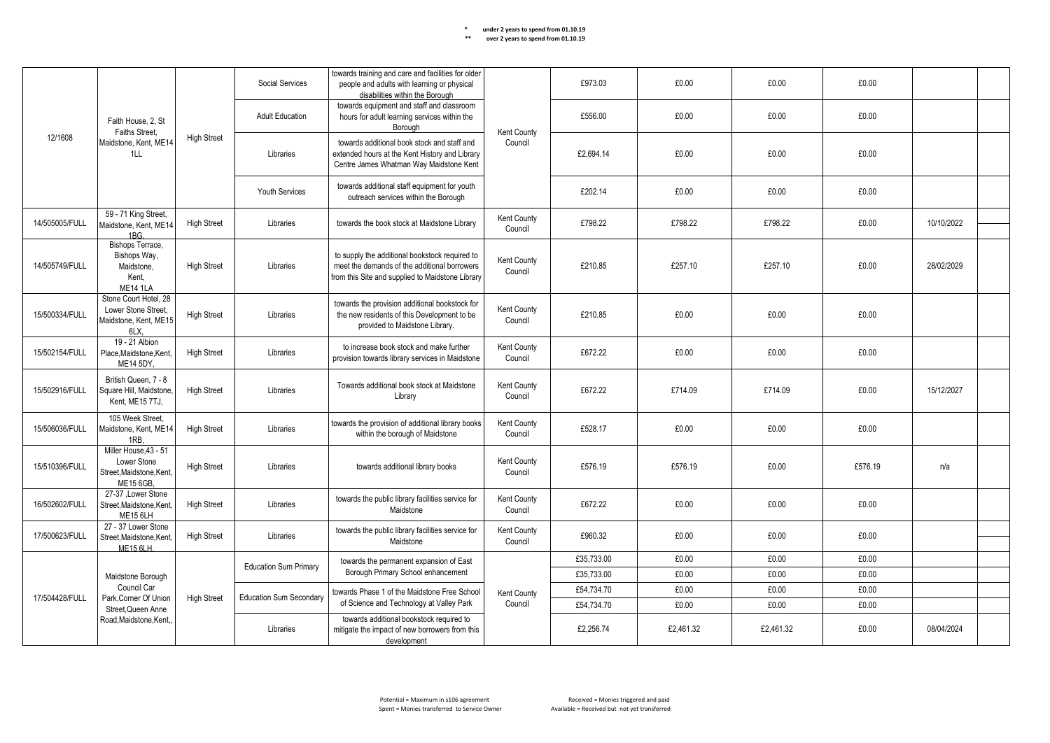|                | Faith House, 2. St                                                            |                    | Social Services                | towards training and care and facilities for older<br>people and adults with learning or physical<br>disabilities within the Borough               |                        | £973.03    | £0.00     | £0.00     | £0.00   |            |
|----------------|-------------------------------------------------------------------------------|--------------------|--------------------------------|----------------------------------------------------------------------------------------------------------------------------------------------------|------------------------|------------|-----------|-----------|---------|------------|
|                | Faiths Street.                                                                |                    | <b>Adult Education</b>         | towards equipment and staff and classroom<br>hours for adult learning services within the<br>Borough                                               | Kent County            | £556.00    | £0.00     | £0.00     | £0.00   |            |
| 12/1608        | Maidstone, Kent, ME14<br>1LL                                                  | <b>High Street</b> | Libraries                      | towards additional book stock and staff and<br>extended hours at the Kent History and Library<br>Centre James Whatman Way Maidstone Kent           | Council                | £2,694.14  | £0.00     | £0.00     | £0.00   |            |
|                |                                                                               |                    | <b>Youth Services</b>          | towards additional staff equipment for youth<br>outreach services within the Borough                                                               |                        | £202.14    | £0.00     | £0.00     | £0.00   |            |
| 14/505005/FULL | 59 - 71 King Street,<br>Maidstone, Kent, ME14<br>1BG.                         | <b>High Street</b> | Libraries                      | towards the book stock at Maidstone Library                                                                                                        | Kent County<br>Council | £798.22    | £798.22   | £798.22   | £0.00   | 10/10/2022 |
| 14/505749/FULL | Bishops Terrace,<br>Bishops Way,<br>Maidstone,<br>Kent,<br><b>ME14 1LA</b>    | <b>High Street</b> | Libraries                      | to supply the additional bookstock required to<br>meet the demands of the additional borrowers<br>from this Site and supplied to Maidstone Library | Kent County<br>Council | £210.85    | £257.10   | £257.10   | £0.00   | 28/02/2029 |
| 15/500334/FULL | Stone Court Hotel, 28<br>Lower Stone Street.<br>Maidstone, Kent, ME15<br>6LX, | <b>High Street</b> | Libraries                      | towards the provision additional bookstock for<br>the new residents of this Development to be<br>provided to Maidstone Library.                    | Kent County<br>Council | £210.85    | £0.00     | £0.00     | £0.00   |            |
| 15/502154/FULL | 19 - 21 Albion<br>Place, Maidstone, Kent,<br>ME14 5DY.                        | <b>High Street</b> | Libraries                      | to increase book stock and make further<br>provision towards library services in Maidstone                                                         | Kent County<br>Council | £672.22    | £0.00     | £0.00     | £0.00   |            |
| 15/502916/FULL | British Queen, 7 - 8<br>Square Hill, Maidstone,<br>Kent. ME15 7TJ.            | <b>High Street</b> | Libraries                      | Towards additional book stock at Maidstone<br>Library                                                                                              | Kent County<br>Council | £672.22    | £714.09   | £714.09   | £0.00   | 15/12/2027 |
| 15/506036/FULL | 105 Week Street,<br>Maidstone, Kent, ME14<br>1RB.                             | <b>High Street</b> | Libraries                      | towards the provision of additional library books<br>within the borough of Maidstone                                                               | Kent County<br>Council | £528.17    | £0.00     | £0.00     | £0.00   |            |
| 15/510396/FULL | Miller House.43 - 51<br>Lower Stone<br>Street, Maidstone, Kent,<br>ME15 6GB,  | <b>High Street</b> | Libraries                      | towards additional library books                                                                                                                   | Kent County<br>Council | £576.19    | £576.19   | £0.00     | £576.19 | n/a        |
| 16/502602/FULL | 27-37 .Lower Stone<br>Street.Maidstone.Kent.<br><b>ME15 6LH</b>               | <b>High Street</b> | Libraries                      | towards the public library facilities service for<br>Maidstone                                                                                     | Kent County<br>Council | £672.22    | £0.00     | £0.00     | £0.00   |            |
| 17/500623/FULL | 27 - 37 Lower Stone<br>Street, Maidstone, Kent,<br><b>ME15 6LH.</b>           | <b>High Street</b> | Libraries                      | towards the public library facilities service for<br>Maidstone                                                                                     | Kent County<br>Council | £960.32    | £0.00     | £0.00     | £0.00   |            |
|                |                                                                               |                    | <b>Education Sum Primary</b>   | towards the permanent expansion of East                                                                                                            |                        | £35,733.00 | £0.00     | £0.00     | £0.00   |            |
|                | Maidstone Borough                                                             |                    |                                | Borough Primary School enhancement                                                                                                                 |                        | £35,733.00 | £0.00     | £0.00     | £0.00   |            |
| 17/504428/FULL | Council Car<br>Park, Corner Of Union                                          | <b>High Street</b> | <b>Education Sum Secondary</b> | towards Phase 1 of the Maidstone Free School                                                                                                       | Kent County            | £54,734.70 | £0.00     | £0.00     | £0.00   |            |
|                | Street, Queen Anne                                                            |                    |                                | of Science and Technology at Valley Park                                                                                                           | Council                | £54,734.70 | £0.00     | £0.00     | £0.00   |            |
|                | Road, Maidstone, Kent,                                                        |                    | Libraries                      | towards additional bookstock required to<br>mitigate the impact of new borrowers from this<br>development                                          |                        | £2,256.74  | £2,461.32 | £2,461.32 | £0.00   | 08/04/2024 |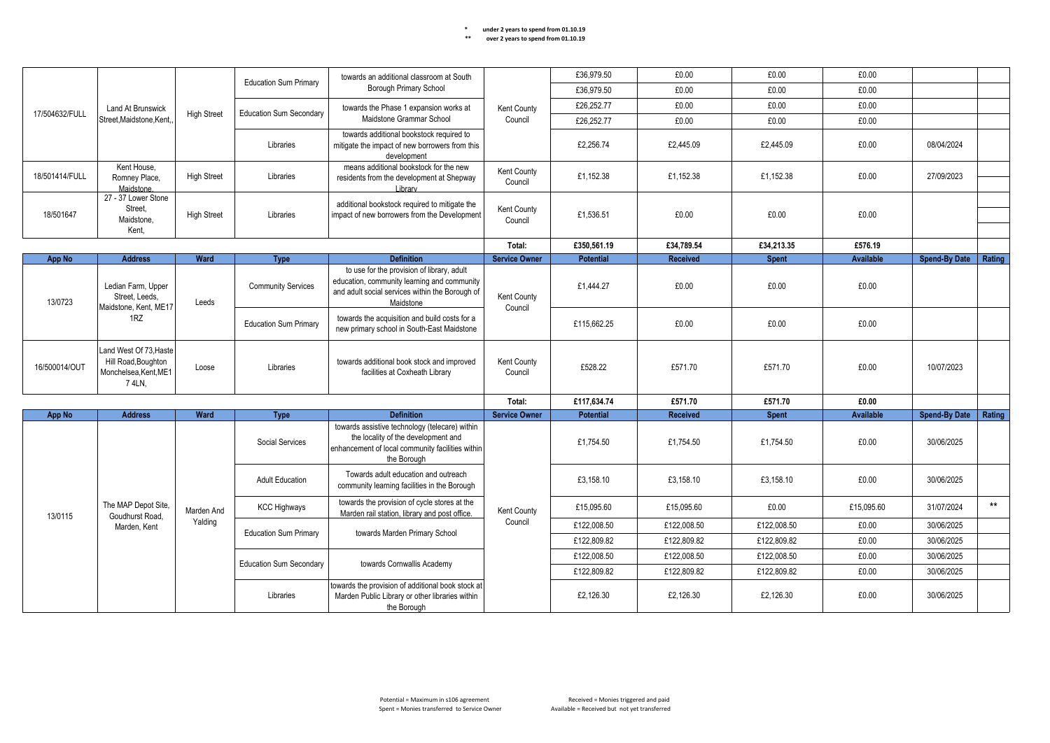|                |                                                                                 |                    | <b>Education Sum Primary</b>   | towards an additional classroom at South                                                                                                                  |                        | £36,979.50  | £0.00           | £0.00        | £0.00            |                      |        |
|----------------|---------------------------------------------------------------------------------|--------------------|--------------------------------|-----------------------------------------------------------------------------------------------------------------------------------------------------------|------------------------|-------------|-----------------|--------------|------------------|----------------------|--------|
|                |                                                                                 |                    |                                | Borough Primary School                                                                                                                                    |                        | £36,979.50  | £0.00           | £0.00        | £0.00            |                      |        |
|                | <b>Land At Brunswick</b>                                                        |                    |                                | towards the Phase 1 expansion works at                                                                                                                    | Kent County            | £26,252.77  | £0.00           | £0.00        | £0.00            |                      |        |
| 17/504632/FULL | Street.Maidstone.Kent.                                                          | <b>High Street</b> | <b>Education Sum Secondary</b> | Maidstone Grammar School                                                                                                                                  | Council                | £26,252.77  | £0.00           | £0.00        | £0.00            |                      |        |
|                |                                                                                 |                    | Libraries                      | towards additional bookstock required to<br>mitigate the impact of new borrowers from this<br>development                                                 |                        | £2,256.74   | £2,445.09       | £2,445.09    | £0.00            | 08/04/2024           |        |
| 18/501414/FULL | Kent House.<br>Romney Place,<br>Maidstone.                                      | <b>High Street</b> | Libraries                      | means additional bookstock for the new<br>residents from the development at Shepway<br>I ibrary                                                           | Kent County<br>Council | £1,152.38   | £1,152.38       | £1,152.38    | £0.00            | 27/09/2023           |        |
| 18/501647      | 27 - 37 Lower Stone<br>Street,<br>Maidstone,<br>Kent.                           | <b>High Street</b> | Libraries                      | additional bookstock required to mitigate the<br>impact of new borrowers from the Development                                                             | Kent County<br>Council | £1,536.51   | £0.00           | £0.00        | £0.00            |                      |        |
|                |                                                                                 |                    |                                |                                                                                                                                                           | Total:                 | £350.561.19 | £34.789.54      | £34.213.35   | £576.19          |                      |        |
| App No         | <b>Address</b>                                                                  | Ward               | <b>Type</b>                    | <b>Definition</b>                                                                                                                                         | <b>Service Owner</b>   | Potential   | <b>Received</b> | <b>Spent</b> | Available        | <b>Spend-By Date</b> | Rating |
| 13/0723        | Ledian Farm, Upper<br>Street, Leeds.<br>Maidstone, Kent, ME17                   | Leeds              | <b>Community Services</b>      | to use for the provision of library, adult<br>education, community learning and community<br>and adult social services within the Borough of<br>Maidstone | Kent County<br>Council | £1,444.27   | £0.00           | £0.00        | £0.00            |                      |        |
|                | 1RZ                                                                             |                    | <b>Education Sum Primary</b>   | towards the acquisition and build costs for a<br>new primary school in South-East Maidstone                                                               |                        | £115,662.25 | £0.00           | £0.00        | £0.00            |                      |        |
| 16/500014/OUT  | Land West Of 73, Haste<br>Hill Road, Boughton<br>Monchelsea, Kent, ME1<br>74LN. | Loose              | Libraries                      | towards additional book stock and improved<br>facilities at Coxheath Library                                                                              | Kent County<br>Council | £528.22     | £571.70         | £571.70      | £0.00            | 10/07/2023           |        |
|                |                                                                                 |                    |                                |                                                                                                                                                           | Total:                 | £117,634.74 | £571.70         | £571.70      | £0.00            |                      |        |
| <b>App No</b>  | <b>Address</b>                                                                  | Ward               | <b>Type</b>                    | <b>Definition</b>                                                                                                                                         | <b>Service Owner</b>   | Potential   | <b>Received</b> | <b>Spent</b> | <b>Available</b> | <b>Spend-By Date</b> | Rating |
|                |                                                                                 |                    | Social Services                | towards assistive technology (telecare) within<br>the locality of the development and<br>enhancement of local community facilities within<br>the Borough  |                        | £1,754.50   | £1,754.50       | £1,754.50    | £0.00            | 30/06/2025           |        |
|                |                                                                                 |                    | <b>Adult Education</b>         | Towards adult education and outreach<br>community learning facilities in the Borough                                                                      |                        | £3,158.10   | £3,158.10       | £3.158.10    | £0.00            | 30/06/2025           |        |
| 13/0115        | The MAP Depot Site,<br>Goudhurst Road.                                          | Marden And         | <b>KCC Highways</b>            | towards the provision of cycle stores at the<br>Marden rail station, library and post office.                                                             | Kent County            | £15,095.60  | £15,095.60      | £0.00        | £15,095.60       | 31/07/2024           | $***$  |
|                | Marden, Kent                                                                    | Yalding            | <b>Education Sum Primary</b>   | towards Marden Primary School                                                                                                                             | Council                | £122,008.50 | £122,008.50     | £122,008.50  | £0.00            | 30/06/2025           |        |
|                |                                                                                 |                    |                                |                                                                                                                                                           |                        | £122,809.82 | £122,809.82     | £122,809.82  | £0.00            | 30/06/2025           |        |
|                |                                                                                 |                    | <b>Education Sum Secondary</b> | towards Cornwallis Academy                                                                                                                                |                        | £122,008.50 | £122,008.50     | £122,008.50  | £0.00            | 30/06/2025           |        |
|                |                                                                                 |                    |                                |                                                                                                                                                           |                        | £122,809.82 | £122,809.82     | £122,809.82  | £0.00            | 30/06/2025           |        |
|                |                                                                                 |                    | Libraries                      | towards the provision of additional book stock at<br>Marden Public Library or other libraries within<br>the Borough                                       |                        | £2.126.30   | £2.126.30       | £2.126.30    | £0.00            | 30/06/2025           |        |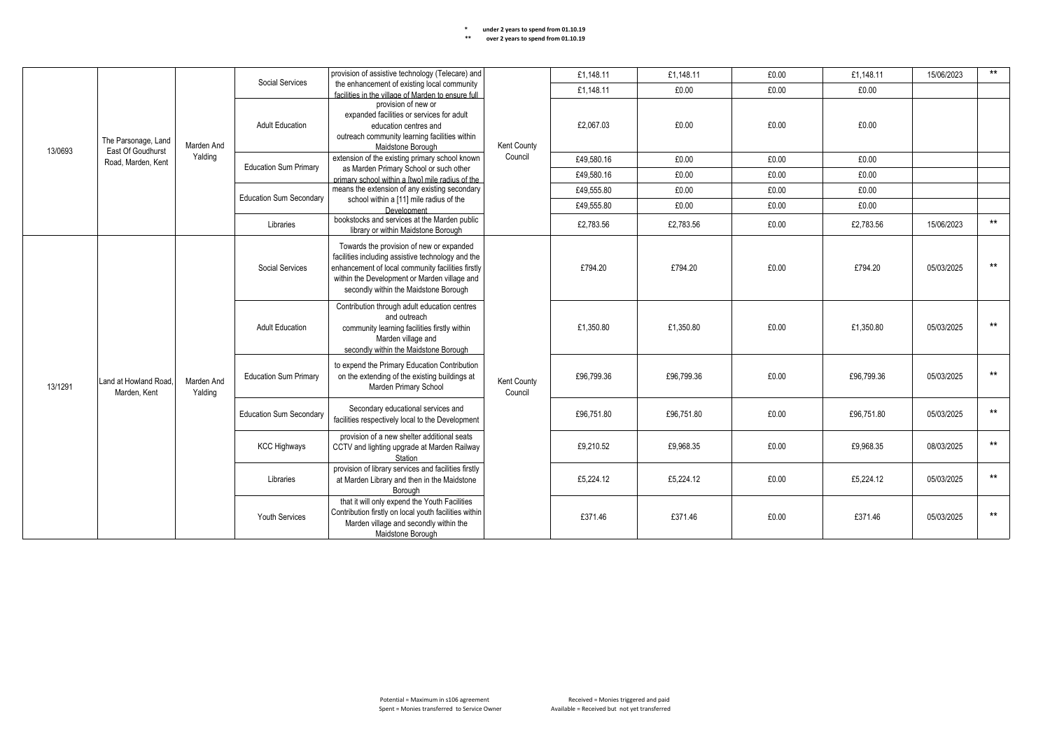|         |                                         |                       |                                                                      | provision of assistive technology (Telecare) and                                                                                                                                                                                            |                        | £1,148.11  | £1,148.11  | £0.00     | £1,148.11  | 15/06/2023 | $***$ |
|---------|-----------------------------------------|-----------------------|----------------------------------------------------------------------|---------------------------------------------------------------------------------------------------------------------------------------------------------------------------------------------------------------------------------------------|------------------------|------------|------------|-----------|------------|------------|-------|
|         |                                         |                       | Social Services                                                      | the enhancement of existing local community                                                                                                                                                                                                 |                        | £1,148.11  | £0.00      | £0.00     | £0.00      |            |       |
|         |                                         |                       |                                                                      | facilities in the village of Marden to ensure full                                                                                                                                                                                          |                        |            |            |           |            |            |       |
|         |                                         |                       |                                                                      | provision of new or<br>expanded facilities or services for adult                                                                                                                                                                            |                        |            |            |           |            |            |       |
|         |                                         |                       | <b>Adult Education</b>                                               | education centres and                                                                                                                                                                                                                       |                        | £2,067.03  | £0.00      | £0.00     | £0.00      |            |       |
|         |                                         |                       |                                                                      | outreach community learning facilities within                                                                                                                                                                                               |                        |            |            |           |            |            |       |
|         | The Parsonage, Land                     | Marden And            |                                                                      | Maidstone Borough                                                                                                                                                                                                                           | Kent County            |            |            |           |            |            |       |
| 13/0693 | East Of Goudhurst<br>Road, Marden, Kent | Yalding               |                                                                      | extension of the existing primary school known                                                                                                                                                                                              | Council                | £49.580.16 | £0.00      | £0.00     | £0.00      |            |       |
|         |                                         |                       | <b>Education Sum Primary</b>                                         | as Marden Primary School or such other                                                                                                                                                                                                      |                        | £49.580.16 | £0.00      | £0.00     | £0.00      |            |       |
|         |                                         |                       |                                                                      | primary school within a ftwol mile radius of the                                                                                                                                                                                            |                        |            |            |           |            |            |       |
|         |                                         |                       | <b>Education Sum Secondary</b>                                       | means the extension of any existing secondary                                                                                                                                                                                               |                        | £49.555.80 | £0.00      | £0.00     | £0.00      |            |       |
|         |                                         |                       |                                                                      | school within a [11] mile radius of the<br>Development                                                                                                                                                                                      |                        | £49,555.80 | £0.00      | £0.00     | £0.00      |            |       |
|         |                                         |                       |                                                                      | bookstocks and services at the Marden public                                                                                                                                                                                                |                        |            |            |           |            |            | $***$ |
|         |                                         |                       | Libraries                                                            | library or within Maidstone Borough                                                                                                                                                                                                         |                        | £2,783.56  | £2,783.56  | £0.00     | £2,783.56  | 15/06/2023 |       |
|         |                                         | Marden And<br>Yalding | Social Services                                                      | Towards the provision of new or expanded<br>facilities including assistive technology and the<br>enhancement of local community facilities firstly<br>within the Development or Marden village and<br>secondly within the Maidstone Borough |                        | £794.20    | £794.20    | £0.00     | £794.20    | 05/03/2025 | $***$ |
|         |                                         |                       | <b>Adult Education</b>                                               | Contribution through adult education centres<br>and outreach<br>community learning facilities firstly within<br>Marden village and<br>secondly within the Maidstone Borough                                                                 | £1,350.80              | £1,350.80  | £0.00      | £1,350.80 | 05/03/2025 | $***$      |       |
| 13/1291 | Land at Howland Road.<br>Marden, Kent   |                       | <b>Education Sum Primary</b>                                         | to expend the Primary Education Contribution<br>on the extending of the existing buildings at<br>Marden Primary School                                                                                                                      | Kent County<br>Council | £96,799.36 | £96.799.36 | £0.00     | £96,799.36 | 05/03/2025 | $***$ |
|         |                                         |                       | Secondary educational services and<br><b>Education Sum Secondary</b> | facilities respectively local to the Development                                                                                                                                                                                            |                        | £96.751.80 | £96,751.80 | £0.00     | £96,751.80 | 05/03/2025 | $***$ |
|         |                                         |                       | <b>KCC Highways</b>                                                  | provision of a new shelter additional seats<br>CCTV and lighting upgrade at Marden Railway<br>Station                                                                                                                                       |                        | £9,210.52  | £9.968.35  | £0.00     | £9.968.35  | 08/03/2025 | $***$ |
|         |                                         |                       | Libraries                                                            | provision of library services and facilities firstly<br>at Marden Library and then in the Maidstone<br>Borough                                                                                                                              |                        | £5,224.12  | £5,224.12  | £0.00     | £5,224.12  | 05/03/2025 | $***$ |
|         |                                         |                       | <b>Youth Services</b>                                                | that it will only expend the Youth Facilities<br>Contribution firstly on local youth facilities within<br>Marden village and secondly within the<br>Maidstone Borough                                                                       |                        | £371.46    | £371.46    | £0.00     | £371.46    | 05/03/2025 | $***$ |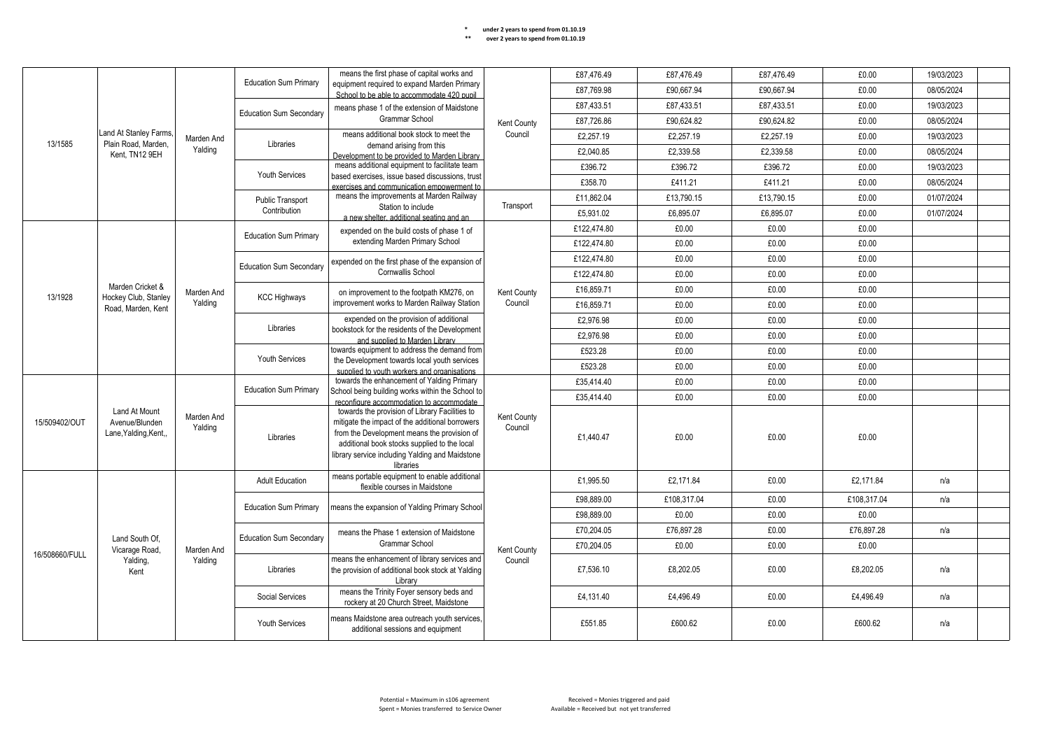|                |                                                         |                       | means the first phase of capital works and                                         |                                                                                                                                                                                                                                                                  | £87,476.49             | £87.476.49  | £87,476.49  | £0.00      | 19/03/2023  |            |  |
|----------------|---------------------------------------------------------|-----------------------|------------------------------------------------------------------------------------|------------------------------------------------------------------------------------------------------------------------------------------------------------------------------------------------------------------------------------------------------------------|------------------------|-------------|-------------|------------|-------------|------------|--|
|                |                                                         |                       | <b>Education Sum Primary</b>                                                       | equipment required to expand Marden Primary<br>School to be able to accommodate 420 pupil                                                                                                                                                                        |                        | £87,769.98  | £90.667.94  | £90.667.94 | £0.00       | 08/05/2024 |  |
|                |                                                         |                       | <b>Education Sum Secondary</b>                                                     | means phase 1 of the extension of Maidstone                                                                                                                                                                                                                      |                        | £87,433.51  | £87,433.51  | £87,433.51 | £0.00       | 19/03/2023 |  |
|                |                                                         |                       |                                                                                    | <b>Grammar School</b>                                                                                                                                                                                                                                            | Kent County            | £87,726.86  | £90,624.82  | £90,624.82 | £0.00       | 08/05/2024 |  |
|                | Land At Stanley Farms,                                  | Marden And            |                                                                                    | means additional book stock to meet the                                                                                                                                                                                                                          | Council                | £2,257.19   | £2,257.19   | £2,257.19  | £0.00       | 19/03/2023 |  |
| 13/1585        | Plain Road. Marden.<br>Kent, TN12 9EH                   | Yalding               | Libraries                                                                          | demand arising from this<br>Development to be provided to Marden Library                                                                                                                                                                                         |                        | £2,040.85   | £2,339.58   | £2,339.58  | £0.00       | 08/05/2024 |  |
|                |                                                         |                       |                                                                                    | means additional equipment to facilitate team                                                                                                                                                                                                                    |                        | £396.72     | £396.72     | £396.72    | £0.00       | 19/03/2023 |  |
|                |                                                         |                       | <b>Youth Services</b>                                                              | based exercises, issue based discussions, trust<br>exercises and communication empowerment to                                                                                                                                                                    |                        | £358.70     | £411.21     | £411.21    | £0.00       | 08/05/2024 |  |
|                |                                                         |                       | Public Transport                                                                   | means the improvements at Marden Railway                                                                                                                                                                                                                         |                        | £11,862.04  | £13,790.15  | £13,790.15 | £0.00       | 01/07/2024 |  |
|                |                                                         |                       | Contribution                                                                       | Station to include<br>a new shelter, additional seating and an                                                                                                                                                                                                   | Transport              | £5,931.02   | £6,895.07   | £6,895.07  | £0.00       | 01/07/2024 |  |
|                |                                                         |                       |                                                                                    | expended on the build costs of phase 1 of                                                                                                                                                                                                                        |                        | £122,474.80 | £0.00       | £0.00      | £0.00       |            |  |
|                |                                                         |                       | <b>Education Sum Primary</b>                                                       | extending Marden Primary School                                                                                                                                                                                                                                  |                        | £122,474.80 | £0.00       | £0.00      | £0.00       |            |  |
|                |                                                         |                       | <b>Education Sum Secondary</b>                                                     | expended on the first phase of the expansion of                                                                                                                                                                                                                  |                        | £122,474.80 | £0.00       | £0.00      | £0.00       |            |  |
|                |                                                         |                       |                                                                                    | Cornwallis School                                                                                                                                                                                                                                                |                        | £122,474.80 | £0.00       | £0.00      | £0.00       |            |  |
| 13/1928        | Marden Cricket &<br>Hockey Club, Stanley                | Marden And            |                                                                                    | on improvement to the footpath KM276, on                                                                                                                                                                                                                         | Kent County            | £16,859.71  | £0.00       | £0.00      | £0.00       |            |  |
|                | Road, Marden, Kent                                      | Yalding               | <b>KCC Highways</b>                                                                | improvement works to Marden Railway Station                                                                                                                                                                                                                      | Council                | £16,859.71  | £0.00       | £0.00      | £0.00       |            |  |
|                |                                                         |                       | Libraries                                                                          | expended on the provision of additional                                                                                                                                                                                                                          |                        | £2.976.98   | £0.00       | £0.00      | £0.00       |            |  |
|                |                                                         |                       |                                                                                    | bookstock for the residents of the Development<br>and supplied to Marden Library                                                                                                                                                                                 |                        | £2,976.98   | £0.00       | £0.00      | £0.00       |            |  |
|                |                                                         |                       | <b>Youth Services</b>                                                              | towards equipment to address the demand from                                                                                                                                                                                                                     |                        | £523.28     | £0.00       | £0.00      | £0.00       |            |  |
|                |                                                         |                       |                                                                                    | the Development towards local youth services<br>supplied to youth workers and organisations<br>towards the enhancement of Yalding Primary                                                                                                                        | £523.28                | £0.00       | £0.00       | £0.00      |             |            |  |
|                |                                                         | Marden And<br>Yalding |                                                                                    |                                                                                                                                                                                                                                                                  |                        | £35,414.40  | £0.00       | £0.00      | £0.00       |            |  |
|                |                                                         |                       | <b>Education Sum Primary</b>                                                       | School being building works within the School to<br>reconfigure accommodation to accommodate                                                                                                                                                                     |                        | £35,414.40  | £0.00       | £0.00      | £0.00       |            |  |
| 15/509402/OUT  | Land At Mount<br>Avenue/Blunden<br>Lane, Yalding, Kent, |                       | Libraries                                                                          | towards the provision of Library Facilities to<br>mitigate the impact of the additional borrowers<br>from the Development means the provision of<br>additional book stocks supplied to the local<br>library service including Yalding and Maidstone<br>libraries | Kent County<br>Council | £1,440.47   | £0.00       | £0.00      | £0.00       |            |  |
|                |                                                         |                       | <b>Adult Education</b>                                                             | means portable equipment to enable additional<br>flexible courses in Maidstone                                                                                                                                                                                   |                        | £1.995.50   | £2.171.84   | £0.00      | £2.171.84   | n/a        |  |
|                |                                                         |                       |                                                                                    |                                                                                                                                                                                                                                                                  |                        | £98,889.00  | £108,317.04 | £0.00      | £108,317.04 | n/a        |  |
|                |                                                         |                       | <b>Education Sum Primary</b>                                                       | means the expansion of Yalding Primary School                                                                                                                                                                                                                    |                        | £98,889.00  | £0.00       | £0.00      | £0.00       |            |  |
|                |                                                         |                       | <b>Education Sum Secondary</b>                                                     | means the Phase 1 extension of Maidstone                                                                                                                                                                                                                         |                        | £70,204.05  | £76.897.28  | £0.00      | £76.897.28  | n/a        |  |
|                | Land South Of,<br>Vicarage Road,                        | Marden And            |                                                                                    | <b>Grammar School</b>                                                                                                                                                                                                                                            |                        | £70,204.05  | £0.00       | £0.00      | £0.00       |            |  |
| 16/508660/FULL | Yalding,<br>Kent                                        | Yalding               | Libraries                                                                          | Kent County<br>means the enhancement of library services and<br>Council<br>the provision of additional book stock at Yalding<br>Library                                                                                                                          | £7,536.10              | £8,202.05   | £0.00       | £8,202.05  | n/a         |            |  |
|                |                                                         |                       | Social Services                                                                    | means the Trinity Foyer sensory beds and<br>rockery at 20 Church Street. Maidstone                                                                                                                                                                               |                        | £4,131.40   | £4,496.49   | £0.00      | £4,496.49   | n/a        |  |
|                |                                                         | Youth Services        | means Maidstone area outreach youth services.<br>additional sessions and equipment |                                                                                                                                                                                                                                                                  | £551.85                | £600.62     | £0.00       | £600.62    | n/a         |            |  |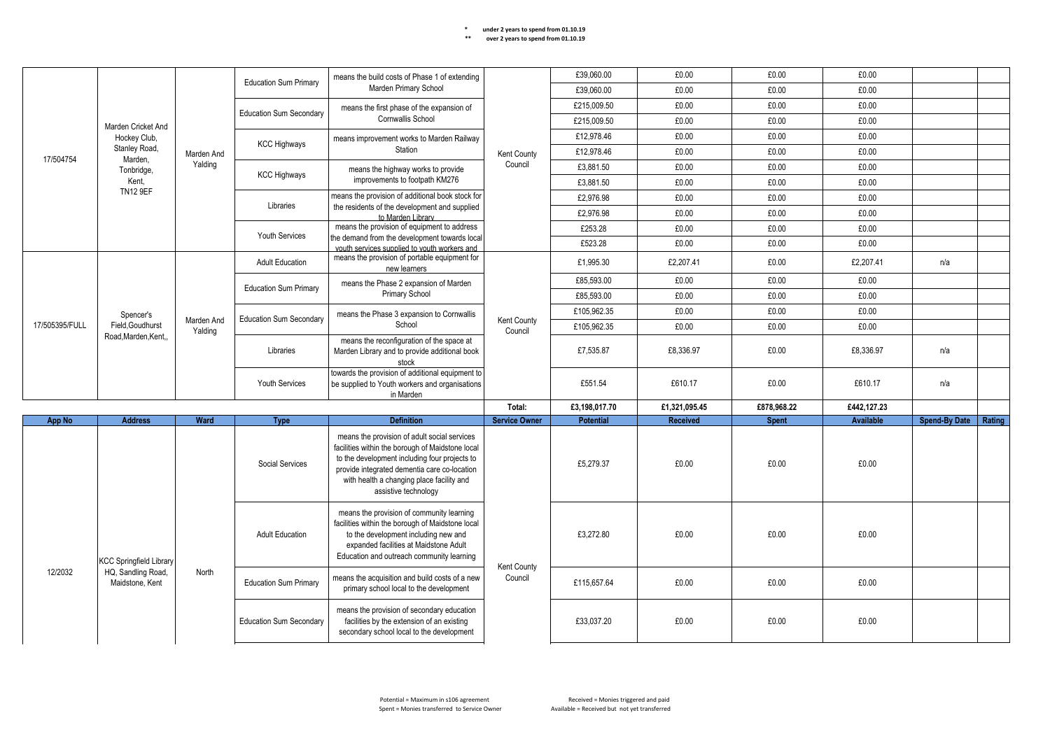|                                                  |                                | <b>Education Sum Primary</b>   | means the build costs of Phase 1 of extending                                             |                                                                                                                                                                                                                              | £39,060.00             | £0.00            | £0.00                                                                                                                                                                                                                                                                  | £0.00        |                  |                      |        |       |  |  |
|--------------------------------------------------|--------------------------------|--------------------------------|-------------------------------------------------------------------------------------------|------------------------------------------------------------------------------------------------------------------------------------------------------------------------------------------------------------------------------|------------------------|------------------|------------------------------------------------------------------------------------------------------------------------------------------------------------------------------------------------------------------------------------------------------------------------|--------------|------------------|----------------------|--------|-------|--|--|
| Marden Cricket And                               |                                |                                | Marden Primary School                                                                     |                                                                                                                                                                                                                              | £39,060.00             | £0.00            | £0.00                                                                                                                                                                                                                                                                  | £0.00        |                  |                      |        |       |  |  |
|                                                  |                                |                                | <b>Education Sum Secondary</b>                                                            | means the first phase of the expansion of                                                                                                                                                                                    |                        | £215,009.50      | £0.00                                                                                                                                                                                                                                                                  | £0.00        | £0.00            |                      |        |       |  |  |
|                                                  |                                |                                |                                                                                           | Cornwallis School                                                                                                                                                                                                            |                        | £215.009.50      | £0.00                                                                                                                                                                                                                                                                  | £0.00        | £0.00            |                      |        |       |  |  |
|                                                  | Hockey Club,                   |                                |                                                                                           | means improvement works to Marden Railway                                                                                                                                                                                    |                        | £12,978.46       | £0.00                                                                                                                                                                                                                                                                  | £0.00        | £0.00            |                      |        |       |  |  |
| 17/504754                                        | Stanley Road,                  | Marden And                     | <b>KCC Highways</b>                                                                       | Station                                                                                                                                                                                                                      | Kent County            | £12.978.46       | £0.00                                                                                                                                                                                                                                                                  | £0.00        | £0.00            |                      |        |       |  |  |
|                                                  | Marden,<br>Tonbridge,          | Yalding                        |                                                                                           | means the highway works to provide                                                                                                                                                                                           | Council                | £3,881.50        | £0.00                                                                                                                                                                                                                                                                  | £0.00        | £0.00            |                      |        |       |  |  |
|                                                  | Kent.                          |                                | <b>KCC Highways</b>                                                                       | improvements to footpath KM276                                                                                                                                                                                               |                        | £3,881.50        | £0.00                                                                                                                                                                                                                                                                  | £0.00        | £0.00            |                      |        |       |  |  |
|                                                  | <b>TN12 9EF</b>                |                                | Libraries                                                                                 | means the provision of additional book stock for                                                                                                                                                                             |                        | £2,976.98        | £0.00                                                                                                                                                                                                                                                                  | £0.00        | £0.00            |                      |        |       |  |  |
|                                                  |                                |                                |                                                                                           | the residents of the development and supplied<br>to Marden Library                                                                                                                                                           |                        | £2,976.98        | £0.00                                                                                                                                                                                                                                                                  | £0.00        | £0.00            |                      |        |       |  |  |
|                                                  |                                |                                |                                                                                           | means the provision of equipment to address                                                                                                                                                                                  |                        | £253.28          | £0.00                                                                                                                                                                                                                                                                  | £0.00        | £0.00            |                      |        |       |  |  |
|                                                  |                                |                                | <b>Youth Services</b>                                                                     | the demand from the development towards local<br>vouth services supplied to youth workers and                                                                                                                                |                        | £523.28          | £0.00                                                                                                                                                                                                                                                                  | £0.00        | £0.00            |                      |        |       |  |  |
|                                                  |                                |                                | <b>Adult Education</b>                                                                    | means the provision of portable equipment for<br>new learners                                                                                                                                                                |                        | £1.995.30        | £2,207.41                                                                                                                                                                                                                                                              | £0.00        | £2.207.41        | n/a                  |        |       |  |  |
|                                                  |                                |                                | <b>Education Sum Primary</b>                                                              | means the Phase 2 expansion of Marden                                                                                                                                                                                        |                        | £85.593.00       | £0.00                                                                                                                                                                                                                                                                  | £0.00        | £0.00            |                      |        |       |  |  |
|                                                  |                                |                                |                                                                                           | Primary School                                                                                                                                                                                                               |                        | £85.593.00       | £0.00                                                                                                                                                                                                                                                                  | £0.00        | £0.00            |                      |        |       |  |  |
|                                                  | Spencer's                      |                                | <b>Education Sum Secondary</b>                                                            | means the Phase 3 expansion to Cornwallis                                                                                                                                                                                    |                        | £105,962.35      | £0.00                                                                                                                                                                                                                                                                  | £0.00        | £0.00            |                      |        |       |  |  |
| 17/505395/FULL                                   | Field, Goudhurst               | Marden And<br>Yalding          |                                                                                           | School                                                                                                                                                                                                                       | Kent County<br>Council | £105,962.35      | £0.00                                                                                                                                                                                                                                                                  | £0.00        | £0.00            |                      |        |       |  |  |
|                                                  | Road.Marden.Kent.              |                                | Libraries                                                                                 | means the reconfiguration of the space at<br>Marden Library and to provide additional book<br>stock                                                                                                                          |                        | £7,535.87        | £8,336.97                                                                                                                                                                                                                                                              | £0.00        | £8,336.97        | n/a                  |        |       |  |  |
|                                                  |                                |                                | Youth Services                                                                            | towards the provision of additional equipment to<br>be supplied to Youth workers and organisations<br>in Marden                                                                                                              |                        | £551.54          | £610.17                                                                                                                                                                                                                                                                | £0.00        | £610.17          | n/a                  |        |       |  |  |
|                                                  |                                |                                |                                                                                           |                                                                                                                                                                                                                              | Total:                 | £3,198,017.70    | £1,321,095.45                                                                                                                                                                                                                                                          | £878,968.22  | £442,127.23      |                      |        |       |  |  |
| <b>App No</b>                                    | <b>Address</b>                 | Ward                           | <b>Type</b>                                                                               | <b>Definition</b>                                                                                                                                                                                                            | <b>Service Owner</b>   | <b>Potential</b> | Received                                                                                                                                                                                                                                                               | <b>Spent</b> | <b>Available</b> | <b>Spend-By Date</b> | Rating |       |  |  |
|                                                  | <b>KCC Springfield Library</b> |                                |                                                                                           |                                                                                                                                                                                                                              |                        | Social Services  | means the provision of adult social services<br>facilities within the borough of Maidstone local<br>to the development including four projects to<br>provide integrated dementia care co-location<br>with health a changing place facility and<br>assistive technology |              | £5,279.37        | £0.00                | £0.00  | £0.00 |  |  |
|                                                  |                                |                                | <b>Adult Education</b>                                                                    | means the provision of community learning<br>facilities within the borough of Maidstone local<br>to the development including new and<br>expanded facilities at Maidstone Adult<br>Education and outreach community learning |                        | £3.272.80        | £0.00                                                                                                                                                                                                                                                                  | £0.00        | £0.00            |                      |        |       |  |  |
| 12/2032<br>HQ, Sandling Road,<br>Maidstone, Kent | North                          | <b>Education Sum Primary</b>   | means the acquisition and build costs of a new<br>primary school local to the development | Kent County<br>Council<br>secondary school local to the development                                                                                                                                                          | £115,657.64            | £0.00            | £0.00                                                                                                                                                                                                                                                                  | £0.00        |                  |                      |        |       |  |  |
|                                                  |                                | <b>Education Sum Secondary</b> | means the provision of secondary education<br>facilities by the extension of an existing  |                                                                                                                                                                                                                              | £33,037.20             | £0.00            | £0.00                                                                                                                                                                                                                                                                  | £0.00        |                  |                      |        |       |  |  |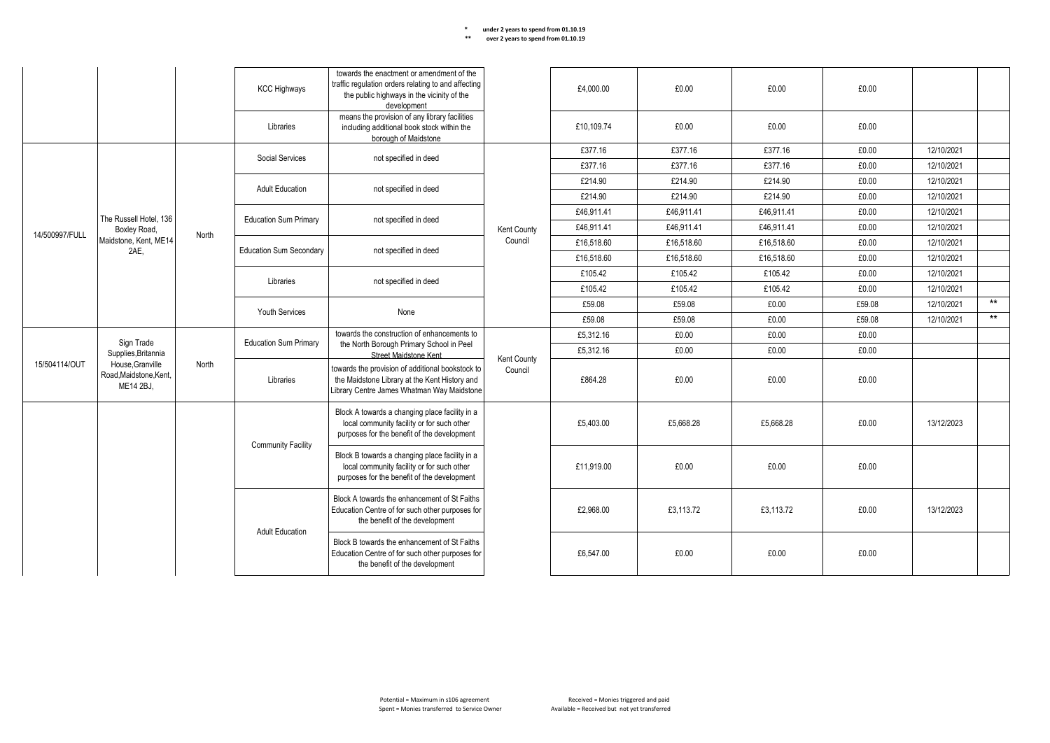|                |                                                                       |                              | <b>KCC Highways</b>                         | towards the enactment or amendment of the<br>traffic regulation orders relating to and affecting<br>the public highways in the vicinity of the<br>development |             | £4.000.00  | £0.00      | £0.00      | £0.00      |            |       |
|----------------|-----------------------------------------------------------------------|------------------------------|---------------------------------------------|---------------------------------------------------------------------------------------------------------------------------------------------------------------|-------------|------------|------------|------------|------------|------------|-------|
|                |                                                                       |                              | Libraries                                   | means the provision of any library facilities<br>including additional book stock within the<br>borough of Maidstone                                           |             | £10.109.74 | £0.00      | £0.00      | £0.00      |            |       |
|                |                                                                       |                              | Social Services                             | not specified in deed                                                                                                                                         |             | £377.16    | £377.16    | £377.16    | £0.00      | 12/10/2021 |       |
|                |                                                                       |                              |                                             |                                                                                                                                                               |             | £377.16    | £377.16    | £377.16    | £0.00      | 12/10/2021 |       |
|                |                                                                       |                              | <b>Adult Education</b>                      | not specified in deed                                                                                                                                         |             | £214.90    | £214.90    | £214.90    | £0.00      | 12/10/2021 |       |
|                |                                                                       |                              |                                             |                                                                                                                                                               |             | £214.90    | £214.90    | £214.90    | £0.00      | 12/10/2021 |       |
|                | The Russell Hotel, 136                                                |                              | <b>Education Sum Primary</b>                | not specified in deed                                                                                                                                         |             | £46.911.41 | £46.911.41 | £46.911.41 | £0.00      | 12/10/2021 |       |
| 14/500997/FULL | Boxley Road,                                                          | North                        |                                             |                                                                                                                                                               | Kent County | £46.911.41 | £46.911.41 | £46.911.41 | £0.00      | 12/10/2021 |       |
|                | Maidstone, Kent, ME14<br>2AE.                                         |                              | <b>Education Sum Secondary</b>              | not specified in deed                                                                                                                                         | Council     | £16,518.60 | £16.518.60 | £16,518.60 | £0.00      | 12/10/2021 |       |
|                |                                                                       |                              |                                             |                                                                                                                                                               |             | £16.518.60 | £16,518.60 | £16,518.60 | £0.00      | 12/10/2021 |       |
|                |                                                                       |                              | Libraries                                   | not specified in deed                                                                                                                                         |             | £105.42    | £105.42    | £105.42    | £0.00      | 12/10/2021 |       |
|                |                                                                       |                              |                                             |                                                                                                                                                               |             | £105.42    | £105.42    | £105.42    | £0.00      | 12/10/2021 |       |
|                |                                                                       |                              |                                             | None                                                                                                                                                          |             | £59.08     | £59.08     | £0.00      | £59.08     | 12/10/2021 | $***$ |
|                |                                                                       | <b>Youth Services</b>        |                                             |                                                                                                                                                               | £59.08      | £59.08     | £0.00      | £59.08     | 12/10/2021 | $**$       |       |
|                |                                                                       | <b>Education Sum Primary</b> | towards the construction of enhancements to |                                                                                                                                                               | £5,312.16   | £0.00      | £0.00      | £0.00      |            |            |       |
|                | Supplies, Britannia                                                   |                              |                                             | the North Borough Primary School in Peel<br>Street Maidstone Kent                                                                                             | Kent County | £5,312.16  | £0.00      | £0.00      | £0.00      |            |       |
| 15/504114/OUT  | Sign Trade<br>House, Granville<br>Road, Maidstone, Kent,<br>ME14 2BJ, | North                        | Libraries                                   | towards the provision of additional bookstock to<br>the Maidstone Library at the Kent History and<br>Library Centre James Whatman Way Maidstone               | Council     | £864.28    | £0.00      | £0.00      | £0.00      |            |       |
|                |                                                                       |                              | <b>Community Facility</b>                   | Block A towards a changing place facility in a<br>local community facility or for such other<br>purposes for the benefit of the development                   |             | £5,403.00  | £5,668.28  | £5,668.28  | £0.00      | 13/12/2023 |       |
|                |                                                                       |                              |                                             | Block B towards a changing place facility in a<br>local community facility or for such other<br>purposes for the benefit of the development                   |             | £11.919.00 | £0.00      | £0.00      | £0.00      |            |       |
|                |                                                                       |                              | <b>Adult Education</b>                      | Block A towards the enhancement of St Faiths<br>Education Centre of for such other purposes for<br>the benefit of the development                             |             | £2.968.00  | £3.113.72  | £3.113.72  | £0.00      | 13/12/2023 |       |
|                |                                                                       |                              |                                             | Block B towards the enhancement of St Faiths<br>Education Centre of for such other purposes for<br>the benefit of the development                             |             | £6,547.00  | £0.00      | £0.00      | £0.00      |            |       |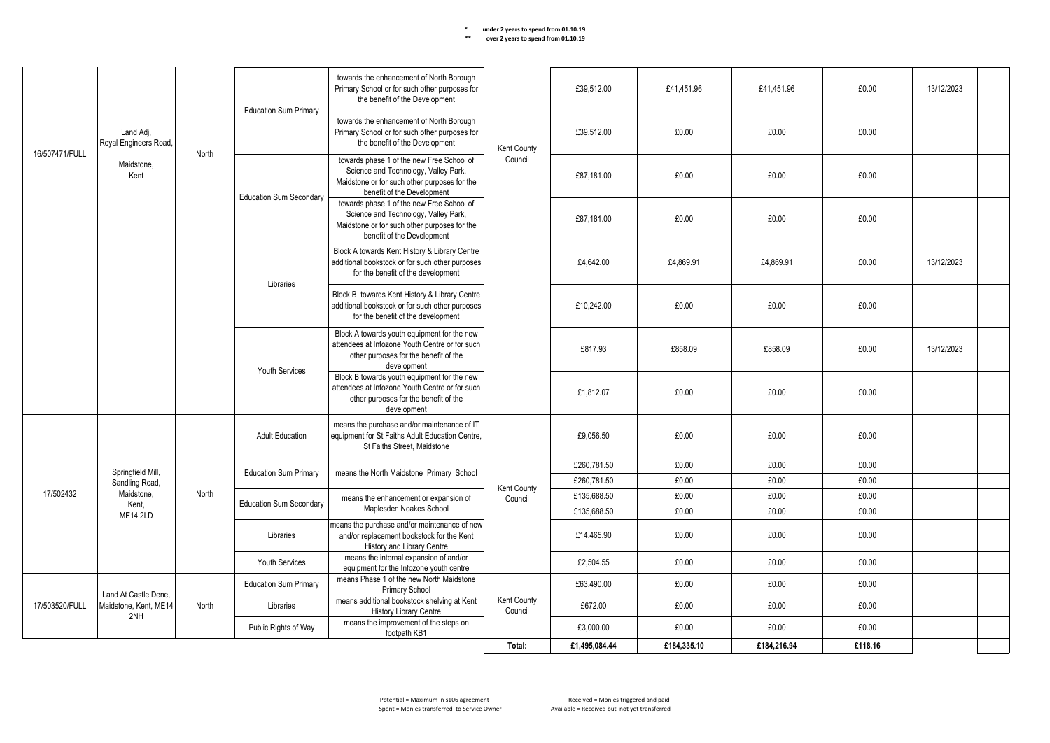|                | Land Adi.                                     |       |                                | towards the enhancement of North Borough<br>Primary School or for such other purposes for<br>the benefit of the Development                                     |                        | £39.512.00    | £41.451.96  | £41.451.96  | £0.00   | 13/12/2023 |  |
|----------------|-----------------------------------------------|-------|--------------------------------|-----------------------------------------------------------------------------------------------------------------------------------------------------------------|------------------------|---------------|-------------|-------------|---------|------------|--|
|                | Royal Engineers Road,                         |       | <b>Education Sum Primary</b>   | towards the enhancement of North Borough<br>Primary School or for such other purposes for<br>the benefit of the Development                                     | Kent County            | £39.512.00    | £0.00       | £0.00       | £0.00   |            |  |
| 16/507471/FULL | Maidstone.<br>Kent                            | North |                                | towards phase 1 of the new Free School of<br>Science and Technology, Valley Park,<br>Maidstone or for such other purposes for the<br>benefit of the Development | Council                | £87,181.00    | £0.00       | £0.00       | £0.00   |            |  |
|                |                                               |       | <b>Education Sum Secondary</b> | towards phase 1 of the new Free School of<br>Science and Technology, Valley Park,<br>Maidstone or for such other purposes for the<br>benefit of the Development |                        | £87,181.00    | £0.00       | £0.00       | £0.00   |            |  |
|                |                                               |       | Libraries                      | Block A towards Kent History & Library Centre<br>additional bookstock or for such other purposes<br>for the benefit of the development                          |                        | £4.642.00     | £4.869.91   | £4.869.91   | £0.00   | 13/12/2023 |  |
|                |                                               |       |                                | Block B towards Kent History & Library Centre<br>additional bookstock or for such other purposes<br>for the benefit of the development                          |                        | £10.242.00    | £0.00       | £0.00       | £0.00   |            |  |
|                |                                               |       | Youth Services                 | Block A towards youth equipment for the new<br>attendees at Infozone Youth Centre or for such<br>other purposes for the benefit of the<br>development           |                        | £817.93       | £858.09     | £858.09     | £0.00   | 13/12/2023 |  |
|                |                                               |       |                                | Block B towards youth equipment for the new<br>attendees at Infozone Youth Centre or for such<br>other purposes for the benefit of the<br>development           |                        | £1,812.07     | £0.00       | £0.00       | £0.00   |            |  |
|                |                                               |       | <b>Adult Education</b>         | means the purchase and/or maintenance of IT<br>equipment for St Faiths Adult Education Centre.<br>St Faiths Street. Maidstone                                   |                        | £9,056.50     | £0.00       | £0.00       | £0.00   |            |  |
|                | Springfield Mill,                             |       |                                |                                                                                                                                                                 |                        | £260,781.50   | £0.00       | £0.00       | £0.00   |            |  |
|                | Sandling Road,                                |       | <b>Education Sum Primary</b>   | means the North Maidstone Primary School                                                                                                                        |                        | £260.781.50   | £0.00       | £0.00       | £0.00   |            |  |
| 17/502432      | Maidstone,                                    | North |                                | means the enhancement or expansion of                                                                                                                           | Kent County<br>Council | £135,688.50   | £0.00       | £0.00       | £0.00   |            |  |
|                | Kent.                                         |       | <b>Education Sum Secondary</b> | Maplesden Noakes School                                                                                                                                         |                        | £135,688.50   | £0.00       | £0.00       | £0.00   |            |  |
|                | <b>ME14 2LD</b>                               |       | Libraries                      | means the purchase and/or maintenance of new<br>and/or replacement bookstock for the Kent<br>History and Library Centre                                         |                        | £14,465.90    | £0.00       | £0.00       | £0.00   |            |  |
|                |                                               |       | Youth Services                 | means the internal expansion of and/or<br>equipment for the Infozone youth centre                                                                               |                        | £2,504.55     | £0.00       | £0.00       | £0.00   |            |  |
|                |                                               |       | <b>Education Sum Primary</b>   | means Phase 1 of the new North Maidstone<br>Primary School                                                                                                      |                        | £63.490.00    | £0.00       | £0.00       | £0.00   |            |  |
| 17/503520/FULL | Land At Castle Dene.<br>Maidstone, Kent, ME14 | North | Libraries                      | means additional bookstock shelving at Kent<br><b>History Library Centre</b>                                                                                    | Kent County<br>Council | £672.00       | £0.00       | £0.00       | £0.00   |            |  |
|                | 2NH                                           |       | Public Rights of Way           | means the improvement of the steps on<br>footpath KB1                                                                                                           |                        | £3,000.00     | £0.00       | £0.00       | £0.00   |            |  |
|                |                                               |       |                                |                                                                                                                                                                 | Total:                 | £1,495,084.44 | £184,335.10 | £184.216.94 | £118.16 |            |  |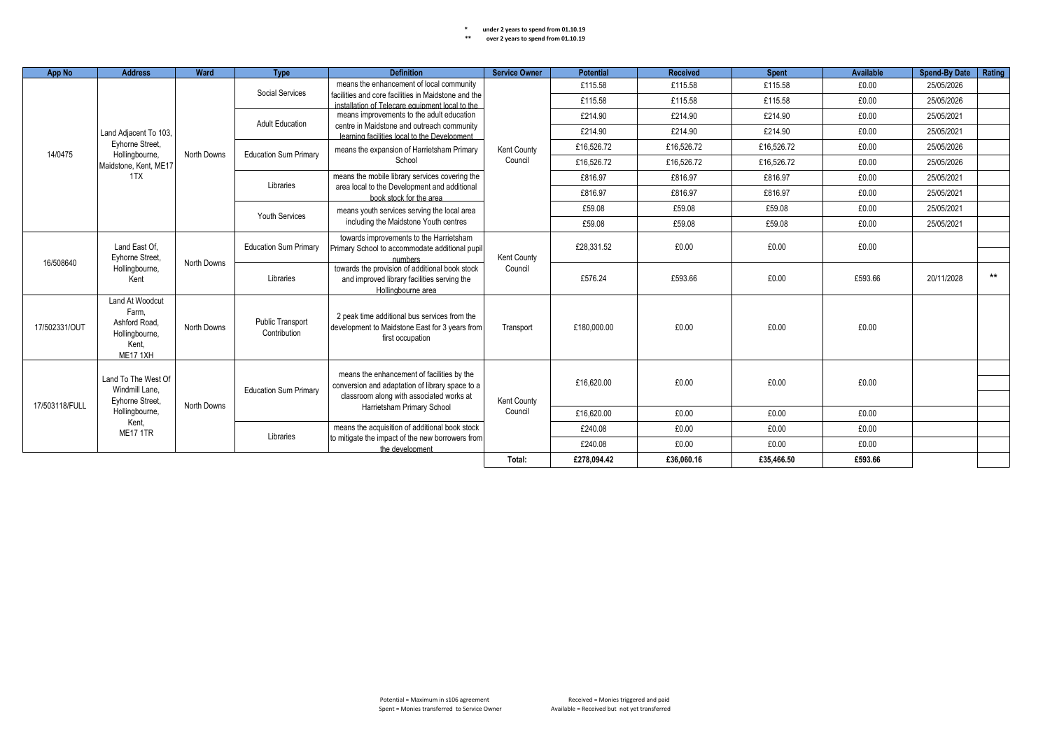| <b>App No</b>                                                                                | <b>Address</b>                                                                   | Ward                                        | <b>Type</b>                                                                                                                               | <b>Definition</b>                                                                                                  | <b>Service Owner</b> | <b>Potential</b> | <b>Received</b> | <b>Spent</b> | <b>Available</b> | <b>Spend-By Date</b> | Rating |
|----------------------------------------------------------------------------------------------|----------------------------------------------------------------------------------|---------------------------------------------|-------------------------------------------------------------------------------------------------------------------------------------------|--------------------------------------------------------------------------------------------------------------------|----------------------|------------------|-----------------|--------------|------------------|----------------------|--------|
|                                                                                              |                                                                                  | Social Services                             | means the enhancement of local community                                                                                                  |                                                                                                                    | £115.58              | £115.58          | £115.58         | £0.00        | 25/05/2026       |                      |        |
|                                                                                              |                                                                                  |                                             |                                                                                                                                           | facilities and core facilities in Maidstone and the<br>installation of Telecare equipment local to the             |                      | £115.58          | £115.58         | £115.58      | £0.00            | 25/05/2026           |        |
|                                                                                              |                                                                                  |                                             | <b>Adult Education</b>                                                                                                                    | means improvements to the adult education                                                                          |                      | £214.90          | £214.90         | £214.90      | £0.00            | 25/05/2021           |        |
|                                                                                              | Land Adjacent To 103,                                                            |                                             |                                                                                                                                           | centre in Maidstone and outreach community<br>learning facilities local to the Development                         |                      | £214.90          | £214.90         | £214.90      | £0.00            | 25/05/2021           |        |
| 14/0475                                                                                      | Evhorne Street.                                                                  | North Downs                                 | <b>Education Sum Primary</b>                                                                                                              | means the expansion of Harrietsham Primary                                                                         | Kent County          | £16,526.72       | £16,526.72      | £16,526.72   | £0.00            | 25/05/2026           |        |
|                                                                                              | Hollingbourne,<br>Maidstone, Kent, ME17                                          |                                             |                                                                                                                                           | School                                                                                                             | Council              | £16,526.72       | £16,526.72      | £16,526.72   | £0.00            | 25/05/2026           |        |
|                                                                                              | 1TX                                                                              |                                             | Libraries                                                                                                                                 | means the mobile library services covering the                                                                     |                      | £816.97          | £816.97         | £816.97      | £0.00            | 25/05/2021           |        |
|                                                                                              |                                                                                  |                                             |                                                                                                                                           | area local to the Development and additional<br>book stock for the area                                            |                      | £816.97          | £816.97         | £816.97      | £0.00            | 25/05/2021           |        |
|                                                                                              |                                                                                  |                                             |                                                                                                                                           | means youth services serving the local area                                                                        |                      | £59.08           | £59.08          | £59.08       | £0.00            | 25/05/2021           |        |
|                                                                                              |                                                                                  |                                             | Youth Services                                                                                                                            | including the Maidstone Youth centres                                                                              |                      | £59.08           | £59.08          | £59.08       | £0.00            | 25/05/2021           |        |
|                                                                                              | Land East Of.<br>Eyhorne Street,<br>16/508640<br>Hollingbourne,                  | North Downs                                 | <b>Education Sum Primary</b>                                                                                                              | towards improvements to the Harrietsham<br>Primary School to accommodate additional pupil<br>numbers               | Kent County          | £28,331.52       | £0.00           | £0.00        | £0.00            |                      |        |
| Kent                                                                                         |                                                                                  | Libraries                                   | towards the provision of additional book stock<br>and improved library facilities serving the<br>Hollingbourne area                       | Council                                                                                                            | £576.24              | £593.66          | £0.00           | £593.66      | 20/11/2028       | $***$                |        |
| 17/502331/OUT                                                                                | Land At Woodcut<br>Farm.<br>Ashford Road.<br>Hollingbourne,<br>Kent.<br>ME17 1XH | North Downs                                 | Public Transport<br>Contribution                                                                                                          | 2 peak time additional bus services from the<br>development to Maidstone East for 3 years from<br>first occupation | Transport            | £180,000.00      | £0.00           | £0.00        | £0.00            |                      |        |
| Land To The West Of<br>Windmill Lane.<br>Eyhorne Street,<br>17/503118/FULL<br>Hollingbourne, |                                                                                  | <b>Education Sum Primary</b><br>North Downs | means the enhancement of facilities by the<br>conversion and adaptation of library space to a<br>classroom along with associated works at | Kent County                                                                                                        | £16,620.00           | £0.00            | £0.00           | £0.00        |                  |                      |        |
|                                                                                              |                                                                                  |                                             |                                                                                                                                           | Harrietsham Primary School                                                                                         | Council              | £16.620.00       | £0.00           | £0.00        | £0.00            |                      |        |
|                                                                                              | Kent.<br><b>ME17 1TR</b>                                                         |                                             |                                                                                                                                           | means the acquisition of additional book stock                                                                     |                      | £240.08          | £0.00           | £0.00        | £0.00            |                      |        |
|                                                                                              |                                                                                  |                                             | Libraries                                                                                                                                 | to mitigate the impact of the new borrowers from<br>the development                                                |                      | £240.08          | £0.00           | £0.00        | £0.00            |                      |        |
|                                                                                              |                                                                                  |                                             |                                                                                                                                           |                                                                                                                    | Total:               | £278,094.42      | £36,060.16      | £35,466.50   | £593.66          |                      |        |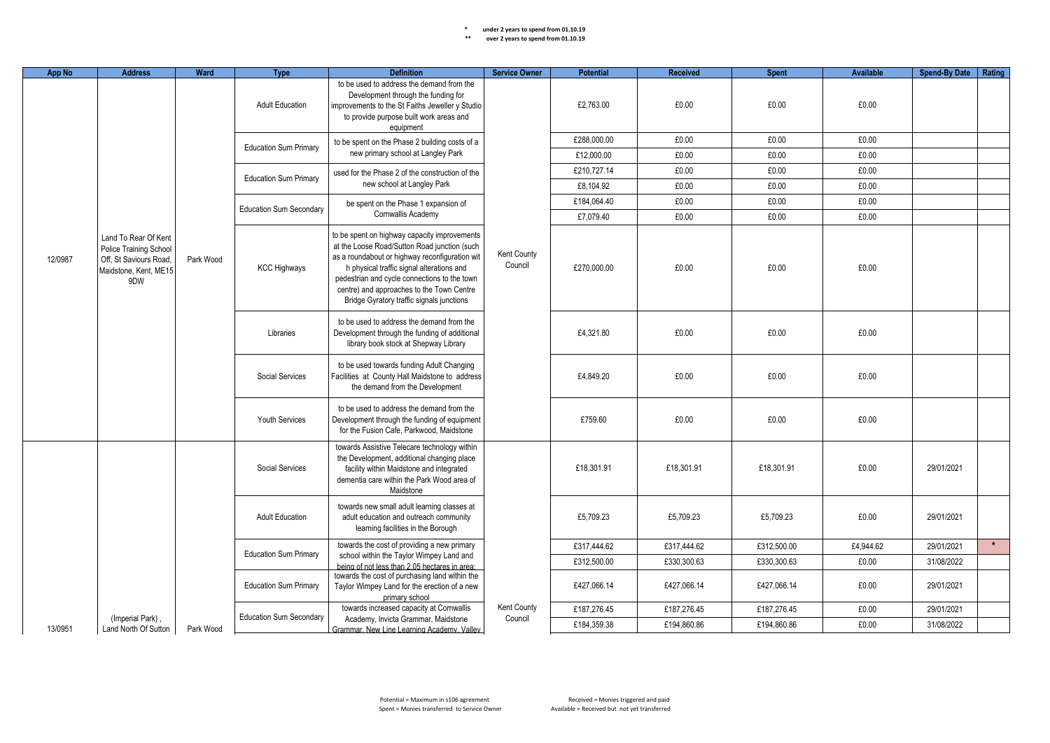| <b>App No</b> | <b>Address</b>                                                                                          | Ward      | <b>Type</b>                                                                                                                                                                                                                                                                                                                                                                   | <b>Definition</b>                                                                                                                                                                                                                                                                                                                     | <b>Service Owner</b>   | <b>Potential</b>                     | <b>Received</b> | <b>Spent</b> | <b>Available</b> | Spend-By Date   Rating |            |       |            |  |
|---------------|---------------------------------------------------------------------------------------------------------|-----------|-------------------------------------------------------------------------------------------------------------------------------------------------------------------------------------------------------------------------------------------------------------------------------------------------------------------------------------------------------------------------------|---------------------------------------------------------------------------------------------------------------------------------------------------------------------------------------------------------------------------------------------------------------------------------------------------------------------------------------|------------------------|--------------------------------------|-----------------|--------------|------------------|------------------------|------------|-------|------------|--|
|               |                                                                                                         |           | <b>Adult Education</b>                                                                                                                                                                                                                                                                                                                                                        | to be used to address the demand from the<br>Development through the funding for<br>improvements to the St Faiths Jeweller y Studio<br>to provide purpose built work areas and<br>equipment                                                                                                                                           |                        | £2,763.00                            | £0.00           | £0.00        | £0.00            |                        |            |       |            |  |
|               |                                                                                                         |           | <b>Education Sum Primary</b>                                                                                                                                                                                                                                                                                                                                                  | to be spent on the Phase 2 building costs of a                                                                                                                                                                                                                                                                                        |                        | £288,000.00                          | £0.00           | £0.00        | £0.00            |                        |            |       |            |  |
|               |                                                                                                         |           |                                                                                                                                                                                                                                                                                                                                                                               | new primary school at Langley Park                                                                                                                                                                                                                                                                                                    |                        | £12,000.00                           | £0.00           | £0.00        | £0.00            |                        |            |       |            |  |
|               |                                                                                                         |           | <b>Education Sum Primary</b>                                                                                                                                                                                                                                                                                                                                                  | used for the Phase 2 of the construction of the                                                                                                                                                                                                                                                                                       |                        | £210,727.14                          | £0.00           | £0.00        | £0.00            |                        |            |       |            |  |
|               |                                                                                                         |           |                                                                                                                                                                                                                                                                                                                                                                               | new school at Langley Park                                                                                                                                                                                                                                                                                                            |                        | £8,104.92                            | £0.00           | £0.00        | £0.00            |                        |            |       |            |  |
|               |                                                                                                         |           | <b>Education Sum Secondary</b>                                                                                                                                                                                                                                                                                                                                                | be spent on the Phase 1 expansion of                                                                                                                                                                                                                                                                                                  |                        | £184,064.40                          | £0.00           | £0.00        | £0.00            |                        |            |       |            |  |
|               |                                                                                                         |           |                                                                                                                                                                                                                                                                                                                                                                               | Cornwallis Academy                                                                                                                                                                                                                                                                                                                    |                        | £7,079.40                            | £0.00           | £0.00        | £0.00            |                        |            |       |            |  |
| 12/0987       | Land To Rear Of Kent<br>Police Training School<br>Off, St Saviours Road<br>Maidstone, Kent, ME15<br>9DW | Park Wood | <b>KCC Highways</b>                                                                                                                                                                                                                                                                                                                                                           | to be spent on highway capacity improvements<br>at the Loose Road/Sutton Road junction (such<br>as a roundabout or highway reconfiguration wit<br>h physical traffic signal alterations and<br>pedestrian and cycle connections to the town<br>centre) and approaches to the Town Centre<br>Bridge Gyratory traffic signals junctions | Kent County<br>Council | £270,000.00                          | £0.00           | £0.00        | £0.00            |                        |            |       |            |  |
|               |                                                                                                         |           | Libraries                                                                                                                                                                                                                                                                                                                                                                     | to be used to address the demand from the<br>Development through the funding of additional<br>library book stock at Shepway Library                                                                                                                                                                                                   |                        | £4,321.80<br>£0.00<br>£0.00<br>£0.00 |                 |              |                  |                        |            |       |            |  |
|               |                                                                                                         |           | Social Services                                                                                                                                                                                                                                                                                                                                                               | to be used towards funding Adult Changing<br>Facilities at County Hall Maidstone to address<br>the demand from the Development                                                                                                                                                                                                        |                        | £4,849.20                            | £0.00           | £0.00        | £0.00            |                        |            |       |            |  |
|               |                                                                                                         |           | <b>Youth Services</b>                                                                                                                                                                                                                                                                                                                                                         | to be used to address the demand from the<br>Development through the funding of equipment<br>for the Fusion Cafe, Parkwood, Maidstone                                                                                                                                                                                                 |                        | £759.60                              | £0.00           | £0.00        | £0.00            |                        |            |       |            |  |
|               |                                                                                                         |           | towards Assistive Telecare technology within<br>the Development, additional changing place<br>Social Services<br>facility within Maidstone and integrated<br>dementia care within the Park Wood area of<br>Maidstone<br>towards new small adult learning classes at<br><b>Adult Education</b><br>adult education and outreach community<br>learning facilities in the Borough |                                                                                                                                                                                                                                                                                                                                       |                        |                                      |                 |              | £18,301.91       | £18.301.91             | £18,301.91 | £0.00 | 29/01/2021 |  |
|               |                                                                                                         |           |                                                                                                                                                                                                                                                                                                                                                                               | £5,709.23                                                                                                                                                                                                                                                                                                                             | £5,709.23              | £5,709.23                            | £0.00           | 29/01/2021   |                  |                        |            |       |            |  |
|               |                                                                                                         |           |                                                                                                                                                                                                                                                                                                                                                                               | towards the cost of providing a new primary                                                                                                                                                                                                                                                                                           |                        | £317,444.62                          | £317,444.62     | £312,500.00  | £4,944.62        | 29/01/2021             | $\star$    |       |            |  |
|               |                                                                                                         |           | <b>Education Sum Primary</b>                                                                                                                                                                                                                                                                                                                                                  | school within the Taylor Wimpey Land and                                                                                                                                                                                                                                                                                              |                        | £312,500.00                          | £330,300.63     | £330,300.63  | £0.00            | 31/08/2022             |            |       |            |  |
|               |                                                                                                         |           | <b>Education Sum Primary</b>                                                                                                                                                                                                                                                                                                                                                  | being of not less than 2.05 hectares in area:<br>towards the cost of purchasing land within the<br>Taylor Wimpey Land for the erection of a new<br>primary school                                                                                                                                                                     |                        | £427,066.14                          | £427,066.14     | £427,066.14  | £0.00            | 29/01/2021             |            |       |            |  |
|               |                                                                                                         |           | <b>Education Sum Secondary</b>                                                                                                                                                                                                                                                                                                                                                | towards increased capacity at Cornwallis                                                                                                                                                                                                                                                                                              | Kent County            | £187,276.45                          | £187,276.45     | £187,276.45  | £0.00            | 29/01/2021             |            |       |            |  |
| 13/0951       | (Imperial Park)<br>Land North Of Sutton                                                                 | Park Wood |                                                                                                                                                                                                                                                                                                                                                                               | Academy, Invicta Grammar, Maidstone<br>Grammar. New Line Learning Academy. Valley                                                                                                                                                                                                                                                     | Council                | £184,359.38                          | £194,860.86     | £194,860.86  | £0.00            | 31/08/2022             |            |       |            |  |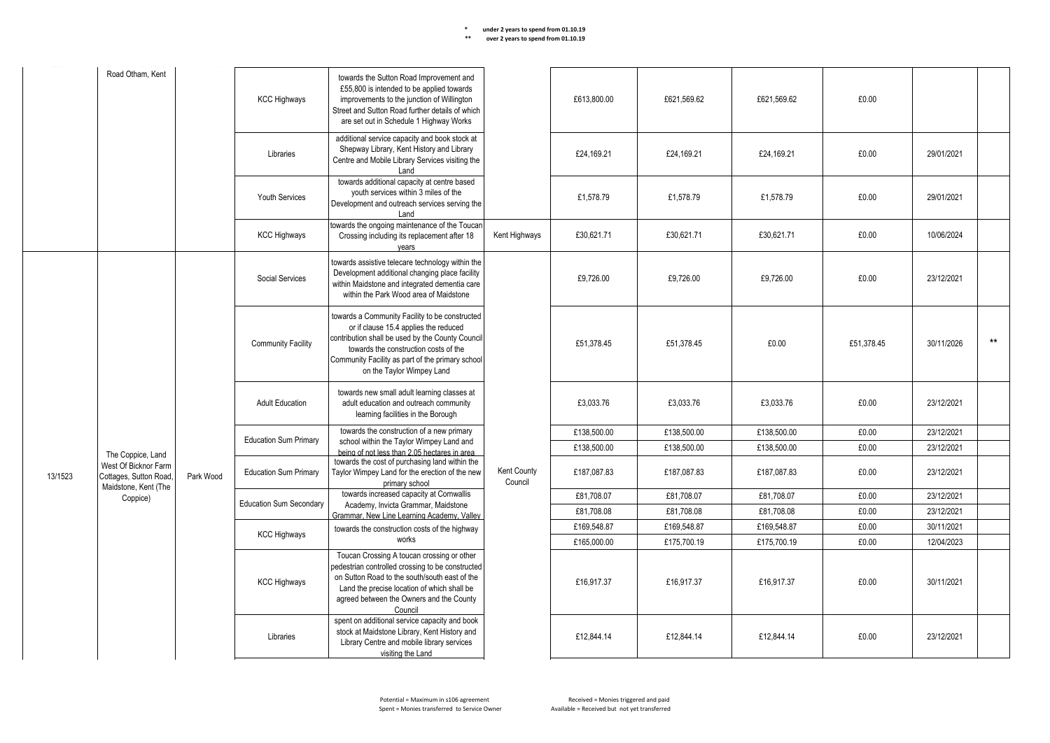**\*\* over 2 years to spend from 01.10.19** Kent County

|         | Road Otham, Kent                                                                           |           | <b>KCC Highways</b>                                                                                                                                                                                                                                                          | towards the Sutton Road Improvement and<br>£55,800 is intended to be applied towards<br>improvements to the junction of Willington<br>Street and Sutton Road further details of which<br>are set out in Schedule 1 Highway Works                                      |                        | £613.800.00 | £621.569.62 | £621.569.62 | £0.00      |            |       |
|---------|--------------------------------------------------------------------------------------------|-----------|------------------------------------------------------------------------------------------------------------------------------------------------------------------------------------------------------------------------------------------------------------------------------|-----------------------------------------------------------------------------------------------------------------------------------------------------------------------------------------------------------------------------------------------------------------------|------------------------|-------------|-------------|-------------|------------|------------|-------|
|         |                                                                                            |           | Libraries                                                                                                                                                                                                                                                                    | additional service capacity and book stock at<br>Shepway Library, Kent History and Library<br>Centre and Mobile Library Services visiting the<br>Land                                                                                                                 |                        | £24.169.21  | £24,169.21  | £24.169.21  | £0.00      | 29/01/2021 |       |
|         |                                                                                            |           | Youth Services                                                                                                                                                                                                                                                               | towards additional capacity at centre based<br>youth services within 3 miles of the<br>Development and outreach services serving the<br>Land                                                                                                                          |                        | £1.578.79   | £1.578.79   | £1.578.79   | £0.00      | 29/01/2021 |       |
|         |                                                                                            |           | <b>KCC Highways</b>                                                                                                                                                                                                                                                          | towards the ongoing maintenance of the Toucan<br>Crossing including its replacement after 18<br>vears                                                                                                                                                                 | Kent Highways          | £30,621.71  | £30.621.71  | £30,621.71  | £0.00      | 10/06/2024 |       |
|         |                                                                                            |           | Social Services                                                                                                                                                                                                                                                              | towards assistive telecare technology within the<br>Development additional changing place facility<br>within Maidstone and integrated dementia care<br>within the Park Wood area of Maidstone                                                                         |                        | £9.726.00   | £9.726.00   | £9.726.00   | £0.00      | 23/12/2021 |       |
|         |                                                                                            |           | <b>Community Facility</b>                                                                                                                                                                                                                                                    | towards a Community Facility to be constructed<br>or if clause 15.4 applies the reduced<br>contribution shall be used by the County Council<br>towards the construction costs of the<br>Community Facility as part of the primary school<br>on the Taylor Wimpey Land |                        | £51,378.45  | £51.378.45  | £0.00       | £51,378.45 | 30/11/2026 | $***$ |
|         |                                                                                            |           | <b>Adult Education</b>                                                                                                                                                                                                                                                       | towards new small adult learning classes at<br>adult education and outreach community<br>learning facilities in the Borough                                                                                                                                           |                        | £3,033.76   | £3,033.76   | £3,033.76   | £0.00      | 23/12/2021 |       |
|         |                                                                                            |           |                                                                                                                                                                                                                                                                              | towards the construction of a new primary                                                                                                                                                                                                                             |                        | £138,500.00 | £138,500.00 | £138,500.00 | £0.00      | 23/12/2021 |       |
|         |                                                                                            |           | <b>Education Sum Primary</b>                                                                                                                                                                                                                                                 | school within the Taylor Wimpey Land and<br>being of not less than 2.05 hectares in area                                                                                                                                                                              |                        | £138,500.00 | £138,500.00 | £138,500.00 | £0.00      | 23/12/2021 |       |
| 13/1523 | The Coppice, Land<br>West Of Bicknor Farm<br>Cottages, Sutton Road<br>Maidstone, Kent (The | Park Wood | <b>Education Sum Primary</b>                                                                                                                                                                                                                                                 | towards the cost of purchasing land within the<br>Taylor Wimpey Land for the erection of the new<br>primary school                                                                                                                                                    | Kent County<br>Council | £187,087.83 | £187,087.83 | £187,087.83 | £0.00      | 23/12/2021 |       |
|         | Coppice)                                                                                   |           |                                                                                                                                                                                                                                                                              | towards increased capacity at Cornwallis                                                                                                                                                                                                                              |                        | £81,708.07  | £81,708.07  | £81,708.07  | £0.00      | 23/12/2021 |       |
|         |                                                                                            |           | <b>Education Sum Secondary</b>                                                                                                                                                                                                                                               | Academy, Invicta Grammar, Maidstone<br>Grammar. New Line Learning Academy. Valley                                                                                                                                                                                     |                        | £81,708.08  | £81,708.08  | £81,708.08  | £0.00      | 23/12/2021 |       |
|         |                                                                                            |           |                                                                                                                                                                                                                                                                              | towards the construction costs of the highway                                                                                                                                                                                                                         |                        | £169,548.87 | £169,548.87 | £169,548.87 | £0.00      | 30/11/2021 |       |
|         |                                                                                            |           | <b>KCC Highways</b>                                                                                                                                                                                                                                                          | works                                                                                                                                                                                                                                                                 |                        | £165,000.00 | £175,700.19 | £175,700.19 | £0.00      | 12/04/2023 |       |
|         |                                                                                            |           | Toucan Crossing A toucan crossing or other<br>pedestrian controlled crossing to be constructed<br>on Sutton Road to the south/south east of the<br><b>KCC Highways</b><br>Land the precise location of which shall be<br>agreed between the Owners and the County<br>Council |                                                                                                                                                                                                                                                                       | £16,917.37             | £16,917.37  | £16,917.37  | £0.00       | 30/11/2021 |            |       |
|         |                                                                                            | Libraries | spent on additional service capacity and book<br>stock at Maidstone Library, Kent History and<br>Library Centre and mobile library services<br>visiting the Land                                                                                                             |                                                                                                                                                                                                                                                                       | £12,844.14             | £12,844.14  | £12,844.14  | £0.00       | 23/12/2021 |            |       |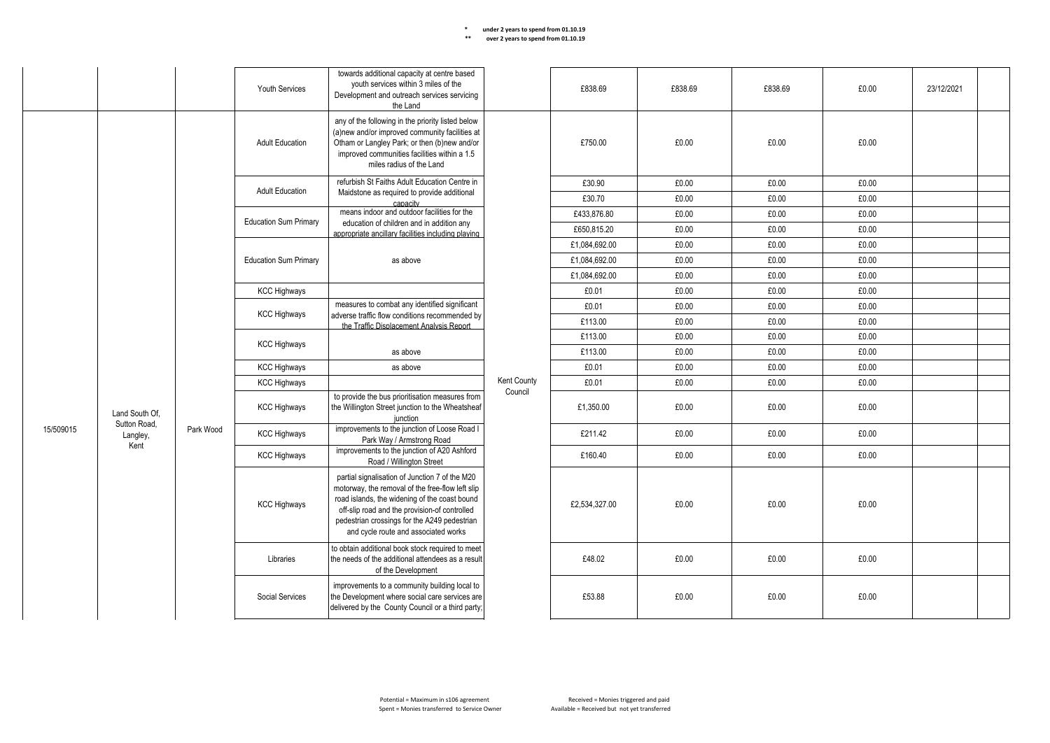| ** | over 2 years to spend from 01.10.19 |
|----|-------------------------------------|
|----|-------------------------------------|

|           |                                |           | <b>Youth Services</b>        | towards additional capacity at centre based<br>youth services within 3 miles of the<br>Development and outreach services servicing<br>the Land                                                                                                                                               |                | £838.69       | £838.69 | £838.69 | £0.00 | 23/12/2021 |  |
|-----------|--------------------------------|-----------|------------------------------|----------------------------------------------------------------------------------------------------------------------------------------------------------------------------------------------------------------------------------------------------------------------------------------------|----------------|---------------|---------|---------|-------|------------|--|
|           |                                |           | <b>Adult Education</b>       | any of the following in the priority listed below<br>(a)new and/or improved community facilities at<br>Otham or Langley Park; or then (b)new and/or<br>improved communities facilities within a 1.5<br>miles radius of the Land                                                              |                | £750.00       | £0.00   | £0.00   | £0.00 |            |  |
|           |                                |           | <b>Adult Education</b>       | refurbish St Faiths Adult Education Centre in                                                                                                                                                                                                                                                |                | £30.90        | £0.00   | £0.00   | £0.00 |            |  |
|           |                                |           |                              | Maidstone as required to provide additional<br>canacity                                                                                                                                                                                                                                      |                | £30.70        | £0.00   | £0.00   | £0.00 |            |  |
|           |                                |           | <b>Education Sum Primary</b> | means indoor and outdoor facilities for the                                                                                                                                                                                                                                                  |                | £433.876.80   | £0.00   | £0.00   | £0.00 |            |  |
|           |                                |           |                              | education of children and in addition any<br>appropriate ancillary facilities including playing                                                                                                                                                                                              |                | £650,815.20   | £0.00   | £0.00   | £0.00 |            |  |
|           |                                |           |                              |                                                                                                                                                                                                                                                                                              |                | £1,084,692.00 | £0.00   | £0.00   | £0.00 |            |  |
|           |                                |           | <b>Education Sum Primary</b> | as above                                                                                                                                                                                                                                                                                     |                | £1,084,692.00 | £0.00   | £0.00   | £0.00 |            |  |
|           |                                |           |                              |                                                                                                                                                                                                                                                                                              |                | £1,084,692.00 | £0.00   | £0.00   | £0.00 |            |  |
|           |                                |           | <b>KCC Highways</b>          |                                                                                                                                                                                                                                                                                              |                | £0.01         | £0.00   | £0.00   | £0.00 |            |  |
|           |                                |           | <b>KCC Highways</b>          | measures to combat any identified significant<br>adverse traffic flow conditions recommended by<br>the Traffic Displacement Analysis Report                                                                                                                                                  |                | £0.01         | £0.00   | £0.00   | £0.00 |            |  |
|           |                                |           |                              |                                                                                                                                                                                                                                                                                              |                | £113.00       | £0.00   | £0.00   | £0.00 |            |  |
|           |                                |           | <b>KCC Highways</b>          |                                                                                                                                                                                                                                                                                              |                | £113.00       | £0.00   | £0.00   | £0.00 |            |  |
|           |                                |           |                              | as above                                                                                                                                                                                                                                                                                     |                | £113.00       | £0.00   | £0.00   | £0.00 |            |  |
|           |                                |           | <b>KCC Highways</b>          | as above                                                                                                                                                                                                                                                                                     | £0.01<br>£0.00 | £0.00         | £0.00   |         |       |            |  |
|           |                                |           | <b>KCC Highways</b>          |                                                                                                                                                                                                                                                                                              | Kent County    | £0.01         | £0.00   | £0.00   | £0.00 |            |  |
|           | Land South Of.<br>Sutton Road, |           | <b>KCC Highways</b>          | to provide the bus prioritisation measures from<br>the Willington Street junction to the Wheatsheaf<br>iunction                                                                                                                                                                              | Council        | £1,350.00     | £0.00   | £0.00   | £0.00 |            |  |
| 15/509015 | Langley,<br>Kent               | Park Wood | <b>KCC Highways</b>          | improvements to the junction of Loose Road I<br>Park Way / Armstrong Road                                                                                                                                                                                                                    |                | £211.42       | £0.00   | £0.00   | £0.00 |            |  |
|           |                                |           | <b>KCC Highways</b>          | improvements to the junction of A20 Ashford<br>Road / Willington Street                                                                                                                                                                                                                      | £160.40        | £0.00         | £0.00   | £0.00   |       |            |  |
|           |                                |           | <b>KCC Highways</b>          | partial signalisation of Junction 7 of the M20<br>motorway, the removal of the free-flow left slip<br>road islands, the widening of the coast bound<br>off-slip road and the provision-of controlled<br>pedestrian crossings for the A249 pedestrian<br>and cycle route and associated works |                | £2,534,327.00 | £0.00   | £0.00   | £0.00 |            |  |
|           |                                |           | Libraries                    | to obtain additional book stock required to meet<br>the needs of the additional attendees as a result<br>of the Development                                                                                                                                                                  |                | £48.02        | £0.00   | £0.00   | £0.00 |            |  |
|           |                                |           | Social Services              | improvements to a community building local to<br>the Development where social care services are<br>delivered by the County Council or a third party;                                                                                                                                         |                | £53.88        | £0.00   | £0.00   | £0.00 |            |  |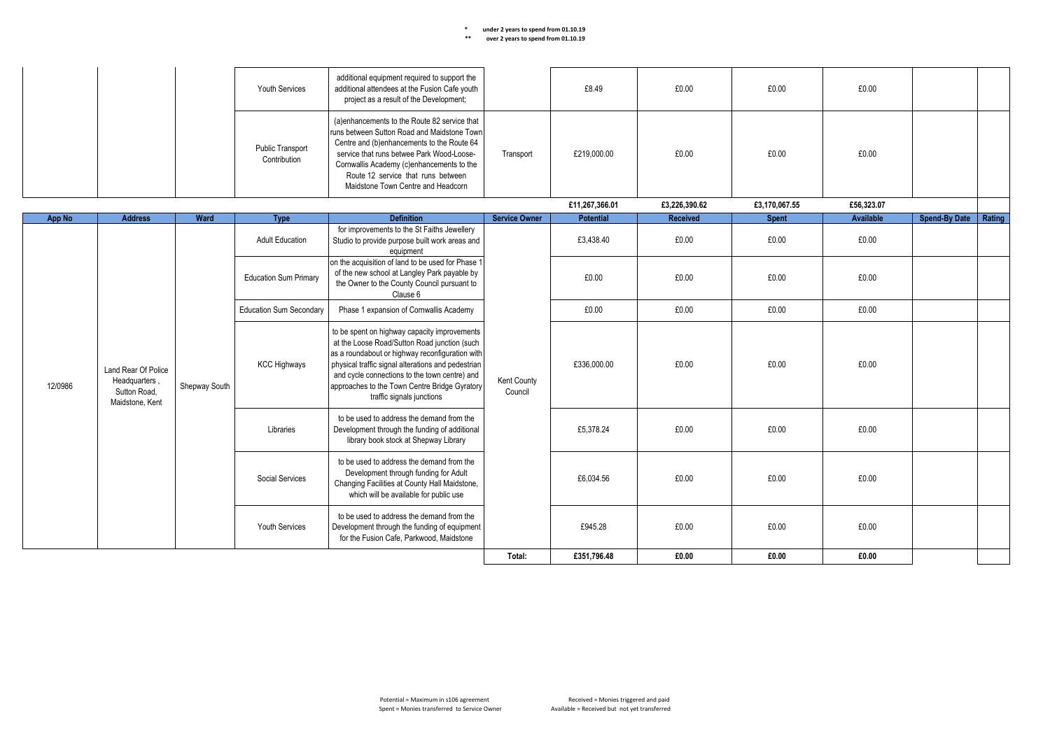|         |                                                                         |               | <b>Youth Services</b>            | additional equipment required to support the<br>additional attendees at the Fusion Cafe youth<br>project as a result of the Development;                                                                                                                                                                                             |                        | £8.49            | £0.00         | £0.00         | £0.00      |                      |        |
|---------|-------------------------------------------------------------------------|---------------|----------------------------------|--------------------------------------------------------------------------------------------------------------------------------------------------------------------------------------------------------------------------------------------------------------------------------------------------------------------------------------|------------------------|------------------|---------------|---------------|------------|----------------------|--------|
|         |                                                                         |               | Public Transport<br>Contribution | (a)enhancements to the Route 82 service that<br>runs between Sutton Road and Maidstone Town<br>Centre and (b)enhancements to the Route 64<br>service that runs betwee Park Wood-Loose-<br>Cornwallis Academy (c)enhancements to the<br>Route 12 service that runs between<br>Maidstone Town Centre and Headcorn                      | Transport              | £219,000.00      | £0.00         | £0.00         | £0.00      |                      |        |
|         |                                                                         |               |                                  |                                                                                                                                                                                                                                                                                                                                      |                        | £11,267,366.01   | £3,226,390.62 | £3,170,067.55 | £56,323.07 |                      |        |
| App No  | <b>Address</b>                                                          | Ward          | Type                             | <b>Definition</b>                                                                                                                                                                                                                                                                                                                    | <b>Service Owner</b>   | <b>Potential</b> | Received      | <b>Spent</b>  | Available  | <b>Spend-By Date</b> | Rating |
|         |                                                                         |               | <b>Adult Education</b>           | for improvements to the St Faiths Jewellery<br>Studio to provide purpose built work areas and<br>equipment                                                                                                                                                                                                                           |                        | £3,438.40        | £0.00         | £0.00         | £0.00      |                      |        |
|         |                                                                         |               | <b>Education Sum Primary</b>     | on the acquisition of land to be used for Phase 1<br>of the new school at Langley Park payable by<br>the Owner to the County Council pursuant to<br>Clause 6                                                                                                                                                                         | Kent County<br>Council | £0.00            | £0.00         | £0.00         | £0.00      |                      |        |
|         |                                                                         |               | <b>Education Sum Secondary</b>   | Phase 1 expansion of Cornwallis Academy                                                                                                                                                                                                                                                                                              |                        | £0.00            | £0.00         | £0.00         | £0.00      |                      |        |
| 12/0986 | Land Rear Of Police<br>Headquarters,<br>Sutton Road,<br>Maidstone, Kent | Shepway South | <b>KCC Highways</b>              | to be spent on highway capacity improvements<br>at the Loose Road/Sutton Road junction (such<br>as a roundabout or highway reconfiguration with<br>physical traffic signal alterations and pedestrian<br>and cycle connections to the town centre) and<br>approaches to the Town Centre Bridge Gyratory<br>traffic signals junctions |                        | £336,000.00      | £0.00         | £0.00         | £0.00      |                      |        |
|         |                                                                         |               | Libraries                        | to be used to address the demand from the<br>Development through the funding of additional<br>library book stock at Shepway Library                                                                                                                                                                                                  |                        | £5,378.24        | £0.00         | £0.00         | £0.00      |                      |        |
|         |                                                                         |               | Social Services                  | to be used to address the demand from the<br>Development through funding for Adult<br>Changing Facilities at County Hall Maidstone,<br>which will be available for public use                                                                                                                                                        |                        | £6,034.56        | £0.00         | £0.00         | £0.00      |                      |        |
|         |                                                                         |               | <b>Youth Services</b>            | to be used to address the demand from the<br>Development through the funding of equipment<br>for the Fusion Cafe, Parkwood, Maidstone                                                                                                                                                                                                |                        | £945.28          | £0.00         | £0.00         | £0.00      |                      |        |
|         |                                                                         |               |                                  |                                                                                                                                                                                                                                                                                                                                      | Total:                 | £351.796.48      | £0.00         | £0.00         | £0.00      |                      |        |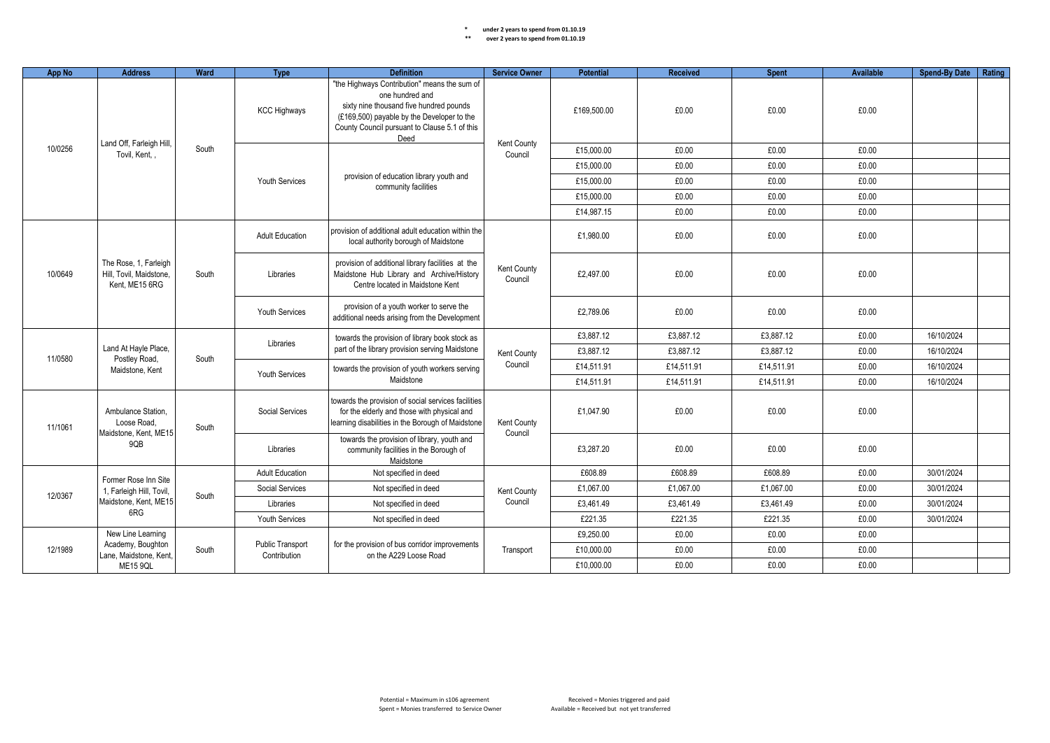| App No                                    | <b>Address</b>                                                     | Ward  | <b>Type</b>                             | <b>Definition</b>                                                                                                                                                                                                 | <b>Service Owner</b>                            | Potential                                                                                                                                                                                 | <b>Received</b> | <b>Spent</b> | Available | <b>Spend-By Date</b> | Rating     |  |
|-------------------------------------------|--------------------------------------------------------------------|-------|-----------------------------------------|-------------------------------------------------------------------------------------------------------------------------------------------------------------------------------------------------------------------|-------------------------------------------------|-------------------------------------------------------------------------------------------------------------------------------------------------------------------------------------------|-----------------|--------------|-----------|----------------------|------------|--|
|                                           |                                                                    |       | <b>KCC Highways</b>                     | "the Highways Contribution" means the sum of<br>one hundred and<br>sixty nine thousand five hundred pounds<br>(£169,500) payable by the Developer to the<br>County Council pursuant to Clause 5.1 of this<br>Deed |                                                 | £169.500.00                                                                                                                                                                               | £0.00           | £0.00        | £0.00     |                      |            |  |
| 10/0256                                   | Land Off, Farleigh Hill,<br>Tovil, Kent,                           | South |                                         |                                                                                                                                                                                                                   | Kent County<br>Council                          | £15,000.00                                                                                                                                                                                | £0.00           | £0.00        | £0.00     |                      |            |  |
|                                           |                                                                    |       |                                         |                                                                                                                                                                                                                   |                                                 | £15,000.00                                                                                                                                                                                | £0.00           | £0.00        | £0.00     |                      |            |  |
|                                           |                                                                    |       | <b>Youth Services</b>                   | provision of education library youth and<br>community facilities                                                                                                                                                  |                                                 | £15,000.00                                                                                                                                                                                | £0.00           | £0.00        | £0.00     |                      |            |  |
|                                           |                                                                    |       |                                         |                                                                                                                                                                                                                   |                                                 | £15,000.00                                                                                                                                                                                | £0.00           | £0.00        | £0.00     |                      |            |  |
|                                           |                                                                    |       |                                         |                                                                                                                                                                                                                   |                                                 | £14,987.15                                                                                                                                                                                | £0.00           | £0.00        | £0.00     |                      |            |  |
|                                           |                                                                    |       | <b>Adult Education</b>                  | provision of additional adult education within the<br>local authority borough of Maidstone                                                                                                                        |                                                 | £1.980.00                                                                                                                                                                                 | £0.00           | £0.00        | £0.00     |                      |            |  |
| 10/0649                                   | The Rose, 1, Farleigh<br>Hill, Tovil, Maidstone,<br>Kent. ME15 6RG | South | Libraries                               | provision of additional library facilities at the<br>Maidstone Hub Library and Archive/History<br>Centre located in Maidstone Kent                                                                                | Kent County<br>Council                          | £2,497.00                                                                                                                                                                                 | £0.00           | £0.00        | £0.00     |                      |            |  |
|                                           |                                                                    |       | <b>Youth Services</b>                   | provision of a youth worker to serve the<br>additional needs arising from the Development                                                                                                                         |                                                 | £2.789.06                                                                                                                                                                                 | £0.00           | £0.00        | £0.00     |                      |            |  |
|                                           |                                                                    |       | Libraries                               | towards the provision of library book stock as                                                                                                                                                                    |                                                 | £3,887.12                                                                                                                                                                                 | £3,887.12       | £3,887.12    | £0.00     | 16/10/2024           |            |  |
|                                           | Land At Hayle Place,                                               |       | South                                   |                                                                                                                                                                                                                   | part of the library provision serving Maidstone | Kent County                                                                                                                                                                               | £3.887.12       | £3.887.12    | £3.887.12 | £0.00                | 16/10/2024 |  |
| 11/0580                                   | Postley Road,<br>Maidstone, Kent                                   |       | Youth Services                          | towards the provision of youth workers serving                                                                                                                                                                    | Council                                         | £14,511.91                                                                                                                                                                                | £14,511.91      | £14,511.91   | £0.00     | 16/10/2024           |            |  |
|                                           |                                                                    |       |                                         | Maidstone                                                                                                                                                                                                         |                                                 | £14.511.91                                                                                                                                                                                | £14.511.91      | £14.511.91   | £0.00     | 16/10/2024           |            |  |
| 11/1061                                   | Ambulance Station.<br>Loose Road.                                  |       |                                         |                                                                                                                                                                                                                   | South                                           | towards the provision of social services facilities<br>Social Services<br>for the elderly and those with physical and<br>learning disabilities in the Borough of Maidstone<br>Kent County | £1.047.90       | £0.00        | £0.00     | £0.00                |            |  |
|                                           | Maidstone, Kent, ME15<br>9QB                                       |       | Libraries                               | towards the provision of library, youth and<br>community facilities in the Borough of<br>Maidstone                                                                                                                | Council                                         | £3.287.20                                                                                                                                                                                 | £0.00           | £0.00        | £0.00     |                      |            |  |
|                                           | Former Rose Inn Site                                               |       | <b>Adult Education</b>                  | Not specified in deed                                                                                                                                                                                             |                                                 | £608.89                                                                                                                                                                                   | £608.89         | £608.89      | £0.00     | 30/01/2024           |            |  |
|                                           | 1, Farleigh Hill, Tovil,                                           | South | Social Services                         | Not specified in deed                                                                                                                                                                                             | Kent County                                     | £1,067.00                                                                                                                                                                                 | £1,067.00       | £1,067.00    | £0.00     | 30/01/2024           |            |  |
| 12/0367                                   | Maidstone, Kent, ME15                                              |       | Libraries                               | Not specified in deed                                                                                                                                                                                             | Council                                         | £3.461.49                                                                                                                                                                                 | £3.461.49       | £3.461.49    | £0.00     | 30/01/2024           |            |  |
|                                           | 6RG                                                                |       | Youth Services                          | Not specified in deed                                                                                                                                                                                             |                                                 | £221.35                                                                                                                                                                                   | £221.35         | £221.35      | £0.00     | 30/01/2024           |            |  |
|                                           | New Line Learning                                                  |       |                                         |                                                                                                                                                                                                                   |                                                 | £9.250.00                                                                                                                                                                                 | £0.00           | £0.00        | £0.00     |                      |            |  |
| 12/1989                                   | Academy, Boughton                                                  | South | <b>Public Transport</b><br>Contribution | for the provision of bus corridor improvements<br>on the A229 Loose Road                                                                                                                                          | Transport                                       | £10,000.00                                                                                                                                                                                | £0.00           | £0.00        | £0.00     |                      |            |  |
| Lane, Maidstone, Kent,<br><b>ME15 9QL</b> |                                                                    |       |                                         |                                                                                                                                                                                                                   |                                                 |                                                                                                                                                                                           | £10,000.00      | £0.00        | £0.00     | £0.00                |            |  |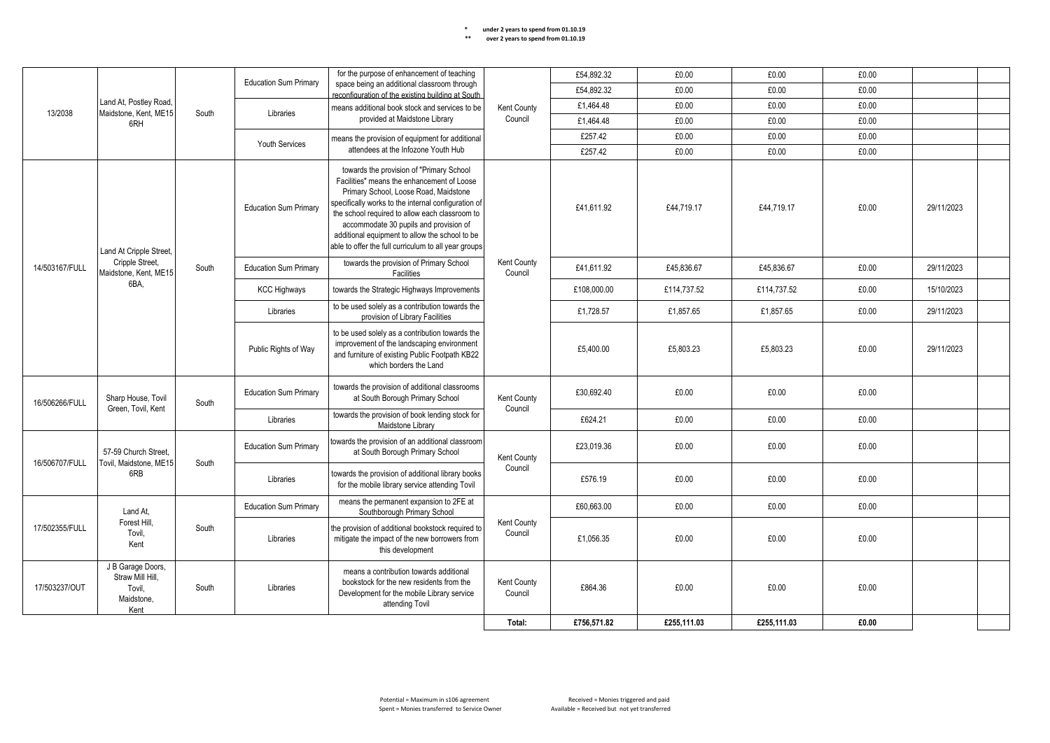| ** | over 2 years to spend from 01.10.19 |
|----|-------------------------------------|
|----|-------------------------------------|

|                |                                                                       |       | <b>Education Sum Primary</b> |                                                                                                                                                                                                                                                                                                                                                                                              | for the purpose of enhancement of teaching |             | £54,892.32  | £0.00       | £0.00 | £0.00      |  |  |
|----------------|-----------------------------------------------------------------------|-------|------------------------------|----------------------------------------------------------------------------------------------------------------------------------------------------------------------------------------------------------------------------------------------------------------------------------------------------------------------------------------------------------------------------------------------|--------------------------------------------|-------------|-------------|-------------|-------|------------|--|--|
|                |                                                                       |       |                              | space being an additional classroom through<br>reconfiguration of the existing building at South                                                                                                                                                                                                                                                                                             |                                            | £54,892.32  | £0.00       | £0.00       | £0.00 |            |  |  |
| 13/2038        | Land At, Postley Road,<br>Maidstone, Kent, ME15                       | South | Libraries                    | means additional book stock and services to be                                                                                                                                                                                                                                                                                                                                               | Kent County                                | £1,464.48   | £0.00       | £0.00       | £0.00 |            |  |  |
|                | 6RH                                                                   |       |                              | provided at Maidstone Library                                                                                                                                                                                                                                                                                                                                                                | Council                                    | £1,464.48   | £0.00       | £0.00       | £0.00 |            |  |  |
|                |                                                                       |       | <b>Youth Services</b>        | means the provision of equipment for additional                                                                                                                                                                                                                                                                                                                                              |                                            | £257.42     | £0.00       | £0.00       | £0.00 |            |  |  |
|                |                                                                       |       |                              | attendees at the Infozone Youth Hub                                                                                                                                                                                                                                                                                                                                                          |                                            | £257.42     | £0.00       | £0.00       | £0.00 |            |  |  |
|                | Land At Cripple Street,                                               |       | <b>Education Sum Primary</b> | towards the provision of "Primary School<br>Facilities" means the enhancement of Loose<br>Primary School, Loose Road, Maidstone<br>specifically works to the internal configuration of<br>the school required to allow each classroom to<br>accommodate 30 pupils and provision of<br>additional equipment to allow the school to be<br>able to offer the full curriculum to all year groups |                                            | £41,611.92  | £44,719.17  | £44,719.17  | £0.00 | 29/11/2023 |  |  |
| 14/503167/FULL | Cripple Street,<br>Maidstone, Kent, ME15                              | South | <b>Education Sum Primary</b> | towards the provision of Primary School<br>Facilities                                                                                                                                                                                                                                                                                                                                        | Kent County<br>Council                     | £41.611.92  | £45,836.67  | £45,836.67  | £0.00 | 29/11/2023 |  |  |
|                | 6BA.                                                                  |       | <b>KCC Highways</b>          | towards the Strategic Highways Improvements                                                                                                                                                                                                                                                                                                                                                  |                                            | £108,000.00 | £114,737.52 | £114.737.52 | £0.00 | 15/10/2023 |  |  |
|                |                                                                       |       | Libraries                    | to be used solely as a contribution towards the<br>provision of Library Facilities                                                                                                                                                                                                                                                                                                           |                                            | £1,728.57   | £1,857.65   | £1,857.65   | £0.00 | 29/11/2023 |  |  |
|                |                                                                       |       | Public Rights of Way         | to be used solely as a contribution towards the<br>improvement of the landscaping environment<br>and furniture of existing Public Footpath KB22<br>which borders the Land                                                                                                                                                                                                                    |                                            | £5,400.00   | £5,803.23   | £5,803.23   | £0.00 | 29/11/2023 |  |  |
| 16/506266/FULL | Sharp House, Tovil                                                    | South | <b>Education Sum Primary</b> | towards the provision of additional classrooms<br>at South Borough Primary School                                                                                                                                                                                                                                                                                                            | Kent County<br>Council                     | £30,692.40  | £0.00       | £0.00       | £0.00 |            |  |  |
|                | Green, Tovil, Kent                                                    |       | Libraries                    | towards the provision of book lending stock for<br>Maidstone Library                                                                                                                                                                                                                                                                                                                         |                                            | £624.21     | £0.00       | £0.00       | £0.00 |            |  |  |
| 16/506707/FULL | 57-59 Church Street.<br>Tovil, Maidstone, ME15                        | South | <b>Education Sum Primary</b> | towards the provision of an additional classroom<br>at South Borough Primary School                                                                                                                                                                                                                                                                                                          | Kent County                                | £23,019.36  | £0.00       | £0.00       | £0.00 |            |  |  |
|                | 6RB                                                                   |       | Libraries                    | towards the provision of additional library books<br>for the mobile library service attending Tovil                                                                                                                                                                                                                                                                                          | Council                                    | £576.19     | £0.00       | £0.00       | £0.00 |            |  |  |
|                | Land At.                                                              |       | <b>Education Sum Primary</b> | means the permanent expansion to 2FE at<br>Southborough Primary School                                                                                                                                                                                                                                                                                                                       |                                            | £60,663.00  | £0.00       | £0.00       | £0.00 |            |  |  |
| 17/502355/FULL | Forest Hill.<br>Tovil.<br>Kent                                        | South | Libraries                    | the provision of additional bookstock required to<br>mitigate the impact of the new borrowers from<br>this development                                                                                                                                                                                                                                                                       | Kent County<br>Council                     | £1,056.35   | £0.00       | £0.00       | £0.00 |            |  |  |
| 17/503237/OUT  | J B Garage Doors,<br>Straw Mill Hill.<br>Tovil,<br>Maidstone,<br>Kent | South | Libraries                    | means a contribution towards additional<br>bookstock for the new residents from the<br>Development for the mobile Library service<br>attending Tovil                                                                                                                                                                                                                                         | Kent County<br>Council                     | £864.36     | £0.00       | £0.00       | £0.00 |            |  |  |
|                |                                                                       |       |                              |                                                                                                                                                                                                                                                                                                                                                                                              | Total:                                     | £756.571.82 | £255.111.03 | £255.111.03 | £0.00 |            |  |  |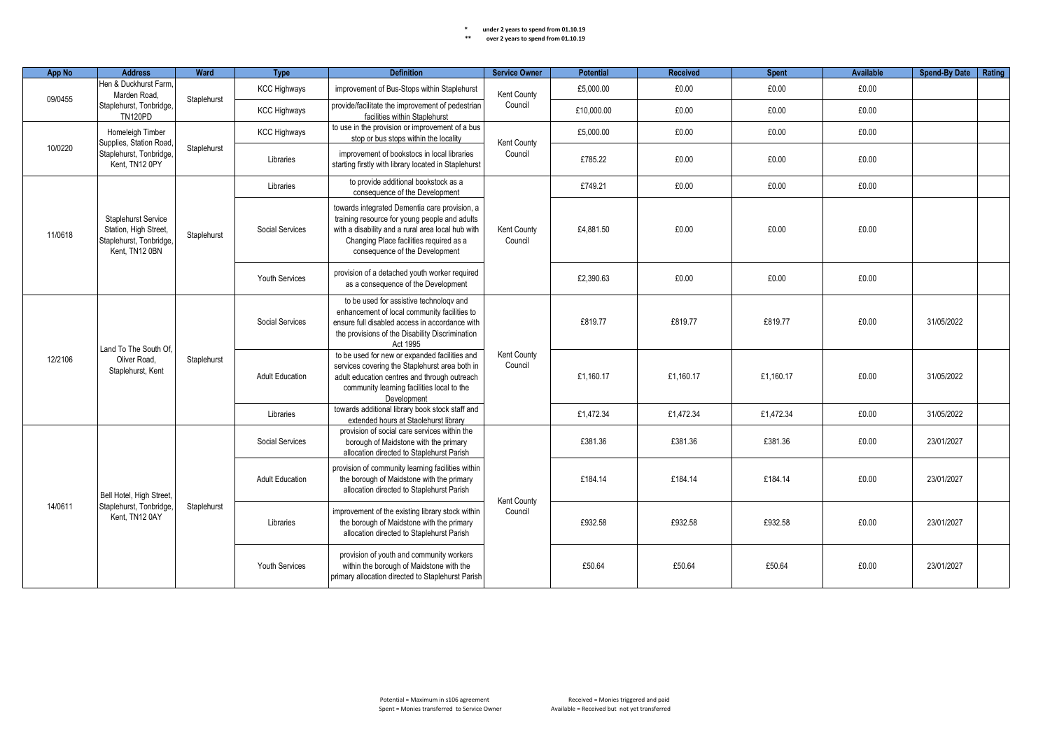| App No  | <b>Address</b>                                                                                                                                              | Ward                                               | <b>Type</b>                                                                                                                                | <b>Definition</b>                                                                                                                                                                                                                | <b>Service Owner</b>   | <b>Potential</b> | <b>Received</b> | <b>Spent</b> | <b>Available</b> | <b>Spend-By Date</b> | Rating |
|---------|-------------------------------------------------------------------------------------------------------------------------------------------------------------|----------------------------------------------------|--------------------------------------------------------------------------------------------------------------------------------------------|----------------------------------------------------------------------------------------------------------------------------------------------------------------------------------------------------------------------------------|------------------------|------------------|-----------------|--------------|------------------|----------------------|--------|
| 09/0455 | Hen & Duckhurst Farm.<br>Marden Road.                                                                                                                       | Staplehurst                                        | <b>KCC Highways</b>                                                                                                                        | improvement of Bus-Stops within Staplehurst                                                                                                                                                                                      | Kent County            | £5,000.00        | £0.00           | £0.00        | £0.00            |                      |        |
|         | Staplehurst, Tonbridge,<br><b>TN120PD</b>                                                                                                                   |                                                    | <b>KCC Highways</b>                                                                                                                        | provide/facilitate the improvement of pedestrian<br>facilities within Staplehurst                                                                                                                                                | Council                | £10.000.00       | £0.00           | £0.00        | £0.00            |                      |        |
|         | Homeleigh Timber<br>Supplies, Station Road                                                                                                                  |                                                    | <b>KCC Highways</b>                                                                                                                        | to use in the provision or improvement of a bus<br>stop or bus stops within the locality                                                                                                                                         |                        | £5,000.00        | £0.00           | £0.00        | £0.00            |                      |        |
| 10/0220 | Staplehurst, Tonbridge<br>Kent, TN12 0PY                                                                                                                    | Staplehurst                                        | Libraries                                                                                                                                  | improvement of bookstocs in local libraries<br>starting firstly with library located in Staplehurst                                                                                                                              | Kent County<br>Council | £785.22          | £0.00           | £0.00        | £0.00            |                      |        |
|         |                                                                                                                                                             |                                                    | Libraries                                                                                                                                  | to provide additional bookstock as a<br>consequence of the Development                                                                                                                                                           |                        | £749.21          | £0.00           | £0.00        | £0.00            |                      |        |
| 11/0618 | <b>Staplehurst Service</b><br>Station, High Street,<br>Staplehurst, Tonbridge<br>Kent. TN12 0BN                                                             | Staplehurst                                        | Social Services                                                                                                                            | towards integrated Dementia care provision, a<br>training resource for young people and adults<br>with a disability and a rural area local hub with<br>Changing Place facilities required as a<br>consequence of the Development | Kent County<br>Council | £4,881.50        | £0.00           | £0.00        | £0.00            |                      |        |
|         |                                                                                                                                                             |                                                    | <b>Youth Services</b>                                                                                                                      | provision of a detached youth worker required<br>as a consequence of the Development                                                                                                                                             |                        | £2,390.63        | £0.00           | £0.00        | £0.00            |                      |        |
|         | Land To The South Of.                                                                                                                                       | Staplehurst                                        | Social Services                                                                                                                            | to be used for assistive technology and<br>enhancement of local community facilities to<br>ensure full disabled access in accordance with<br>the provisions of the Disability Discrimination<br>Act 1995                         | Kent County<br>Council | £819.77          | £819.77         | £819.77      | £0.00            | 31/05/2022           |        |
| 12/2106 | Oliver Road.<br>Staplehurst, Kent                                                                                                                           |                                                    | <b>Adult Education</b>                                                                                                                     | to be used for new or expanded facilities and<br>services covering the Staplehurst area both in<br>adult education centres and through outreach<br>community learning facilities local to the<br>Development                     |                        | £1.160.17        | £1.160.17       | £1.160.17    | £0.00            | 31/05/2022           |        |
|         |                                                                                                                                                             |                                                    | Libraries                                                                                                                                  | towards additional library book stock staff and<br>extended hours at Staolehurst library                                                                                                                                         |                        | £1,472.34        | £1,472.34       | £1,472.34    | £0.00            | 31/05/2022           |        |
|         |                                                                                                                                                             |                                                    | Social Services                                                                                                                            | provision of social care services within the<br>borough of Maidstone with the primary<br>allocation directed to Staplehurst Parish                                                                                               |                        | £381.36          | £381.36         | £381.36      | £0.00            | 23/01/2027           |        |
|         | Bell Hotel, High Street,                                                                                                                                    | <b>Adult Education</b><br>Staplehurst<br>Libraries |                                                                                                                                            | provision of community learning facilities within<br>the borough of Maidstone with the primary<br>allocation directed to Staplehurst Parish                                                                                      |                        | £184.14          | £184.14         | £184.14      | £0.00            | 23/01/2027           |        |
| 14/0611 | Staplehurst, Tonbridge.<br>Kent. TN12 0AY                                                                                                                   |                                                    | improvement of the existing library stock within<br>the borough of Maidstone with the primary<br>allocation directed to Staplehurst Parish | Kent County<br>Council                                                                                                                                                                                                           | £932.58                | £932.58          | £932.58         | £0.00        | 23/01/2027       |                      |        |
|         | provision of youth and community workers<br>Youth Services<br>within the borough of Maidstone with the<br>primary allocation directed to Staplehurst Parish |                                                    | £50.64                                                                                                                                     | £50.64                                                                                                                                                                                                                           | £50.64                 | £0.00            | 23/01/2027      |              |                  |                      |        |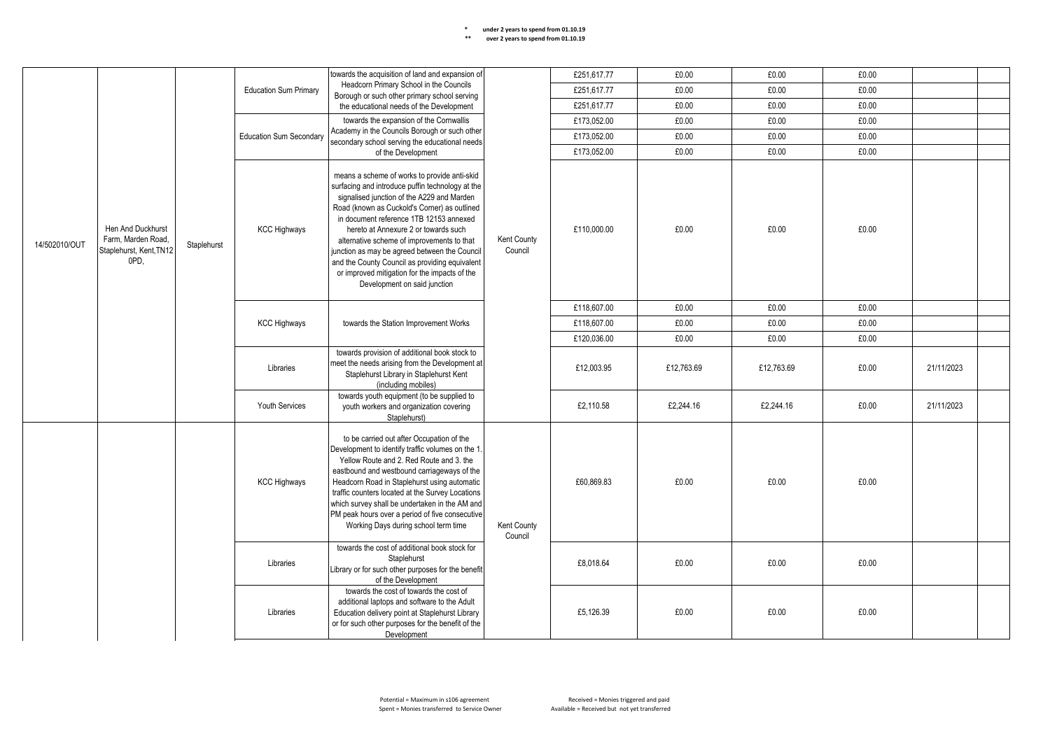|               |                                                                            |                        | towards the acquisition of land and expansion of                                                                                         |                                                                                                                                                                                                                                                                                                                                                                                                                                                                                                                     | £251.617.77            | £0.00       | £0.00      | £0.00      |       |            |  |
|---------------|----------------------------------------------------------------------------|------------------------|------------------------------------------------------------------------------------------------------------------------------------------|---------------------------------------------------------------------------------------------------------------------------------------------------------------------------------------------------------------------------------------------------------------------------------------------------------------------------------------------------------------------------------------------------------------------------------------------------------------------------------------------------------------------|------------------------|-------------|------------|------------|-------|------------|--|
|               |                                                                            |                        | <b>Education Sum Primary</b>                                                                                                             | Headcorn Primary School in the Councils<br>Borough or such other primary school serving                                                                                                                                                                                                                                                                                                                                                                                                                             |                        | £251,617.77 | £0.00      | £0.00      | £0.00 |            |  |
|               |                                                                            |                        |                                                                                                                                          | the educational needs of the Development                                                                                                                                                                                                                                                                                                                                                                                                                                                                            |                        | £251,617.77 | £0.00      | £0.00      | £0.00 |            |  |
|               |                                                                            |                        |                                                                                                                                          | towards the expansion of the Cornwallis                                                                                                                                                                                                                                                                                                                                                                                                                                                                             |                        | £173,052.00 | £0.00      | £0.00      | £0.00 |            |  |
|               |                                                                            |                        | <b>Education Sum Secondary</b>                                                                                                           | Academy in the Councils Borough or such other                                                                                                                                                                                                                                                                                                                                                                                                                                                                       |                        | £173,052.00 | £0.00      | £0.00      | £0.00 |            |  |
|               |                                                                            |                        |                                                                                                                                          | secondary school serving the educational needs<br>of the Development                                                                                                                                                                                                                                                                                                                                                                                                                                                |                        | £173,052.00 | £0.00      | £0.00      | £0.00 |            |  |
| 14/502010/OUT | Hen And Duckhurst<br>Farm, Marden Road,<br>Staplehurst, Kent, TN12<br>OPD. | Staplehurst            | <b>KCC Highways</b>                                                                                                                      | means a scheme of works to provide anti-skid<br>surfacing and introduce puffin technology at the<br>signalised junction of the A229 and Marden<br>Road (known as Cuckold's Corner) as outlined<br>in document reference 1TB 12153 annexed<br>hereto at Annexure 2 or towards such<br>alternative scheme of improvements to that<br>junction as may be agreed between the Council<br>and the County Council as providing equivalent<br>or improved mitigation for the impacts of the<br>Development on said junction | Kent County<br>Council | £110,000.00 | £0.00      | £0.00      | £0.00 |            |  |
|               |                                                                            |                        |                                                                                                                                          |                                                                                                                                                                                                                                                                                                                                                                                                                                                                                                                     |                        | £118.607.00 | £0.00      | £0.00      | £0.00 |            |  |
|               |                                                                            |                        | <b>KCC Highways</b>                                                                                                                      | towards the Station Improvement Works                                                                                                                                                                                                                                                                                                                                                                                                                                                                               |                        | £118,607.00 | £0.00      | £0.00      | £0.00 |            |  |
|               |                                                                            |                        |                                                                                                                                          |                                                                                                                                                                                                                                                                                                                                                                                                                                                                                                                     |                        | £120,036.00 | £0.00      | £0.00      | £0.00 |            |  |
|               |                                                                            |                        | Libraries                                                                                                                                | towards provision of additional book stock to<br>meet the needs arising from the Development at<br>Staplehurst Library in Staplehurst Kent<br>(including mobiles)                                                                                                                                                                                                                                                                                                                                                   |                        | £12,003.95  | £12,763.69 | £12,763.69 | £0.00 | 21/11/2023 |  |
|               |                                                                            |                        | Youth Services                                                                                                                           | towards youth equipment (to be supplied to<br>youth workers and organization covering<br>Staplehurst)                                                                                                                                                                                                                                                                                                                                                                                                               |                        | £2,110.58   | £2,244.16  | £2,244.16  | £0.00 | 21/11/2023 |  |
|               |                                                                            |                        | <b>KCC Highways</b>                                                                                                                      | to be carried out after Occupation of the<br>Development to identify traffic volumes on the 1.<br>Yellow Route and 2. Red Route and 3. the<br>eastbound and westbound carriageways of the<br>Headcorn Road in Staplehurst using automatic<br>traffic counters located at the Survey Locations<br>which survey shall be undertaken in the AM and<br>PM peak hours over a period of five consecutive<br>Working Days during school term time                                                                          | Kent County<br>Council | £60.869.83  | £0.00      | £0.00      | £0.00 |            |  |
|               |                                                                            | Libraries<br>Libraries | towards the cost of additional book stock for<br>Staplehurst<br>Library or for such other purposes for the benefit<br>of the Development |                                                                                                                                                                                                                                                                                                                                                                                                                                                                                                                     | £8,018.64              | £0.00       | £0.00      | £0.00      |       |            |  |
|               |                                                                            |                        |                                                                                                                                          | towards the cost of towards the cost of<br>additional laptops and software to the Adult<br>Education delivery point at Staplehurst Library<br>or for such other purposes for the benefit of the<br>Development                                                                                                                                                                                                                                                                                                      |                        | £5,126.39   | £0.00      | £0.00      | £0.00 |            |  |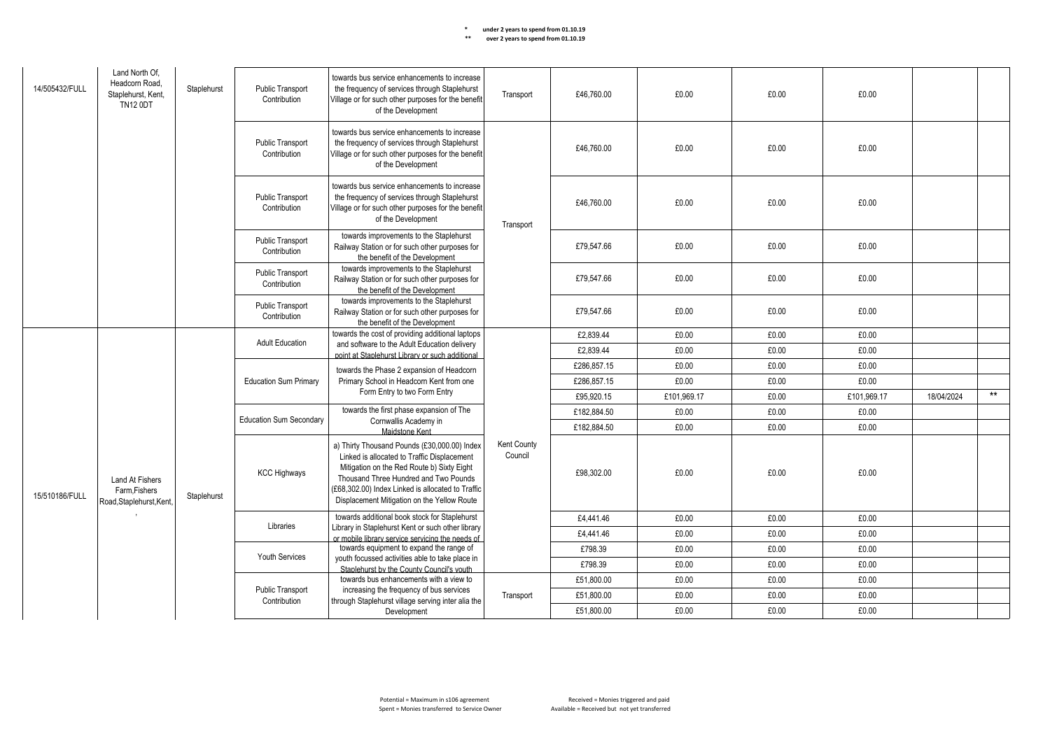| 14/505432/FULL | Land North Of.<br>Headcorn Road.<br>Staplehurst, Kent,<br><b>TN12 0DT</b> | Staplehurst | Public Transport<br>Contribution        | towards bus service enhancements to increase<br>the frequency of services through Staplehurst<br>Village or for such other purposes for the benefit<br>of the Development | Transport | £46,760.00  | £0.00       | £0.00 | £0.00       |            |       |  |  |  |  |  |                     |                                                                                                                                                                                                                                                                                        |                        |            |       |       |       |  |  |
|----------------|---------------------------------------------------------------------------|-------------|-----------------------------------------|---------------------------------------------------------------------------------------------------------------------------------------------------------------------------|-----------|-------------|-------------|-------|-------------|------------|-------|--|--|--|--|--|---------------------|----------------------------------------------------------------------------------------------------------------------------------------------------------------------------------------------------------------------------------------------------------------------------------------|------------------------|------------|-------|-------|-------|--|--|
|                |                                                                           |             | Public Transport<br>Contribution        | towards bus service enhancements to increase<br>the frequency of services through Staplehurst<br>Village or for such other purposes for the benefit<br>of the Development |           | £46,760.00  | £0.00       | £0.00 | £0.00       |            |       |  |  |  |  |  |                     |                                                                                                                                                                                                                                                                                        |                        |            |       |       |       |  |  |
|                |                                                                           |             | <b>Public Transport</b><br>Contribution | towards bus service enhancements to increase<br>the frequency of services through Staplehurst<br>Village or for such other purposes for the benefit<br>of the Development | Transport | £46.760.00  | £0.00       | £0.00 | £0.00       |            |       |  |  |  |  |  |                     |                                                                                                                                                                                                                                                                                        |                        |            |       |       |       |  |  |
|                |                                                                           |             | <b>Public Transport</b><br>Contribution | towards improvements to the Staplehurst<br>Railway Station or for such other purposes for<br>the benefit of the Development                                               |           | £79.547.66  | £0.00       | £0.00 | £0.00       |            |       |  |  |  |  |  |                     |                                                                                                                                                                                                                                                                                        |                        |            |       |       |       |  |  |
|                |                                                                           |             | <b>Public Transport</b><br>Contribution | towards improvements to the Staplehurst<br>Railway Station or for such other purposes for<br>the benefit of the Development                                               |           | £79,547.66  | £0.00       | £0.00 | £0.00       |            |       |  |  |  |  |  |                     |                                                                                                                                                                                                                                                                                        |                        |            |       |       |       |  |  |
|                |                                                                           |             | Public Transport<br>Contribution        | towards improvements to the Staplehurst<br>Railway Station or for such other purposes for<br>the benefit of the Development                                               |           | £79.547.66  | £0.00       | £0.00 | £0.00       |            |       |  |  |  |  |  |                     |                                                                                                                                                                                                                                                                                        |                        |            |       |       |       |  |  |
|                |                                                                           |             | <b>Adult Education</b>                  | towards the cost of providing additional laptops                                                                                                                          |           | £2,839.44   | £0.00       | £0.00 | £0.00       |            |       |  |  |  |  |  |                     |                                                                                                                                                                                                                                                                                        |                        |            |       |       |       |  |  |
|                |                                                                           |             |                                         | and software to the Adult Education delivery<br>point at Staplehurst Library or such additional                                                                           |           | £2.839.44   | £0.00       | £0.00 | £0.00       |            |       |  |  |  |  |  |                     |                                                                                                                                                                                                                                                                                        |                        |            |       |       |       |  |  |
|                |                                                                           |             | <b>Education Sum Primary</b>            | towards the Phase 2 expansion of Headcorn                                                                                                                                 |           | £286,857.15 | £0.00       | £0.00 | £0.00       |            |       |  |  |  |  |  |                     |                                                                                                                                                                                                                                                                                        |                        |            |       |       |       |  |  |
|                |                                                                           |             |                                         | Primary School in Headcorn Kent from one<br>Form Entry to two Form Entry                                                                                                  |           | £286,857.15 | £0.00       | £0.00 | £0.00       |            |       |  |  |  |  |  |                     |                                                                                                                                                                                                                                                                                        |                        |            |       |       |       |  |  |
|                |                                                                           |             |                                         |                                                                                                                                                                           |           | £95.920.15  | £101.969.17 | £0.00 | £101.969.17 | 18/04/2024 | $***$ |  |  |  |  |  |                     |                                                                                                                                                                                                                                                                                        |                        |            |       |       |       |  |  |
|                |                                                                           |             | <b>Education Sum Secondary</b>          | towards the first phase expansion of The                                                                                                                                  |           | £182,884.50 | £0.00       | £0.00 | £0.00       |            |       |  |  |  |  |  |                     |                                                                                                                                                                                                                                                                                        |                        |            |       |       |       |  |  |
|                |                                                                           |             |                                         | Cornwallis Academy in<br>Maidstone Kent                                                                                                                                   |           | £182,884.50 | £0.00       | £0.00 | £0.00       |            |       |  |  |  |  |  |                     |                                                                                                                                                                                                                                                                                        |                        |            |       |       |       |  |  |
| 15/510186/FULL | <b>Land At Fishers</b><br>Farm.Fishers<br>Road, Staplehurst, Kent,        | Staplehurst |                                         |                                                                                                                                                                           |           |             |             |       |             |            |       |  |  |  |  |  | <b>KCC Highways</b> | a) Thirty Thousand Pounds (£30,000.00) Index<br>Linked is allocated to Traffic Displacement<br>Mitigation on the Red Route b) Sixty Eight<br>Thousand Three Hundred and Two Pounds<br>(£68,302.00) Index Linked is allocated to Traffic<br>Displacement Mitigation on the Yellow Route | Kent County<br>Council | £98,302.00 | £0.00 | £0.00 | £0.00 |  |  |
|                |                                                                           |             |                                         | towards additional book stock for Staplehurst                                                                                                                             |           | £4,441.46   | £0.00       | £0.00 | £0.00       |            |       |  |  |  |  |  |                     |                                                                                                                                                                                                                                                                                        |                        |            |       |       |       |  |  |
|                |                                                                           |             | Libraries                               | Library in Staplehurst Kent or such other library<br>or mobile library service servicing the needs of                                                                     |           | £4,441.46   | £0.00       | £0.00 | £0.00       |            |       |  |  |  |  |  |                     |                                                                                                                                                                                                                                                                                        |                        |            |       |       |       |  |  |
|                |                                                                           |             |                                         | towards equipment to expand the range of                                                                                                                                  |           | £798.39     | £0.00       | £0.00 | £0.00       |            |       |  |  |  |  |  |                     |                                                                                                                                                                                                                                                                                        |                        |            |       |       |       |  |  |
|                |                                                                           |             | Youth Services                          | youth focussed activities able to take place in<br>Staplehurst by the County Council's youth                                                                              |           | £798.39     | £0.00       | £0.00 | £0.00       |            |       |  |  |  |  |  |                     |                                                                                                                                                                                                                                                                                        |                        |            |       |       |       |  |  |
|                |                                                                           |             |                                         | towards bus enhancements with a view to                                                                                                                                   |           | £51.800.00  | £0.00       | £0.00 | £0.00       |            |       |  |  |  |  |  |                     |                                                                                                                                                                                                                                                                                        |                        |            |       |       |       |  |  |
|                |                                                                           |             | Public Transport                        | increasing the frequency of bus services<br>through Staplehurst village serving inter alia the                                                                            | Transport | £51,800.00  | £0.00       | £0.00 | £0.00       |            |       |  |  |  |  |  |                     |                                                                                                                                                                                                                                                                                        |                        |            |       |       |       |  |  |
|                |                                                                           |             | Contribution                            | Development                                                                                                                                                               |           | £51,800.00  | £0.00       | £0.00 | £0.00       |            |       |  |  |  |  |  |                     |                                                                                                                                                                                                                                                                                        |                        |            |       |       |       |  |  |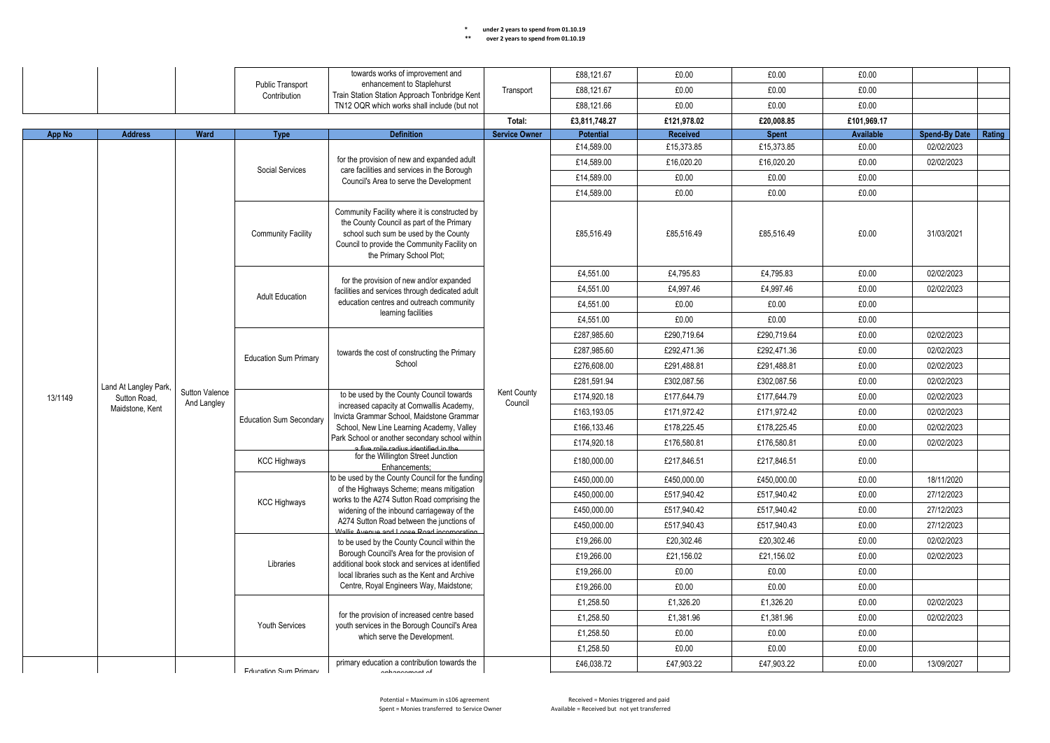| ** | over 2 years to spend from 01.10.19 |  |
|----|-------------------------------------|--|
|----|-------------------------------------|--|

|               |                       |                       |                                  | towards works of improvement and                                                                                                                                                                                |                               | £88,121.67       | £0.00       | £0.00        | £0.00            |                      |        |
|---------------|-----------------------|-----------------------|----------------------------------|-----------------------------------------------------------------------------------------------------------------------------------------------------------------------------------------------------------------|-------------------------------|------------------|-------------|--------------|------------------|----------------------|--------|
|               |                       |                       | Public Transport<br>Contribution | enhancement to Staplehurst<br>Train Station Station Approach Tonbridge Kent                                                                                                                                     | Transport                     | £88,121.67       | £0.00       | £0.00        | £0.00            |                      |        |
|               |                       |                       |                                  | TN12 OQR which works shall include (but not                                                                                                                                                                     |                               | £88,121.66       | £0.00       | £0.00        | £0.00            |                      |        |
|               |                       |                       |                                  |                                                                                                                                                                                                                 | Total:                        | £3,811,748.27    | £121.978.02 | £20.008.85   | £101.969.17      |                      |        |
| <b>App No</b> | <b>Address</b>        | Ward                  | <b>Type</b>                      | <b>Definition</b>                                                                                                                                                                                               | <b>Service Owner</b>          | <b>Potential</b> | Received    | <b>Spent</b> | <b>Available</b> | <b>Spend-By Date</b> | Rating |
|               |                       |                       |                                  |                                                                                                                                                                                                                 |                               | £14,589.00       | £15,373.85  | £15,373.85   | £0.00            | 02/02/2023           |        |
|               |                       |                       |                                  | for the provision of new and expanded adult                                                                                                                                                                     |                               | £14,589.00       | £16,020.20  | £16,020.20   | £0.00            | 02/02/2023           |        |
|               |                       |                       | Social Services                  | care facilities and services in the Borough<br>Council's Area to serve the Development                                                                                                                          |                               | £14,589.00       | £0.00       | £0.00        | £0.00            |                      |        |
|               |                       |                       |                                  |                                                                                                                                                                                                                 |                               | £14.589.00       | £0.00       | £0.00        | £0.00            |                      |        |
|               |                       |                       | <b>Community Facility</b>        | Community Facility where it is constructed by<br>the County Council as part of the Primary<br>school such sum be used by the County<br>Council to provide the Community Facility on<br>the Primary School Plot; |                               | £85,516.49       | £85,516.49  | £85,516.49   | £0.00            | 31/03/2021           |        |
|               |                       |                       |                                  | for the provision of new and/or expanded                                                                                                                                                                        |                               | £4,551.00        | £4,795.83   | £4,795.83    | £0.00            | 02/02/2023           |        |
|               |                       |                       | <b>Adult Education</b>           | facilities and services through dedicated adult                                                                                                                                                                 |                               | £4,551.00        | £4,997.46   | £4,997.46    | £0.00            | 02/02/2023           |        |
|               |                       |                       |                                  | education centres and outreach community                                                                                                                                                                        |                               | £4,551.00        | £0.00       | £0.00        | £0.00            |                      |        |
|               |                       |                       |                                  | learning facilities                                                                                                                                                                                             |                               | £4,551.00        | £0.00       | £0.00        | £0.00            |                      |        |
|               |                       |                       |                                  |                                                                                                                                                                                                                 |                               | £287,985.60      | £290.719.64 | £290.719.64  | £0.00            | 02/02/2023           |        |
|               |                       |                       | <b>Education Sum Primary</b>     | towards the cost of constructing the Primary                                                                                                                                                                    |                               | £287,985.60      | £292,471.36 | £292,471.36  | £0.00            | 02/02/2023           |        |
|               |                       |                       |                                  | School                                                                                                                                                                                                          |                               | £276,608.00      | £291,488.81 | £291,488.81  | £0.00            | 02/02/2023           |        |
|               | Land At Langley Park, |                       |                                  |                                                                                                                                                                                                                 |                               | £281,591.94      | £302.087.56 | £302.087.56  | £0.00            | 02/02/2023           |        |
| 13/1149       | Sutton Road.          | <b>Sutton Valence</b> | And Langley                      | to be used by the County Council towards                                                                                                                                                                        | <b>Kent County</b><br>Council | £174,920.18      | £177,644.79 | £177.644.79  | £0.00            | 02/02/2023           |        |
|               | Maidstone, Kent       |                       |                                  | increased capacity at Cornwallis Academy,<br>Invicta Grammar School, Maidstone Grammar                                                                                                                          |                               | £163,193.05      | £171,972.42 | £171,972.42  | £0.00            | 02/02/2023           |        |
|               |                       |                       | <b>Education Sum Secondary</b>   | School, New Line Learning Academy, Valley                                                                                                                                                                       |                               | £166,133.46      | £178,225.45 | £178,225.45  | £0.00            | 02/02/2023           |        |
|               |                       |                       |                                  | Park School or another secondary school within<br>a five mile radius identified in the                                                                                                                          |                               | £174,920.18      | £176,580.81 | £176,580.81  | £0.00            | 02/02/2023           |        |
|               |                       |                       | <b>KCC Highways</b>              | for the Willington Street Junction<br>Enhancements:                                                                                                                                                             |                               | £180,000.00      | £217,846.51 | £217,846.51  | £0.00            |                      |        |
|               |                       |                       |                                  | to be used by the County Council for the funding                                                                                                                                                                |                               | £450,000.00      | £450.000.00 | £450.000.00  | £0.00            | 18/11/2020           |        |
|               |                       |                       |                                  | of the Highways Scheme; means mitigation<br>works to the A274 Sutton Road comprising the                                                                                                                        |                               | £450,000.00      | £517,940.42 | £517,940.42  | £0.00            | 27/12/2023           |        |
|               |                       |                       | <b>KCC Highways</b>              | widening of the inbound carriageway of the                                                                                                                                                                      |                               | £450,000.00      | £517,940.42 | £517,940.42  | £0.00            | 27/12/2023           |        |
|               |                       |                       |                                  | A274 Sutton Road between the junctions of<br>Mallis Avenue and Loose Road incornorating                                                                                                                         |                               | £450,000.00      | £517,940.43 | £517,940.43  | £0.00            | 27/12/2023           |        |
|               |                       |                       |                                  | to be used by the County Council within the                                                                                                                                                                     |                               | £19,266.00       | £20.302.46  | £20,302.46   | £0.00            | 02/02/2023           |        |
|               |                       |                       |                                  | Borough Council's Area for the provision of                                                                                                                                                                     |                               | £19,266.00       | £21,156.02  | £21,156.02   | £0.00            | 02/02/2023           |        |
|               |                       |                       | Libraries                        | additional book stock and services at identified<br>local libraries such as the Kent and Archive                                                                                                                |                               | £19,266.00       | £0.00       | £0.00        | £0.00            |                      |        |
|               |                       |                       |                                  | Centre, Royal Engineers Way, Maidstone;                                                                                                                                                                         |                               | £19,266.00       | £0.00       | £0.00        | £0.00            |                      |        |
|               |                       |                       |                                  |                                                                                                                                                                                                                 |                               | £1.258.50        | £1.326.20   | £1.326.20    | £0.00            | 02/02/2023           |        |
|               |                       |                       |                                  | for the provision of increased centre based                                                                                                                                                                     |                               | £1,258.50        | £1,381.96   | £1,381.96    | £0.00            | 02/02/2023           |        |
|               |                       |                       | <b>Youth Services</b>            | youth services in the Borough Council's Area<br>which serve the Development.                                                                                                                                    |                               | £1,258.50        | £0.00       | £0.00        | £0.00            |                      |        |
|               |                       |                       |                                  |                                                                                                                                                                                                                 |                               | £1,258.50        | £0.00       | £0.00        | £0.00            |                      |        |
|               |                       |                       | <b>Education Sum Primary</b>     | primary education a contribution towards the<br>onhonoomont of                                                                                                                                                  |                               | £46,038.72       | £47,903.22  | £47,903.22   | £0.00            | 13/09/2027           |        |